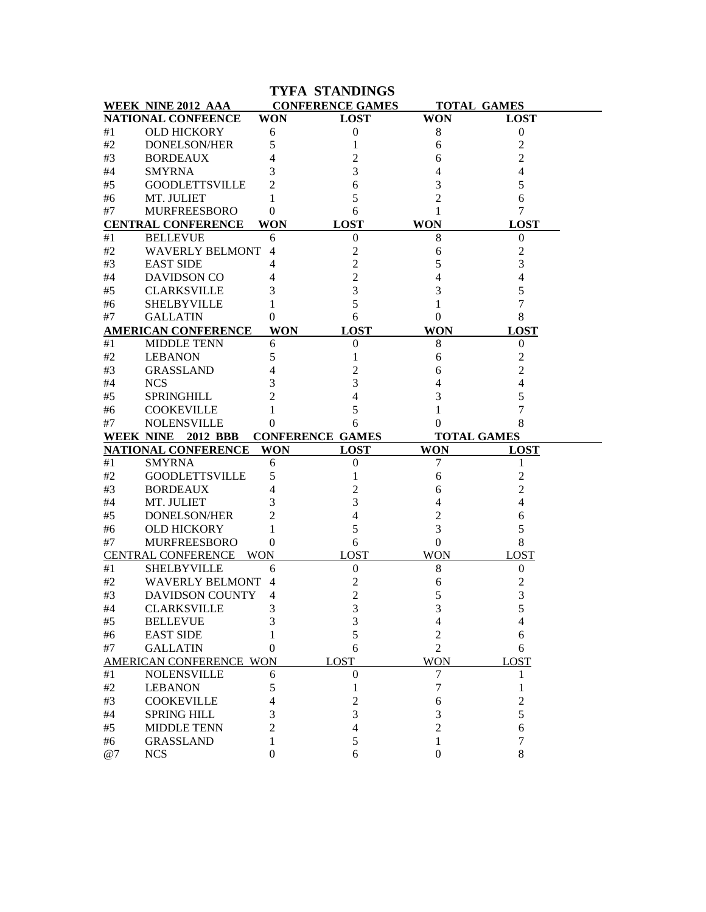|                |                                                  |                | <b>TYFA STANDINGS</b>   |                     |                         |
|----------------|--------------------------------------------------|----------------|-------------------------|---------------------|-------------------------|
|                | WEEK NINE 2012 AAA                               |                | <b>CONFERENCE GAMES</b> |                     | <b>TOTAL GAMES</b>      |
|                | NATIONAL CONFEENCE                               | <b>WON</b>     | <b>LOST</b>             | <b>WON</b>          | <b>LOST</b>             |
| #1             | <b>OLD HICKORY</b>                               | 6              | $\boldsymbol{0}$        | 8                   | $\boldsymbol{0}$        |
| #2             | <b>DONELSON/HER</b>                              | 5              | 1                       | 6                   | $\overline{\mathbf{c}}$ |
| #3             | <b>BORDEAUX</b>                                  |                | 2                       | 6                   | 2                       |
| #4             | <b>SMYRNA</b>                                    | 3              | 3                       | 4                   | 4                       |
| #5             | <b>GOODLETTSVILLE</b>                            | 2              | 6                       | 3                   | 5                       |
| #6             | MT. JULIET                                       |                | 5                       | 2                   | 6                       |
| #7             | <b>MURFREESBORO</b>                              | 0              | 6                       | 1                   | 7                       |
|                | <b>CENTRAL CONFERENCE</b>                        | <b>WON</b>     | <b>LOST</b>             | <b>WON</b>          | <b>LOST</b>             |
| #1             | <b>BELLEVUE</b>                                  | 6              | $\boldsymbol{0}$        | 8                   | $\boldsymbol{0}$        |
| #2             | <b>WAVERLY BELMONT</b>                           | $\overline{4}$ | 2                       | 6                   | 2                       |
| #3             | <b>EAST SIDE</b>                                 | 4              | $\overline{c}$          | 5                   | 3                       |
| $\#4$          | DAVIDSON CO                                      |                | $\overline{c}$          | 4                   |                         |
| #5             | <b>CLARKSVILLE</b>                               | 3              | 3                       | 3                   | 5                       |
| #6             | <b>SHELBYVILLE</b>                               |                | 5                       |                     |                         |
| #7             | <b>GALLATIN</b>                                  | 0              | 6                       | $\theta$            | 8                       |
|                | <b>AMERICAN CONFERENCE</b>                       | <b>WON</b>     | <b>LOST</b>             | <b>WON</b>          | <b>LOST</b>             |
| #1             | <b>MIDDLE TENN</b>                               | 6              | 0                       | 8                   | 0                       |
| #2             | <b>LEBANON</b>                                   | 5              |                         | 6                   | 2                       |
| #3             | <b>GRASSLAND</b>                                 | 4              | 2                       | 6                   | 2                       |
| #4             | <b>NCS</b>                                       | 3              | 3                       |                     |                         |
| #5             | SPRINGHILL                                       | 2              | 4                       | 3                   | 5                       |
| #6             | <b>COOKEVILLE</b>                                |                | 5                       |                     | 7                       |
| #7             | <b>NOLENSVILLE</b>                               | 0              | 6                       | 0                   | 8                       |
|                | WEEK NINE 2012 BBB                               |                | <b>CONFERENCE GAMES</b> |                     | <b>TOTAL GAMES</b>      |
|                | <b>NATIONAL CONFERENCE</b>                       | <b>WON</b>     | <b>LOST</b>             | <b>WON</b>          | <b>LOST</b>             |
| #1             | <b>SMYRNA</b>                                    | 6              | $\boldsymbol{0}$        | 7                   | 1                       |
| #2             | <b>GOODLETTSVILLE</b>                            | 5              | 1                       | 6                   | 2                       |
| #3             | <b>BORDEAUX</b>                                  | 4              | 2                       | 6                   | 2                       |
| #4             | MT. JULIET                                       | 3              | 3                       |                     | 4                       |
| #5             | <b>DONELSON/HER</b>                              | 2              | 4                       | 2                   | 6                       |
| #6             | <b>OLD HICKORY</b>                               |                | 5                       | 3                   | 5                       |
| #7             | <b>MURFREESBORO</b><br><b>CENTRAL CONFERENCE</b> | $\theta$       | 6<br><b>LOST</b>        | $\overline{0}$      | 8                       |
|                |                                                  | <b>WON</b>     |                         | <b>WON</b><br>$8\,$ | <b>LOST</b>             |
| #1<br>#2       | <b>SHELBYVILLE</b><br><b>WAVERLY BELMONT 4</b>   | 6              | $\boldsymbol{0}$        |                     | $\boldsymbol{0}$        |
|                |                                                  |                | $\overline{c}$          | 6                   | 2                       |
| $\#3$<br>$\#4$ | DAVIDSON COUNTY 4<br><b>CLARKSVILLE</b>          | 3              | $\sqrt{2}$<br>3         | 5<br>3              | 3<br>5                  |
| #5             | <b>BELLEVUE</b>                                  |                | 3                       | 4                   | 4                       |
| #6             | <b>EAST SIDE</b>                                 |                | 5                       | 2                   | 6                       |
| #7             | <b>GALLATIN</b>                                  | $_{0}$         | 6                       | $\overline{2}$      | 6                       |
|                | AMERICAN CONFERENCE WON                          |                | <b>LOST</b>             | <b>WON</b>          | <b>LOST</b>             |
| #1             | <b>NOLENSVILLE</b>                               | 6              | $\theta$                | 7                   | 1                       |
| $\#2$          | <b>LEBANON</b>                                   | 5              | 1                       | 7                   | 1                       |
| #3             | <b>COOKEVILLE</b>                                | 4              | 2                       | 6                   | 2                       |
| $\#4$          | <b>SPRING HILL</b>                               | 3              | 3                       | 3                   | 5                       |
| #5             | <b>MIDDLE TENN</b>                               |                | 4                       | $\overline{c}$      | 6                       |
| #6             | <b>GRASSLAND</b>                                 |                | 5                       | 1                   | 7                       |
|                | <b>NCS</b>                                       | 0              | 6                       | $\Omega$            | 8                       |
| @7             |                                                  |                |                         |                     |                         |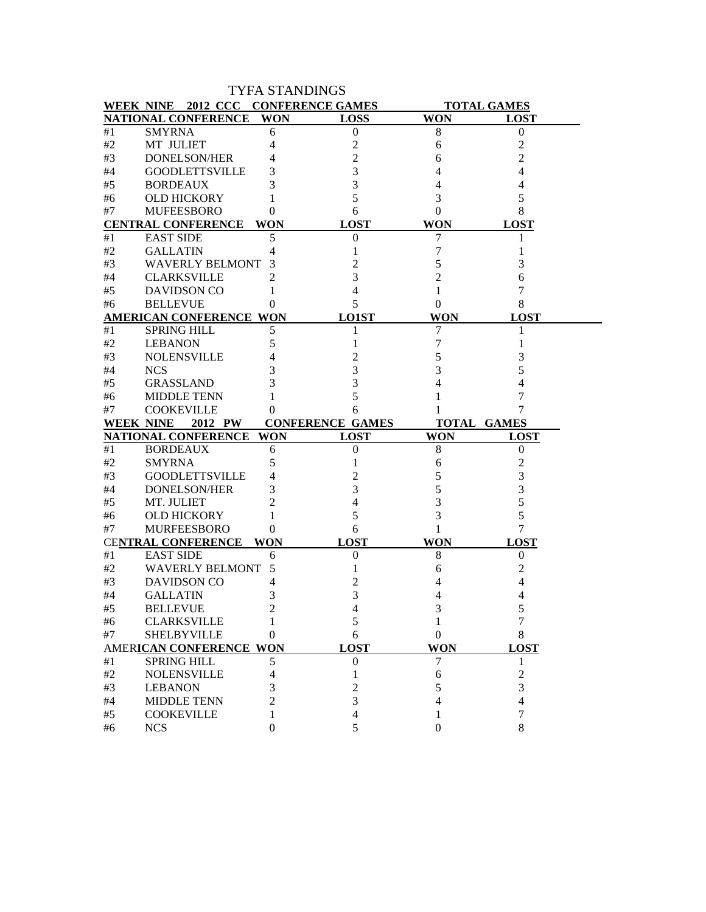|                  |                                               |                | <b>TYFA STANDINGS</b>   |                  |                    |
|------------------|-----------------------------------------------|----------------|-------------------------|------------------|--------------------|
|                  | WEEK NINE 2012 CCC CONFERENCE GAMES           |                |                         |                  | <b>TOTAL GAMES</b> |
|                  | NATIONAL CONFERENCE WON                       |                | <b>LOSS</b>             | <b>WON</b>       | <b>LOST</b>        |
| #1               | <b>SMYRNA</b>                                 | 6              | $\boldsymbol{0}$        | 8                | $\theta$           |
| #2               | MT JULIET                                     | 4              | 2                       | 6                | 2                  |
| #3               | <b>DONELSON/HER</b>                           | 4              | 2                       | 6                | 2                  |
| #4               | <b>GOODLETTSVILLE</b>                         | 3              | 3                       | 4                | 4                  |
| #5               | <b>BORDEAUX</b>                               | 3              | 3                       | 4                | 4                  |
| #6               | <b>OLD HICKORY</b>                            | 1              | 5                       | 3                | 5                  |
| #7               | <b>MUFEESBORO</b>                             | 0              | 6                       | $\overline{0}$   | 8                  |
|                  | <b>CENTRAL CONFERENCE</b>                     | WON            | <b>LOST</b>             | <b>WON</b>       | <b>LOST</b>        |
| #1               | <b>EAST SIDE</b>                              | 5              | $\theta$                | 7                | 1                  |
| #2               | <b>GALLATIN</b>                               | 4              | 1                       | 7                | 1                  |
| #3               | <b>WAVERLY BELMONT</b>                        | 3              | 2                       | 5                | 3                  |
| #4               | <b>CLARKSVILLE</b>                            | $\overline{2}$ | 3                       | 2                | 6                  |
| #5               | <b>DAVIDSON CO</b>                            | 1              | 4                       | 1                | 7                  |
| #6               | <b>BELLEVUE</b>                               | 0              | 5                       | 0                | 8                  |
|                  | <b>AMERICAN CONFERENCE WON</b>                |                | <b>LO1ST</b>            | WON              | <b>LOST</b>        |
| #1               | <b>SPRING HILL</b>                            | 5              | 1                       | 7                | 1                  |
| #2               | <b>LEBANON</b>                                | 5              | 1                       | 7                |                    |
| #3               | <b>NOLENSVILLE</b>                            | 4              |                         | 5                | 3                  |
| #4               | <b>NCS</b>                                    | 3              | 3                       | 3                | 5                  |
| #5               | <b>GRASSLAND</b>                              | 3              | 3                       | 4                | 4                  |
| #6               | <b>MIDDLE TENN</b>                            | 1              | 5                       | 1                | 7                  |
| #7               | <b>COOKEVILLE</b>                             | 0              | 6                       | 1                | 7                  |
|                  |                                               |                |                         |                  |                    |
| <b>WEEK NINE</b> | 2012 PW                                       |                | <b>CONFERENCE GAMES</b> |                  | <b>TOTAL GAMES</b> |
|                  | NATIONAL CONFERENCE                           | WON            | <b>LOST</b>             | <b>WON</b>       | <b>LOST</b>        |
| #1               | <b>BORDEAUX</b>                               | 6              | $\boldsymbol{0}$        | 8                | $\mathbf{0}$       |
| #2               | <b>SMYRNA</b>                                 | 5              |                         | 6                | 2                  |
| #3               | <b>GOODLETTSVILLE</b>                         | 4              | 2                       | 5                | 3                  |
| #4               | <b>DONELSON/HER</b>                           | 3              | 3                       | 5                | 3                  |
| #5               | MT. JULIET                                    | $\overline{c}$ | 4                       | 3                | 5                  |
| #6               | <b>OLD HICKORY</b>                            | 1              | 5                       | 3                | 5                  |
| #7               | <b>MURFEESBORO</b>                            | 0              | 6                       | 1                | 7                  |
|                  | <b>CENTRAL CONFERENCE</b>                     | WON            | <b>LOST</b>             | WON              | <b>LOST</b>        |
| #1               | <b>EAST SIDE</b>                              | 6              | $\boldsymbol{0}$        | 8                | 0                  |
| #2               | <b>WAVERLY BELMONT</b>                        | 5              | 1                       | 6                | 2                  |
| #3               | <b>DAVIDSON CO</b>                            | 4              | 2                       | 4                | 4                  |
| #4               |                                               | 3              | 3                       | Δ                | Δ                  |
| #5               | GALLATIN                                      | 2              | 4                       | 3                | 5                  |
| #6               | <b>BELLEVUE</b>                               |                | 5                       |                  | 7                  |
| #7               | <b>CLARKSVILLE</b><br><b>SHELBYVILLE</b>      | 0              | 6                       | $\boldsymbol{0}$ | 8                  |
|                  |                                               |                | <b>LOST</b>             | <b>WON</b>       | <b>LOST</b>        |
| #1               | AMERICAN CONFERENCE WON<br><b>SPRING HILL</b> | 5              | $\boldsymbol{0}$        | 7                | 1                  |
| #2               | <b>NOLENSVILLE</b>                            | 4              | 1                       | 6                | 2                  |
|                  |                                               | 3              | 2                       | 5                | 3                  |
| $\#3$<br>#4      | <b>LEBANON</b>                                | $\overline{2}$ | 3                       | $\overline{4}$   | $\overline{4}$     |
| #5               | <b>MIDDLE TENN</b><br><b>COOKEVILLE</b>       | 1              | 4                       | 1                | 7                  |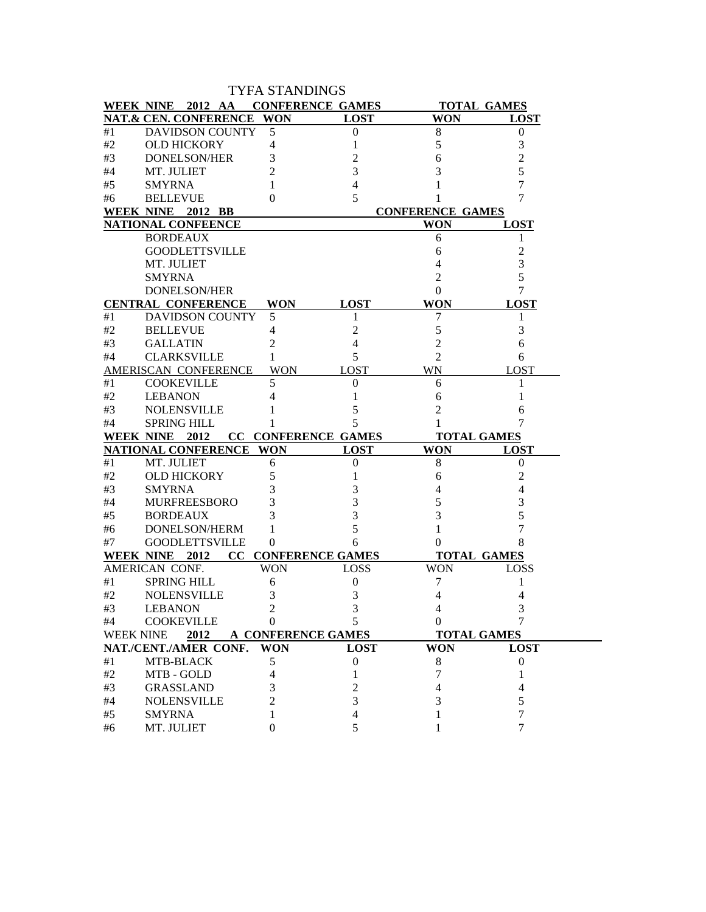|                  |                           | <b>TYFA STANDINGS</b> |                            |                         |                    |
|------------------|---------------------------|-----------------------|----------------------------|-------------------------|--------------------|
| <b>WEEK NINE</b> | 2012 AA                   |                       | <b>CONFERENCE GAMES</b>    |                         | <b>TOTAL GAMES</b> |
|                  | NAT.& CEN. CONFERENCE     | <b>WON</b>            | <b>LOST</b>                | <b>WON</b>              | <b>LOST</b>        |
| #1               | <b>DAVIDSON COUNTY</b>    | 5                     | $\boldsymbol{0}$           | 8                       | $\boldsymbol{0}$   |
| #2               | <b>OLD HICKORY</b>        | 4                     | 1                          | 5                       | 3                  |
| #3               | <b>DONELSON/HER</b>       | 3                     | 2                          | 6                       | 2                  |
| #4               | MT. JULIET                | 2                     | 3                          | 3                       | 5                  |
| #5               | <b>SMYRNA</b>             |                       | 4                          |                         | 7                  |
| #6               | <b>BELLEVUE</b>           | $\theta$              | 5                          |                         | 7                  |
|                  | WEEK NINE 2012 BB         |                       |                            | <b>CONFERENCE GAMES</b> |                    |
|                  | <b>NATIONAL CONFEENCE</b> |                       |                            | <b>WON</b>              | <b>LOST</b>        |
|                  | <b>BORDEAUX</b>           |                       |                            | 6                       | 1                  |
|                  | <b>GOODLETTSVILLE</b>     |                       |                            | 6                       | 2                  |
|                  | MT. JULIET                |                       |                            | 4                       | 3                  |
|                  | <b>SMYRNA</b>             |                       |                            | 2                       | 5                  |
|                  | <b>DONELSON/HER</b>       |                       |                            | 0                       | 7                  |
|                  | <b>CENTRAL CONFERENCE</b> | <b>WON</b>            | <b>LOST</b>                | <b>WON</b>              | <b>LOST</b>        |
| #1               | <b>DAVIDSON COUNTY</b>    | 5                     |                            | 7                       | 1                  |
| #2               | <b>BELLEVUE</b>           | 4                     | 2                          | 5                       | 3                  |
| #3               | <b>GALLATIN</b>           | 2                     | 4                          | $\overline{2}$          | 6                  |
| #4               | <b>CLARKSVILLE</b>        | 1                     | 5                          | 2                       | 6                  |
|                  | AMERISCAN CONFERENCE      | <b>WON</b>            | <b>LOST</b>                | WN                      | <b>LOST</b>        |
| #1               | <b>COOKEVILLE</b>         | 5                     | $\theta$                   | 6                       | 1                  |
| #2               | <b>LEBANON</b>            | 4                     |                            | 6                       | 1                  |
| #3               | <b>NOLENSVILLE</b>        |                       | 5                          | 2                       | 6                  |
| #4               | <b>SPRING HILL</b>        |                       | 5                          |                         | 7                  |
| <b>WEEK NINE</b> | 2012                      |                       | <b>CC CONFERENCE GAMES</b> | <b>TOTAL GAMES</b>      |                    |
|                  | NATIONAL CONFERENCE WON   |                       | <b>LOST</b>                | <b>WON</b>              | <b>LOST</b>        |
| #1               | MT. JULIET                | 6                     | 0                          | 8                       | $\boldsymbol{0}$   |
| #2               | <b>OLD HICKORY</b>        | 5                     |                            | 6                       | 2                  |
| #3               | <b>SMYRNA</b>             | 3                     | 3                          | 4                       | 4                  |
| #4               | <b>MURFREESBORO</b>       | 3                     | 3                          | 5                       | 3                  |
| #5               | <b>BORDEAUX</b>           | 3                     | 3                          | 3                       | 5                  |
| #6               | DONELSON/HERM             | 1                     | 5                          | 1                       | 7                  |
| #7               | <b>GOODLETTSVILLE</b>     | 0                     | 6                          | 0                       | 8                  |
|                  | WEEK NINE 2012            |                       | <b>CC CONFERENCE GAMES</b> | <b>TOTAL GAMES</b>      |                    |
|                  | AMERICAN CONF.            | <b>WON</b>            | <b>LOSS</b>                | WON                     | <b>LOSS</b>        |
| #1               | <b>SPRING HILL</b>        | 6                     | $\boldsymbol{0}$           | 7                       | 1                  |
| #2               | <b>NOLENSVILLE</b>        | 3                     | 3                          | 4                       | 4                  |
| #3               | <b>LEBANON</b>            | 2                     | 3                          | 4                       | 3                  |
| #4               | COOKEVILLE                | $\theta$              | 5                          | 0                       |                    |
| <b>WEEK NINE</b> | 2012                      |                       | A CONFERENCE GAMES         | <b>TOTAL GAMES</b>      |                    |
|                  | NAT./CENT./AMER CONF.     | <b>WON</b>            | <b>LOST</b>                | <b>WON</b>              | <b>LOST</b>        |
| #1               | MTB-BLACK                 | 5                     | $\boldsymbol{0}$           | $\,8\,$                 | $\boldsymbol{0}$   |
| #2               | MTB - GOLD                | 4                     | 1                          | 7                       | 1                  |
| #3               | <b>GRASSLAND</b>          | 3                     | 2                          | 4                       | 4                  |
| #4               | <b>NOLENSVILLE</b>        | $\overline{c}$        | 3                          | 3                       | 5                  |
| #5               | <b>SMYRNA</b>             | 1                     | 4                          |                         | 7                  |
| #6               | MT. JULIET                | $\mathbf{0}$          | 5                          |                         | 7                  |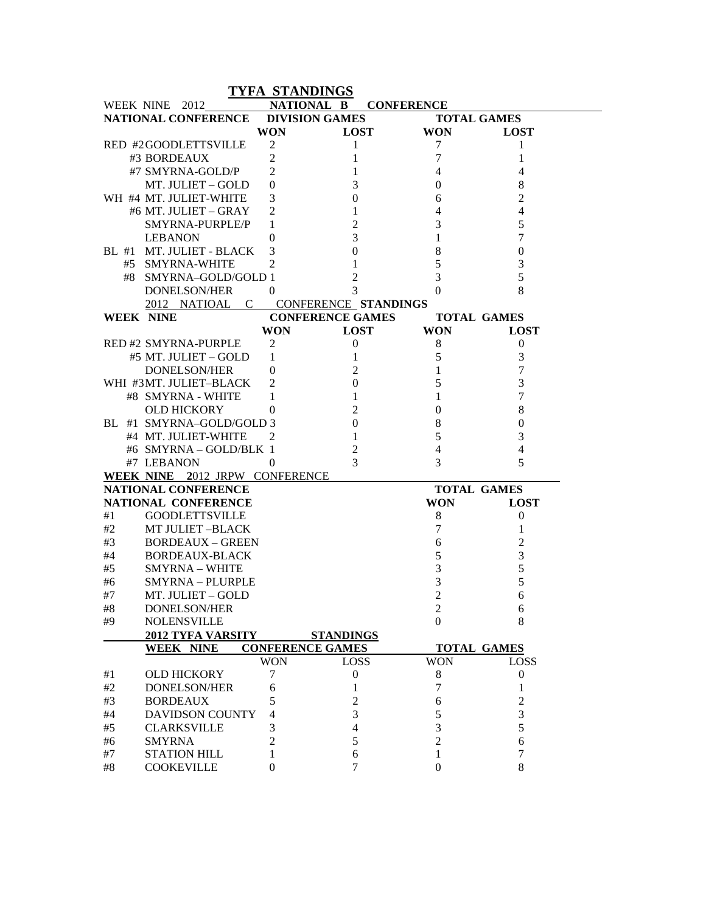| NATIONAL B<br>WEEK NINE 2012<br><b>CONFERENCE</b><br>NATIONAL CONFERENCE<br><b>DIVISION GAMES</b><br><b>TOTAL GAMES</b><br><b>WON</b><br><b>LOST</b><br><b>WON</b><br><b>LOST</b><br>$\overline{2}$<br>1<br>RED #2GOODLETTSVILLE<br>7<br>1<br>$\overline{2}$<br>7<br>#3 BORDEAUX<br>1<br>1<br>#7 SMYRNA-GOLD/P<br>$\overline{2}$<br>1<br>4<br>4<br>MT. JULIET – GOLD<br>3<br>8<br>$\theta$<br>0<br>WH #4 MT. JULIET-WHITE<br>2<br>3<br>$\boldsymbol{0}$<br>6<br>#6 MT. JULIET - GRAY<br>$\overline{c}$<br>1<br>4<br>4<br>$\overline{2}$<br>3<br>5<br>SMYRNA-PURPLE/P<br>1<br>3<br>7<br><b>LEBANON</b><br>1<br>$\theta$<br>$\boldsymbol{0}$<br>8<br>BL #1 MT. JULIET - BLACK<br>3<br>$\boldsymbol{0}$<br>5<br>$\overline{c}$<br>3<br>#5 SMYRNA-WHITE<br>1<br>5<br>2<br>3<br>#8 SMYRNA-GOLD/GOLD 1<br>3<br>8<br>DONELSON/HER<br>$\theta$<br>$\Omega$<br>C CONFERENCE STANDINGS<br>2012 NATIOAL<br><b>CONFERENCE GAMES</b><br><b>WEEK NINE</b><br><b>TOTAL GAMES</b><br><b>WON</b><br><b>WON</b><br><b>LOST</b><br><b>LOST</b><br><b>RED #2 SMYRNA-PURPLE</b><br>2<br>$\boldsymbol{0}$<br>8<br>$\boldsymbol{0}$<br>5<br>3<br>#5 MT. JULIET – GOLD<br>1<br>1<br>7<br>2<br>1<br><b>DONELSON/HER</b><br>$\theta$<br>5<br>3<br>WHI #3MT. JULIET-BLACK<br>$\boldsymbol{0}$<br>2<br>$\mathbf{1}$<br>7<br>#8 SMYRNA - WHITE<br>1<br>1<br>$\overline{c}$<br>8<br><b>OLD HICKORY</b><br>$\boldsymbol{0}$<br>0<br>$\boldsymbol{0}$<br>$\,8\,$<br>BL #1 SMYRNA-GOLD/GOLD 3<br>$\theta$<br>5<br>$\mathbf{1}$<br>3<br>#4 MT. JULIET-WHITE<br>2<br>$\overline{c}$<br>$\overline{4}$<br>#6 SMYRNA - GOLD/BLK 1<br>$\overline{4}$<br>3<br>5<br>3<br>#7 LEBANON<br>$\overline{0}$<br>WEEK NINE 2012 JRPW CONFERENCE<br>NATIONAL CONFERENCE<br><b>TOTAL GAMES</b><br>NATIONAL CONFERENCE<br><b>WON</b><br><b>LOST</b><br>#1<br><b>GOODLETTSVILLE</b><br>8<br>0<br>7<br>#2<br><b>MT JULIET-BLACK</b><br>1<br>6<br>#3<br><b>BORDEAUX - GREEN</b><br>2<br>5<br>3<br>#4<br><b>BORDEAUX-BLACK</b><br>3<br>5<br>#5<br><b>SMYRNA - WHITE</b><br>3<br>5<br><b>SMYRNA - PLURPLE</b><br>#6<br>$\overline{2}$<br>#7<br>MT. JULIET - GOLD<br>6<br>#8<br>DONELSON/HER<br>$\overline{c}$<br>6<br>8<br><b>NOLENSVILLE</b><br>$\Omega$<br>#9<br>2012 TYFA VARSITY<br><b>STANDINGS</b><br><b>CONFERENCE GAMES</b><br><b>WEEK NINE</b><br><b>TOTAL GAMES</b><br><b>LOSS</b><br><b>WON</b><br><b>WON</b><br><b>LOSS</b> |
|---------------------------------------------------------------------------------------------------------------------------------------------------------------------------------------------------------------------------------------------------------------------------------------------------------------------------------------------------------------------------------------------------------------------------------------------------------------------------------------------------------------------------------------------------------------------------------------------------------------------------------------------------------------------------------------------------------------------------------------------------------------------------------------------------------------------------------------------------------------------------------------------------------------------------------------------------------------------------------------------------------------------------------------------------------------------------------------------------------------------------------------------------------------------------------------------------------------------------------------------------------------------------------------------------------------------------------------------------------------------------------------------------------------------------------------------------------------------------------------------------------------------------------------------------------------------------------------------------------------------------------------------------------------------------------------------------------------------------------------------------------------------------------------------------------------------------------------------------------------------------------------------------------------------------------------------------------------------------------------------------------------------------------------------------------------------------------------------------------------------------------------------------------------------------------------------------------------------------------------------------------------------------------------------------------------------------------------------------------------------------------|
|                                                                                                                                                                                                                                                                                                                                                                                                                                                                                                                                                                                                                                                                                                                                                                                                                                                                                                                                                                                                                                                                                                                                                                                                                                                                                                                                                                                                                                                                                                                                                                                                                                                                                                                                                                                                                                                                                                                                                                                                                                                                                                                                                                                                                                                                                                                                                                                 |
|                                                                                                                                                                                                                                                                                                                                                                                                                                                                                                                                                                                                                                                                                                                                                                                                                                                                                                                                                                                                                                                                                                                                                                                                                                                                                                                                                                                                                                                                                                                                                                                                                                                                                                                                                                                                                                                                                                                                                                                                                                                                                                                                                                                                                                                                                                                                                                                 |
|                                                                                                                                                                                                                                                                                                                                                                                                                                                                                                                                                                                                                                                                                                                                                                                                                                                                                                                                                                                                                                                                                                                                                                                                                                                                                                                                                                                                                                                                                                                                                                                                                                                                                                                                                                                                                                                                                                                                                                                                                                                                                                                                                                                                                                                                                                                                                                                 |
|                                                                                                                                                                                                                                                                                                                                                                                                                                                                                                                                                                                                                                                                                                                                                                                                                                                                                                                                                                                                                                                                                                                                                                                                                                                                                                                                                                                                                                                                                                                                                                                                                                                                                                                                                                                                                                                                                                                                                                                                                                                                                                                                                                                                                                                                                                                                                                                 |
|                                                                                                                                                                                                                                                                                                                                                                                                                                                                                                                                                                                                                                                                                                                                                                                                                                                                                                                                                                                                                                                                                                                                                                                                                                                                                                                                                                                                                                                                                                                                                                                                                                                                                                                                                                                                                                                                                                                                                                                                                                                                                                                                                                                                                                                                                                                                                                                 |
|                                                                                                                                                                                                                                                                                                                                                                                                                                                                                                                                                                                                                                                                                                                                                                                                                                                                                                                                                                                                                                                                                                                                                                                                                                                                                                                                                                                                                                                                                                                                                                                                                                                                                                                                                                                                                                                                                                                                                                                                                                                                                                                                                                                                                                                                                                                                                                                 |
|                                                                                                                                                                                                                                                                                                                                                                                                                                                                                                                                                                                                                                                                                                                                                                                                                                                                                                                                                                                                                                                                                                                                                                                                                                                                                                                                                                                                                                                                                                                                                                                                                                                                                                                                                                                                                                                                                                                                                                                                                                                                                                                                                                                                                                                                                                                                                                                 |
|                                                                                                                                                                                                                                                                                                                                                                                                                                                                                                                                                                                                                                                                                                                                                                                                                                                                                                                                                                                                                                                                                                                                                                                                                                                                                                                                                                                                                                                                                                                                                                                                                                                                                                                                                                                                                                                                                                                                                                                                                                                                                                                                                                                                                                                                                                                                                                                 |
|                                                                                                                                                                                                                                                                                                                                                                                                                                                                                                                                                                                                                                                                                                                                                                                                                                                                                                                                                                                                                                                                                                                                                                                                                                                                                                                                                                                                                                                                                                                                                                                                                                                                                                                                                                                                                                                                                                                                                                                                                                                                                                                                                                                                                                                                                                                                                                                 |
|                                                                                                                                                                                                                                                                                                                                                                                                                                                                                                                                                                                                                                                                                                                                                                                                                                                                                                                                                                                                                                                                                                                                                                                                                                                                                                                                                                                                                                                                                                                                                                                                                                                                                                                                                                                                                                                                                                                                                                                                                                                                                                                                                                                                                                                                                                                                                                                 |
|                                                                                                                                                                                                                                                                                                                                                                                                                                                                                                                                                                                                                                                                                                                                                                                                                                                                                                                                                                                                                                                                                                                                                                                                                                                                                                                                                                                                                                                                                                                                                                                                                                                                                                                                                                                                                                                                                                                                                                                                                                                                                                                                                                                                                                                                                                                                                                                 |
|                                                                                                                                                                                                                                                                                                                                                                                                                                                                                                                                                                                                                                                                                                                                                                                                                                                                                                                                                                                                                                                                                                                                                                                                                                                                                                                                                                                                                                                                                                                                                                                                                                                                                                                                                                                                                                                                                                                                                                                                                                                                                                                                                                                                                                                                                                                                                                                 |
|                                                                                                                                                                                                                                                                                                                                                                                                                                                                                                                                                                                                                                                                                                                                                                                                                                                                                                                                                                                                                                                                                                                                                                                                                                                                                                                                                                                                                                                                                                                                                                                                                                                                                                                                                                                                                                                                                                                                                                                                                                                                                                                                                                                                                                                                                                                                                                                 |
|                                                                                                                                                                                                                                                                                                                                                                                                                                                                                                                                                                                                                                                                                                                                                                                                                                                                                                                                                                                                                                                                                                                                                                                                                                                                                                                                                                                                                                                                                                                                                                                                                                                                                                                                                                                                                                                                                                                                                                                                                                                                                                                                                                                                                                                                                                                                                                                 |
|                                                                                                                                                                                                                                                                                                                                                                                                                                                                                                                                                                                                                                                                                                                                                                                                                                                                                                                                                                                                                                                                                                                                                                                                                                                                                                                                                                                                                                                                                                                                                                                                                                                                                                                                                                                                                                                                                                                                                                                                                                                                                                                                                                                                                                                                                                                                                                                 |
|                                                                                                                                                                                                                                                                                                                                                                                                                                                                                                                                                                                                                                                                                                                                                                                                                                                                                                                                                                                                                                                                                                                                                                                                                                                                                                                                                                                                                                                                                                                                                                                                                                                                                                                                                                                                                                                                                                                                                                                                                                                                                                                                                                                                                                                                                                                                                                                 |
|                                                                                                                                                                                                                                                                                                                                                                                                                                                                                                                                                                                                                                                                                                                                                                                                                                                                                                                                                                                                                                                                                                                                                                                                                                                                                                                                                                                                                                                                                                                                                                                                                                                                                                                                                                                                                                                                                                                                                                                                                                                                                                                                                                                                                                                                                                                                                                                 |
|                                                                                                                                                                                                                                                                                                                                                                                                                                                                                                                                                                                                                                                                                                                                                                                                                                                                                                                                                                                                                                                                                                                                                                                                                                                                                                                                                                                                                                                                                                                                                                                                                                                                                                                                                                                                                                                                                                                                                                                                                                                                                                                                                                                                                                                                                                                                                                                 |
|                                                                                                                                                                                                                                                                                                                                                                                                                                                                                                                                                                                                                                                                                                                                                                                                                                                                                                                                                                                                                                                                                                                                                                                                                                                                                                                                                                                                                                                                                                                                                                                                                                                                                                                                                                                                                                                                                                                                                                                                                                                                                                                                                                                                                                                                                                                                                                                 |
|                                                                                                                                                                                                                                                                                                                                                                                                                                                                                                                                                                                                                                                                                                                                                                                                                                                                                                                                                                                                                                                                                                                                                                                                                                                                                                                                                                                                                                                                                                                                                                                                                                                                                                                                                                                                                                                                                                                                                                                                                                                                                                                                                                                                                                                                                                                                                                                 |
|                                                                                                                                                                                                                                                                                                                                                                                                                                                                                                                                                                                                                                                                                                                                                                                                                                                                                                                                                                                                                                                                                                                                                                                                                                                                                                                                                                                                                                                                                                                                                                                                                                                                                                                                                                                                                                                                                                                                                                                                                                                                                                                                                                                                                                                                                                                                                                                 |
|                                                                                                                                                                                                                                                                                                                                                                                                                                                                                                                                                                                                                                                                                                                                                                                                                                                                                                                                                                                                                                                                                                                                                                                                                                                                                                                                                                                                                                                                                                                                                                                                                                                                                                                                                                                                                                                                                                                                                                                                                                                                                                                                                                                                                                                                                                                                                                                 |
|                                                                                                                                                                                                                                                                                                                                                                                                                                                                                                                                                                                                                                                                                                                                                                                                                                                                                                                                                                                                                                                                                                                                                                                                                                                                                                                                                                                                                                                                                                                                                                                                                                                                                                                                                                                                                                                                                                                                                                                                                                                                                                                                                                                                                                                                                                                                                                                 |
|                                                                                                                                                                                                                                                                                                                                                                                                                                                                                                                                                                                                                                                                                                                                                                                                                                                                                                                                                                                                                                                                                                                                                                                                                                                                                                                                                                                                                                                                                                                                                                                                                                                                                                                                                                                                                                                                                                                                                                                                                                                                                                                                                                                                                                                                                                                                                                                 |
|                                                                                                                                                                                                                                                                                                                                                                                                                                                                                                                                                                                                                                                                                                                                                                                                                                                                                                                                                                                                                                                                                                                                                                                                                                                                                                                                                                                                                                                                                                                                                                                                                                                                                                                                                                                                                                                                                                                                                                                                                                                                                                                                                                                                                                                                                                                                                                                 |
|                                                                                                                                                                                                                                                                                                                                                                                                                                                                                                                                                                                                                                                                                                                                                                                                                                                                                                                                                                                                                                                                                                                                                                                                                                                                                                                                                                                                                                                                                                                                                                                                                                                                                                                                                                                                                                                                                                                                                                                                                                                                                                                                                                                                                                                                                                                                                                                 |
|                                                                                                                                                                                                                                                                                                                                                                                                                                                                                                                                                                                                                                                                                                                                                                                                                                                                                                                                                                                                                                                                                                                                                                                                                                                                                                                                                                                                                                                                                                                                                                                                                                                                                                                                                                                                                                                                                                                                                                                                                                                                                                                                                                                                                                                                                                                                                                                 |
|                                                                                                                                                                                                                                                                                                                                                                                                                                                                                                                                                                                                                                                                                                                                                                                                                                                                                                                                                                                                                                                                                                                                                                                                                                                                                                                                                                                                                                                                                                                                                                                                                                                                                                                                                                                                                                                                                                                                                                                                                                                                                                                                                                                                                                                                                                                                                                                 |
|                                                                                                                                                                                                                                                                                                                                                                                                                                                                                                                                                                                                                                                                                                                                                                                                                                                                                                                                                                                                                                                                                                                                                                                                                                                                                                                                                                                                                                                                                                                                                                                                                                                                                                                                                                                                                                                                                                                                                                                                                                                                                                                                                                                                                                                                                                                                                                                 |
|                                                                                                                                                                                                                                                                                                                                                                                                                                                                                                                                                                                                                                                                                                                                                                                                                                                                                                                                                                                                                                                                                                                                                                                                                                                                                                                                                                                                                                                                                                                                                                                                                                                                                                                                                                                                                                                                                                                                                                                                                                                                                                                                                                                                                                                                                                                                                                                 |
|                                                                                                                                                                                                                                                                                                                                                                                                                                                                                                                                                                                                                                                                                                                                                                                                                                                                                                                                                                                                                                                                                                                                                                                                                                                                                                                                                                                                                                                                                                                                                                                                                                                                                                                                                                                                                                                                                                                                                                                                                                                                                                                                                                                                                                                                                                                                                                                 |
|                                                                                                                                                                                                                                                                                                                                                                                                                                                                                                                                                                                                                                                                                                                                                                                                                                                                                                                                                                                                                                                                                                                                                                                                                                                                                                                                                                                                                                                                                                                                                                                                                                                                                                                                                                                                                                                                                                                                                                                                                                                                                                                                                                                                                                                                                                                                                                                 |
|                                                                                                                                                                                                                                                                                                                                                                                                                                                                                                                                                                                                                                                                                                                                                                                                                                                                                                                                                                                                                                                                                                                                                                                                                                                                                                                                                                                                                                                                                                                                                                                                                                                                                                                                                                                                                                                                                                                                                                                                                                                                                                                                                                                                                                                                                                                                                                                 |
|                                                                                                                                                                                                                                                                                                                                                                                                                                                                                                                                                                                                                                                                                                                                                                                                                                                                                                                                                                                                                                                                                                                                                                                                                                                                                                                                                                                                                                                                                                                                                                                                                                                                                                                                                                                                                                                                                                                                                                                                                                                                                                                                                                                                                                                                                                                                                                                 |
|                                                                                                                                                                                                                                                                                                                                                                                                                                                                                                                                                                                                                                                                                                                                                                                                                                                                                                                                                                                                                                                                                                                                                                                                                                                                                                                                                                                                                                                                                                                                                                                                                                                                                                                                                                                                                                                                                                                                                                                                                                                                                                                                                                                                                                                                                                                                                                                 |
|                                                                                                                                                                                                                                                                                                                                                                                                                                                                                                                                                                                                                                                                                                                                                                                                                                                                                                                                                                                                                                                                                                                                                                                                                                                                                                                                                                                                                                                                                                                                                                                                                                                                                                                                                                                                                                                                                                                                                                                                                                                                                                                                                                                                                                                                                                                                                                                 |
|                                                                                                                                                                                                                                                                                                                                                                                                                                                                                                                                                                                                                                                                                                                                                                                                                                                                                                                                                                                                                                                                                                                                                                                                                                                                                                                                                                                                                                                                                                                                                                                                                                                                                                                                                                                                                                                                                                                                                                                                                                                                                                                                                                                                                                                                                                                                                                                 |
|                                                                                                                                                                                                                                                                                                                                                                                                                                                                                                                                                                                                                                                                                                                                                                                                                                                                                                                                                                                                                                                                                                                                                                                                                                                                                                                                                                                                                                                                                                                                                                                                                                                                                                                                                                                                                                                                                                                                                                                                                                                                                                                                                                                                                                                                                                                                                                                 |
|                                                                                                                                                                                                                                                                                                                                                                                                                                                                                                                                                                                                                                                                                                                                                                                                                                                                                                                                                                                                                                                                                                                                                                                                                                                                                                                                                                                                                                                                                                                                                                                                                                                                                                                                                                                                                                                                                                                                                                                                                                                                                                                                                                                                                                                                                                                                                                                 |
|                                                                                                                                                                                                                                                                                                                                                                                                                                                                                                                                                                                                                                                                                                                                                                                                                                                                                                                                                                                                                                                                                                                                                                                                                                                                                                                                                                                                                                                                                                                                                                                                                                                                                                                                                                                                                                                                                                                                                                                                                                                                                                                                                                                                                                                                                                                                                                                 |
|                                                                                                                                                                                                                                                                                                                                                                                                                                                                                                                                                                                                                                                                                                                                                                                                                                                                                                                                                                                                                                                                                                                                                                                                                                                                                                                                                                                                                                                                                                                                                                                                                                                                                                                                                                                                                                                                                                                                                                                                                                                                                                                                                                                                                                                                                                                                                                                 |
|                                                                                                                                                                                                                                                                                                                                                                                                                                                                                                                                                                                                                                                                                                                                                                                                                                                                                                                                                                                                                                                                                                                                                                                                                                                                                                                                                                                                                                                                                                                                                                                                                                                                                                                                                                                                                                                                                                                                                                                                                                                                                                                                                                                                                                                                                                                                                                                 |
|                                                                                                                                                                                                                                                                                                                                                                                                                                                                                                                                                                                                                                                                                                                                                                                                                                                                                                                                                                                                                                                                                                                                                                                                                                                                                                                                                                                                                                                                                                                                                                                                                                                                                                                                                                                                                                                                                                                                                                                                                                                                                                                                                                                                                                                                                                                                                                                 |
| $\boldsymbol{0}$<br><b>OLD HICKORY</b><br>7<br>8<br>$\boldsymbol{0}$<br>#1                                                                                                                                                                                                                                                                                                                                                                                                                                                                                                                                                                                                                                                                                                                                                                                                                                                                                                                                                                                                                                                                                                                                                                                                                                                                                                                                                                                                                                                                                                                                                                                                                                                                                                                                                                                                                                                                                                                                                                                                                                                                                                                                                                                                                                                                                                      |
| 7<br>#2<br><b>DONELSON/HER</b><br>1<br>1<br>6                                                                                                                                                                                                                                                                                                                                                                                                                                                                                                                                                                                                                                                                                                                                                                                                                                                                                                                                                                                                                                                                                                                                                                                                                                                                                                                                                                                                                                                                                                                                                                                                                                                                                                                                                                                                                                                                                                                                                                                                                                                                                                                                                                                                                                                                                                                                   |
| 2<br>$\overline{2}$<br>#3<br><b>BORDEAUX</b><br>5<br>6                                                                                                                                                                                                                                                                                                                                                                                                                                                                                                                                                                                                                                                                                                                                                                                                                                                                                                                                                                                                                                                                                                                                                                                                                                                                                                                                                                                                                                                                                                                                                                                                                                                                                                                                                                                                                                                                                                                                                                                                                                                                                                                                                                                                                                                                                                                          |
| 3<br>3<br>5<br><b>DAVIDSON COUNTY</b><br>#4<br>4                                                                                                                                                                                                                                                                                                                                                                                                                                                                                                                                                                                                                                                                                                                                                                                                                                                                                                                                                                                                                                                                                                                                                                                                                                                                                                                                                                                                                                                                                                                                                                                                                                                                                                                                                                                                                                                                                                                                                                                                                                                                                                                                                                                                                                                                                                                                |
| 3<br>5<br><b>CLARKSVILLE</b><br>$\overline{\mathcal{L}}$<br>#5<br>3                                                                                                                                                                                                                                                                                                                                                                                                                                                                                                                                                                                                                                                                                                                                                                                                                                                                                                                                                                                                                                                                                                                                                                                                                                                                                                                                                                                                                                                                                                                                                                                                                                                                                                                                                                                                                                                                                                                                                                                                                                                                                                                                                                                                                                                                                                             |
| 5<br>$\overline{2}$<br><b>SMYRNA</b><br>$\overline{2}$<br>6<br>#6                                                                                                                                                                                                                                                                                                                                                                                                                                                                                                                                                                                                                                                                                                                                                                                                                                                                                                                                                                                                                                                                                                                                                                                                                                                                                                                                                                                                                                                                                                                                                                                                                                                                                                                                                                                                                                                                                                                                                                                                                                                                                                                                                                                                                                                                                                               |
|                                                                                                                                                                                                                                                                                                                                                                                                                                                                                                                                                                                                                                                                                                                                                                                                                                                                                                                                                                                                                                                                                                                                                                                                                                                                                                                                                                                                                                                                                                                                                                                                                                                                                                                                                                                                                                                                                                                                                                                                                                                                                                                                                                                                                                                                                                                                                                                 |
| 7<br>#7<br><b>STATION HILL</b><br>1<br>6<br>1                                                                                                                                                                                                                                                                                                                                                                                                                                                                                                                                                                                                                                                                                                                                                                                                                                                                                                                                                                                                                                                                                                                                                                                                                                                                                                                                                                                                                                                                                                                                                                                                                                                                                                                                                                                                                                                                                                                                                                                                                                                                                                                                                                                                                                                                                                                                   |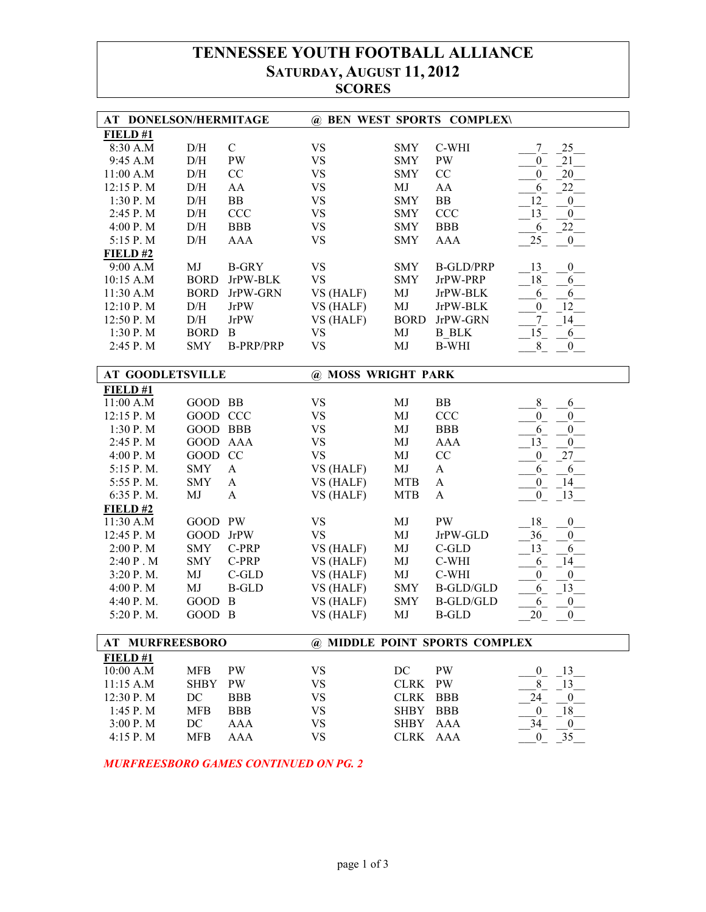## **TENNESSEE YOUTH FOOTBALL ALLIANCE SATURDAY, AUGUST 11, 2012 SCORES**

| AT DONELSON/HERMITAGE   |             |                  |                    |             | @ BEN WEST SPORTS COMPLEX\    |                                      |
|-------------------------|-------------|------------------|--------------------|-------------|-------------------------------|--------------------------------------|
| FIELD#1                 |             |                  |                    |             |                               |                                      |
| 8:30 A.M                | D/H         | $\mathbf C$      | <b>VS</b>          | <b>SMY</b>  | C-WHI                         | 25<br>7                              |
| 9:45 A.M                | $\rm{D/H}$  | <b>PW</b>        | <b>VS</b>          | <b>SMY</b>  | <b>PW</b>                     | $21\,$<br>$\overline{0}$             |
| 11:00 A.M               | D/H         | CC               | <b>VS</b>          | <b>SMY</b>  | CC                            | $20\,$<br>$\mathbf{0}$               |
| 12:15 P.M               | D/H         | AA               | <b>VS</b>          | MJ          | AA                            | 22<br>6                              |
| 1:30 P. M               | D/H         | BB               | <b>VS</b>          | <b>SMY</b>  | BB                            | 12<br>$\boldsymbol{0}$               |
| 2:45 P.M                | D/H         | <b>CCC</b>       | <b>VS</b>          | <b>SMY</b>  | <b>CCC</b>                    | 13<br>$\boldsymbol{0}$               |
| 4:00 P.M                | D/H         | <b>BBB</b>       | <b>VS</b>          | <b>SMY</b>  | <b>BBB</b>                    | 22<br>6                              |
| 5:15 P.M                | D/H         | <b>AAA</b>       | <b>VS</b>          | <b>SMY</b>  | <b>AAA</b>                    | 25<br>$\boldsymbol{0}$               |
| FIELD#2                 |             |                  |                    |             |                               |                                      |
| 9:00 A.M                | MJ          | <b>B-GRY</b>     | <b>VS</b>          | <b>SMY</b>  | <b>B-GLD/PRP</b>              | 13<br>$\boldsymbol{0}$               |
| 10:15 A.M               | <b>BORD</b> | JrPW-BLK         | <b>VS</b>          | <b>SMY</b>  | JrPW-PRP                      | 18<br>6                              |
| 11:30 A.M               | <b>BORD</b> | JrPW-GRN         |                    | MJ          | JrPW-BLK                      | 6                                    |
|                         |             |                  | VS (HALF)          |             |                               | 6                                    |
| 12:10 P.M               | D/H         | <b>JrPW</b>      | VS (HALF)          | MJ          | JrPW-BLK                      | 12<br>$\boldsymbol{0}$               |
| 12:50 P.M               | $\rm{D/H}$  | <b>JrPW</b>      | VS (HALF)          | <b>BORD</b> | JrPW-GRN                      | $\overline{7}$<br>14                 |
| 1:30 P. M               | <b>BORD</b> | B                | <b>VS</b>          | MJ          | <b>B</b> BLK                  | 15<br>6                              |
| 2:45 P.M                | <b>SMY</b>  | <b>B-PRP/PRP</b> | <b>VS</b>          | MJ          | <b>B-WHI</b>                  | 8<br>$\mathbf{0}$                    |
| <b>AT GOODLETSVILLE</b> |             |                  | @ MOSS WRIGHT PARK |             |                               |                                      |
| FIELD #1                |             |                  |                    |             |                               |                                      |
| 11:00 A.M               | GOOD BB     |                  | <b>VS</b>          | MJ          | ${\rm BB}$                    | 8<br>6                               |
| 12:15 P.M               | GOOD CCC    |                  | <b>VS</b>          | MJ          | CCC                           | $\overline{0}$<br>$\overline{0}$     |
|                         | GOOD BBB    |                  | <b>VS</b>          |             | <b>BBB</b>                    |                                      |
| 1:30 P.M                |             |                  |                    | MJ          |                               | 6<br>$\boldsymbol{0}$                |
| 2:45 P.M                | GOOD AAA    |                  | <b>VS</b>          | MJ          | <b>AAA</b>                    | 13<br>$\boldsymbol{0}$               |
| 4:00 P.M                | GOOD CC     |                  | <b>VS</b>          | MJ          | CC                            | $27\,$<br>$\mathbf{0}$               |
| 5:15 P.M.               | <b>SMY</b>  | A                | VS (HALF)          | MJ          | $\mathbf{A}$                  | 6<br>6                               |
| 5:55 P.M.               | <b>SMY</b>  | A                | VS (HALF)          | <b>MTB</b>  | A                             | $^{0}$<br>14                         |
| 6:35 P.M.               | MJ          | $\mathbf{A}$     | VS (HALF)          | <b>MTB</b>  | $\mathbf{A}$                  | 13<br>$\boldsymbol{0}$               |
| $FIED$ #2               | GOOD PW     |                  | <b>VS</b>          | MJ          | PW                            | 18                                   |
| 11:30 A.M               |             |                  |                    |             |                               | $\boldsymbol{0}$                     |
| 12:45 P.M               | GOOD JrPW   |                  | <b>VS</b>          | MJ          | JrPW-GLD                      | 36<br>$\boldsymbol{0}$               |
| 2:00 P.M                | <b>SMY</b>  | C-PRP            | VS (HALF)          | MJ          | $C$ -GLD                      | 13<br>6                              |
| 2:40 P.M                | <b>SMY</b>  | C-PRP            | VS (HALF)          | MJ          | C-WHI                         | 6<br>14                              |
| 3:20 P.M.               | MJ          | C-GLD            | VS (HALF)          | $\rm MJ$    | C-WHI                         | $\boldsymbol{0}$<br>$\boldsymbol{0}$ |
| 4:00 P.M                | MJ          | <b>B-GLD</b>     | VS (HALF)          | <b>SMY</b>  | <b>B-GLD/GLD</b>              | 13<br>6                              |
| 4:40 P.M.               | GOOD B      |                  | VS (HALF)          | <b>SMY</b>  | <b>B-GLD/GLD</b>              | 6<br>$\boldsymbol{0}$                |
| 5:20 P.M.               | GOOD B      |                  | VS (HALF)          | MJ          | <b>B-GLD</b>                  | 20<br>$\boldsymbol{0}$               |
| <b>AT MURFREESBORO</b>  |             |                  |                    |             | @ MIDDLE POINT SPORTS COMPLEX |                                      |
| FIELD#1                 |             |                  |                    |             |                               |                                      |
| 10:00 A.M               | <b>MFB</b>  | <b>PW</b>        | <b>VS</b>          | DC          | <b>PW</b>                     | 13<br>$\overline{0}$                 |
| 11:15 A.M               | <b>SHBY</b> | <b>PW</b>        | <b>VS</b>          | <b>CLRK</b> | PW                            | 8<br>13                              |
| 12:30 P.M               | DC          | <b>BBB</b>       | <b>VS</b>          | <b>CLRK</b> | <b>BBB</b>                    | 24<br>$\bf{0}$                       |
| $1:45$ P. M             | <b>MFB</b>  | <b>BBB</b>       | <b>VS</b>          | <b>SHBY</b> | <b>BBB</b>                    | $\mathbf{0}$<br>18                   |
|                         |             |                  |                    |             | <b>AAA</b>                    |                                      |
| 3:00 P.M                | DC          | <b>AAA</b>       | <b>VS</b>          | <b>SHBY</b> |                               | 34<br>$\boldsymbol{0}$               |
| 4:15 P.M                | <b>MFB</b>  | <b>AAA</b>       | <b>VS</b>          | <b>CLRK</b> | AAA                           | 35<br>$\boldsymbol{0}$               |

*MURFREESBORO GAMES CONTINUED ON PG. 2*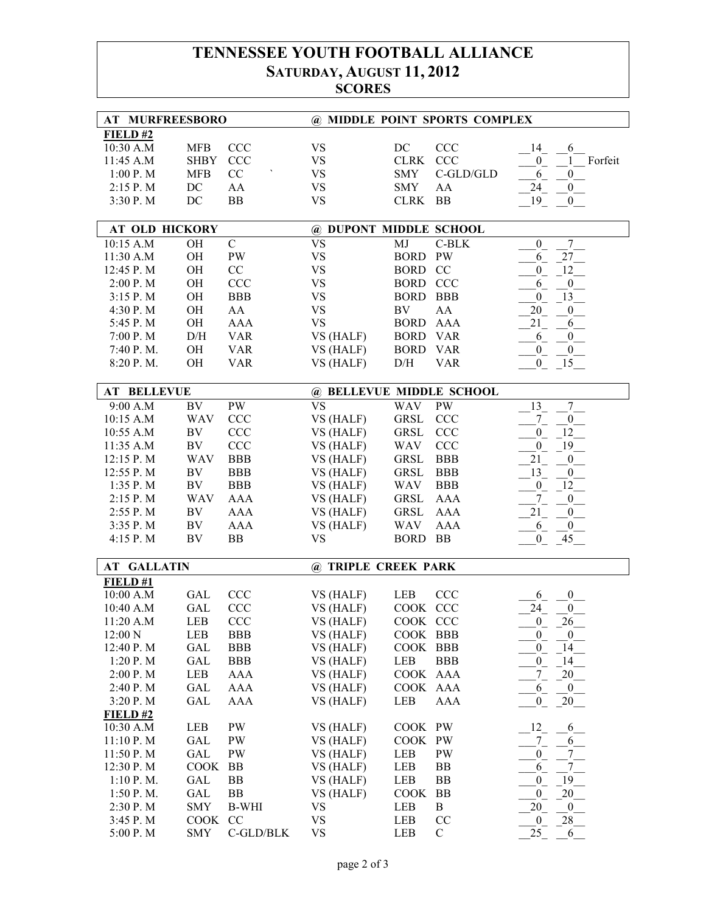## **TENNESSEE YOUTH FOOTBALL ALLIANCE SATURDAY, AUGUST 11, 2012 SCORES**

| AT MURFREESBORO       |             |               | @ MIDDLE POINT SPORTS COMPLEX |                 |              |                                                  |
|-----------------------|-------------|---------------|-------------------------------|-----------------|--------------|--------------------------------------------------|
| $FIED$ #2             |             |               |                               |                 |              |                                                  |
| 10:30 A.M             | <b>MFB</b>  | CCC           | <b>VS</b>                     | DC              | <b>CCC</b>   | 14                                               |
| 11:45 A.M             | <b>SHBY</b> | <b>CCC</b>    | <b>VS</b>                     | <b>CLRK</b>     | CCC          | 6<br>Forfeit<br>$\mathbf{1}$<br>$\boldsymbol{0}$ |
|                       |             | CC            |                               |                 |              |                                                  |
| 1:00 P.M              | <b>MFB</b>  |               | <b>VS</b>                     | <b>SMY</b>      | $C$ -GLD/GLD | 6<br>$\boldsymbol{0}$                            |
| 2:15 P.M              | DC          | AA            | <b>VS</b>                     | <b>SMY</b>      | AA           | 24<br>$\mathbf{0}$                               |
| 3:30 P.M              | DC          | <b>BB</b>     | <b>VS</b>                     | <b>CLRK</b>     | <b>BB</b>    | 19<br>$\overline{0}$                             |
| <b>AT OLD HICKORY</b> |             |               | @ DUPONT MIDDLE SCHOOL        |                 |              |                                                  |
| 10:15 A.M             | OH          | $\mathcal{C}$ | <b>VS</b>                     | MJ              | $C-BLK$      | 7<br>$\boldsymbol{0}$                            |
| 11:30 A.M             | OH          | <b>PW</b>     | <b>VS</b>                     | <b>BORD</b>     | <b>PW</b>    | 27<br>6                                          |
| 12:45 P.M             | OH          | CC            | <b>VS</b>                     | <b>BORD</b>     | CC           | 12<br>$\boldsymbol{0}$                           |
| 2:00 P.M              | OH          | CCC           | <b>VS</b>                     | <b>BORD CCC</b> |              | $\boldsymbol{0}$<br>6                            |
| 3:15 P.M              | OH          | <b>BBB</b>    | <b>VS</b>                     | <b>BORD</b>     | <b>BBB</b>   | 13<br>$\boldsymbol{0}$                           |
|                       | OH          | AA            | <b>VS</b>                     | BV              | AA           | 20                                               |
| 4:30 P.M              | OH          | <b>AAA</b>    | <b>VS</b>                     | <b>BORD</b>     | <b>AAA</b>   | $\boldsymbol{0}$                                 |
| 5:45 P.M              |             |               |                               |                 |              | 21<br>6                                          |
| 7:00 P.M              | D/H         | <b>VAR</b>    | VS (HALF)                     | <b>BORD</b>     | <b>VAR</b>   | $0$ <sub>—</sub><br>6                            |
| 7:40 P.M.             | OH          | <b>VAR</b>    | VS (HALF)                     | <b>BORD</b>     | <b>VAR</b>   | $\overline{0}$<br>$\overline{0}$                 |
| 8:20 P.M.             | OH          | <b>VAR</b>    | VS (HALF)                     | D/H             | <b>VAR</b>   | 15<br>$\overline{0}$                             |
| <b>AT BELLEVUE</b>    |             |               | @ BELLEVUE MIDDLE SCHOOL      |                 |              |                                                  |
| 9:00 A.M              | BV          | PW            | <b>VS</b>                     | <b>WAV</b>      | <b>PW</b>    | $7\overline{)}$<br>13                            |
| 10:15 A.M             | <b>WAV</b>  | <b>CCC</b>    | VS (HALF)                     | ${\tt GRSL}$    | <b>CCC</b>   | $7_{-}$<br>$\overline{0}$                        |
| 10:55 A.M             | BV          | <b>CCC</b>    | VS (HALF)                     | <b>GRSL</b>     | <b>CCC</b>   | 12<br>$\overline{0}$                             |
| 11:35 A.M             | BV          | <b>CCC</b>    | VS (HALF)                     | <b>WAV</b>      | <b>CCC</b>   | 19<br>$\overline{0}$                             |
| 12:15 P.M             | <b>WAV</b>  | <b>BBB</b>    | VS (HALF)                     | <b>GRSL</b>     | <b>BBB</b>   | 21<br>$\boldsymbol{0}$                           |
| 12:55 P.M             | BV          | <b>BBB</b>    | VS (HALF)                     | <b>GRSL</b>     | <b>BBB</b>   | 13<br>$\mathbf{0}$                               |
| 1:35 P.M              | $\rm BV$    | <b>BBB</b>    | VS (HALF)                     | <b>WAV</b>      | <b>BBB</b>   | 12<br>$\boldsymbol{0}$                           |
| 2:15 P.M              | <b>WAV</b>  | <b>AAA</b>    | VS (HALF)                     | <b>GRSL</b>     | <b>AAA</b>   | $7_{-}$<br>$\boldsymbol{0}$                      |
| 2:55 P.M              | BV          | <b>AAA</b>    | VS (HALF)                     | <b>GRSL</b>     | <b>AAA</b>   | 21<br>$\boldsymbol{0}$                           |
| 3:35 P.M              | ${\rm BV}$  | <b>AAA</b>    | VS (HALF)                     | <b>WAV</b>      | <b>AAA</b>   | 6<br>$\boldsymbol{0}$                            |
| 4:15 P.M              | BV          | <b>BB</b>     | <b>VS</b>                     | <b>BORD</b>     | <b>BB</b>    | $\boldsymbol{0}$<br>45                           |
|                       |             |               |                               |                 |              |                                                  |
| <b>AT GALLATIN</b>    |             |               | @ TRIPLE CREEK PARK           |                 |              |                                                  |
| FIELD#1               |             |               |                               |                 |              |                                                  |
| 10:00 A.M             | GAL         | <b>CCC</b>    | VS (HALF)                     | LEB             | <b>CCC</b>   | 6<br>$\boldsymbol{0}$                            |
| 10:40 A.M             | GAL         | CCC           | VS (HALF)                     | COOK CCC        |              | 24<br>$\overline{0}$                             |
| 11:20 A.M             | LEB         | <b>CCC</b>    | VS (HALF)                     | COOK CCC        |              | $^{0}$<br>26                                     |
| 12:00 N               | LEB         | <b>BBB</b>    | VS (HALF)                     | COOK BBB        |              | $\mathbf{0}$<br>$\overline{0}$                   |
| 12:40 P.M             | GAL         | <b>BBB</b>    | VS (HALF)                     | COOK BBB        |              | $\overline{0}$<br>14                             |
| 1:20 P. M             | GAL         | <b>BBB</b>    | VS (HALF)                     | LEB             | <b>BBB</b>   | $\mathbf{0}$<br>14                               |
| 2:00 P.M              | LEB         | AAA           | VS (HALF)                     | COOK AAA        |              | $7\overline{ }$<br>20                            |
| 2:40 P.M              | GAL         | AAA           | VS (HALF)                     | COOK AAA        |              | $\overline{0}$<br>6                              |
| 3:20 P.M              | GAL         | AAA           | VS (HALF)                     | LEB             | AAA          | 20<br>$\mathbf{0}$                               |
| $FIED$ #2             |             |               |                               |                 |              |                                                  |
| 10:30 A.M             | LEB         | PW            | VS (HALF)                     | COOK PW         |              | $^{12}$<br>6                                     |
| 11:10 P.M             | GAL         | PW            | VS (HALF)                     | COOK PW         |              | $\frac{7}{1}$<br>6                               |
| 11:50 P.M             | GAL         | <b>PW</b>     | VS (HALF)                     | LEB             | PW           | $7\phantom{.0}$<br>$\boldsymbol{0}$              |
| 12:30 P.M             | COOK        | BB            | VS (HALF)                     | LEB             | BB           | $7\phantom{.0}$<br>6                             |
| 1:10 P. M.            | GAL         | BB            | VS (HALF)                     | LEB             | BB           | 19<br>$\boldsymbol{0}$                           |
| 1:50 P.M.             | GAL         | BB            | VS (HALF)                     | <b>COOK</b>     | BB           | 20<br>$\mathbf{0}$                               |
| 2:30 P.M              | <b>SMY</b>  | <b>B-WHI</b>  | <b>VS</b>                     | LEB             | B            | 20<br>$\overline{0}$                             |
| 3:45 P.M              | COOK        | CC            | <b>VS</b>                     | LEB             | CC           | 28<br>$\overline{0}$                             |
| 5:00 P.M              | SMY         | C-GLD/BLK     | <b>VS</b>                     | LEB             | $\mathbf C$  | 25<br>6                                          |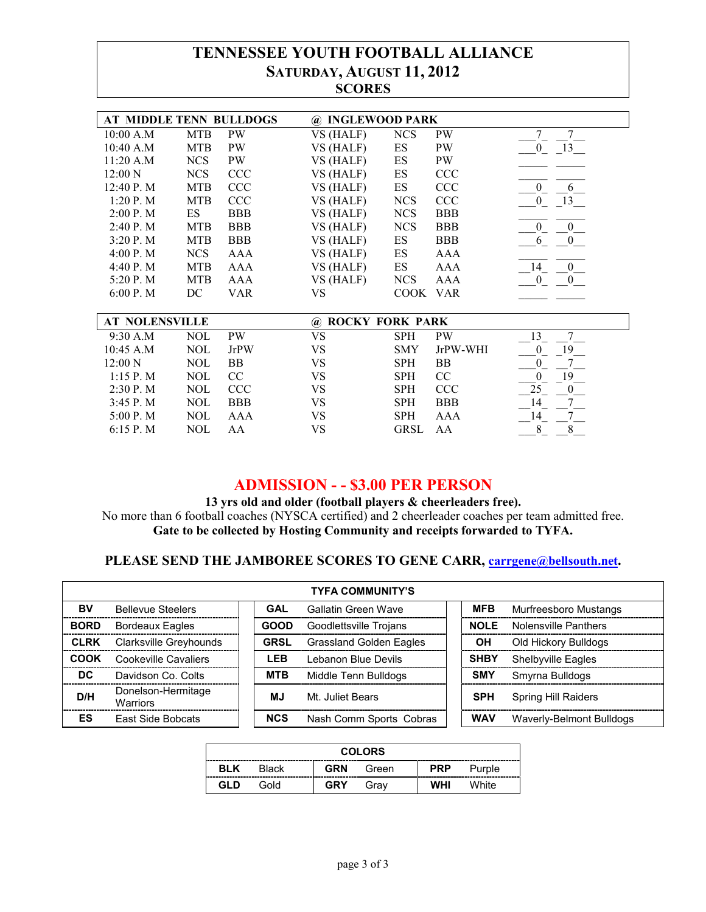## **TENNESSEE YOUTH FOOTBALL ALLIANCE SATURDAY, AUGUST 11, 2012 SCORES**

| AT MIDDLE TENN BULLDOGS |            |             | @ INGLEWOOD PARK                               |             |            |                                |
|-------------------------|------------|-------------|------------------------------------------------|-------------|------------|--------------------------------|
| 10:00 A.M               | <b>MTB</b> | PW          | VS (HALF)                                      | <b>NCS</b>  | <b>PW</b>  | $\tau$<br>7                    |
| 10:40 A.M               | <b>MTB</b> | PW          | VS (HALF)                                      | ES          | <b>PW</b>  | $0 \t 13$                      |
| 11:20 A.M               | <b>NCS</b> | <b>PW</b>   | VS (HALF)                                      | ES          | PW         |                                |
| 12:00 N                 | <b>NCS</b> | <b>CCC</b>  | VS (HALF)                                      | ES          | <b>CCC</b> |                                |
| 12:40 P.M               | <b>MTB</b> | <b>CCC</b>  | VS (HALF)                                      | ES          | CCC        | $\overline{0}$<br>6            |
| 1:20 P. M               | <b>MTB</b> | <b>CCC</b>  | VS (HALF)                                      | <b>NCS</b>  | <b>CCC</b> | $\mathbf{0}$<br>13             |
| 2:00 P. M               | ES         | <b>BBB</b>  | VS (HALF)                                      | <b>NCS</b>  | <b>BBB</b> |                                |
| 2:40 P. M               | <b>MTB</b> | <b>BBB</b>  | VS (HALF)                                      | <b>NCS</b>  | <b>BBB</b> | $\mathbf{0}$<br>$\overline{0}$ |
| 3:20P. M                | <b>MTB</b> | <b>BBB</b>  | VS (HALF)                                      | ES          | <b>BBB</b> | 6<br>$\mathbf{0}$              |
| 4:00 P. M               | <b>NCS</b> | AAA         | VS (HALF)                                      | ES          | AAA        |                                |
| 4:40 P.M                | <b>MTB</b> | AAA         | VS (HALF)                                      | ES          | AAA        | 14<br>$\mathbf{0}$             |
| 5:20 P.M                | <b>MTB</b> | AAA         | VS (HALF)                                      | <b>NCS</b>  | AAA        | $\overline{0}$<br>$\mathbf{0}$ |
| 6:00 P. M               | DC         | <b>VAR</b>  | <b>VS</b>                                      | COOK VAR    |            |                                |
|                         |            |             |                                                |             |            |                                |
| <b>AT NOLENSVILLE</b>   |            |             | <b>ROCKY FORK PARK</b><br>$^{\textregistered}$ |             |            |                                |
| 9:30 A.M                | <b>NOL</b> | PW          | <b>VS</b>                                      | <b>SPH</b>  | <b>PW</b>  | $7\overline{ }$<br>13          |
| 10:45 A.M               | <b>NOL</b> | <b>JrPW</b> | <b>VS</b>                                      | SMY         | JrPW-WHI   | 19<br>$\overline{0}$           |
| 12:00 N                 | <b>NOL</b> | BB          | <b>VS</b>                                      | <b>SPH</b>  | BB         | $\Omega$                       |
| 1:15 P. M               | <b>NOL</b> | CC          | <b>VS</b>                                      | <b>SPH</b>  | CC         | 19<br>$\overline{0}$           |
| 2:30 P. M               | <b>NOL</b> | <b>CCC</b>  | <b>VS</b>                                      | <b>SPH</b>  | <b>CCC</b> | 25<br>$\mathbf{0}$             |
| 3:45 P. M               | <b>NOL</b> | <b>BBB</b>  | VS                                             | SPH         | <b>BBB</b> | $7\overline{ }$<br>14          |
| 5:00 P.M                | <b>NOL</b> | AAA         | VS                                             | SPH         | AAA        | $\tau$<br>14                   |
| 6:15P. M                | <b>NOL</b> | AA          | VS                                             | <b>GRSL</b> | AA         | $8\,$<br>8                     |

## **ADMISSION - - \$3.00 PER PERSON**

**13 yrs old and older (football players & cheerleaders free).**  No more than 6 football coaches (NYSCA certified) and 2 cheerleader coaches per team admitted free. **Gate to be collected by Hosting Community and receipts forwarded to TYFA.**

## **PLEASE SEND THE JAMBOREE SCORES TO GENE CARR, carrgene@bellsouth.net.**

| <b>TYFA COMMUNITY'S</b> |                                       |  |             |                                |  |             |                              |  |  |  |
|-------------------------|---------------------------------------|--|-------------|--------------------------------|--|-------------|------------------------------|--|--|--|
| BV                      | <b>Bellevue Steelers</b>              |  | <b>GAL</b>  | Gallatin Green Wave            |  | <b>MFB</b>  | <b>Murfreesboro Mustangs</b> |  |  |  |
| <b>BORD</b>             | <b>Bordeaux Eagles</b>                |  | <b>GOOD</b> | Goodlettsville Trojans         |  | <b>NOLE</b> | Nolensville Panthers         |  |  |  |
| <b>CLRK</b>             | Clarksville Greyhounds                |  | <b>GRSL</b> | <b>Grassland Golden Eagles</b> |  | OН          | Old Hickory Bulldogs         |  |  |  |
| COOK                    | Cookeville Cavaliers                  |  | <b>LEB</b>  | Lebanon Blue Devils            |  | <b>SHBY</b> | Shelbyville Eagles           |  |  |  |
| DC                      | Davidson Co. Colts                    |  | <b>MTB</b>  | Middle Tenn Bulldogs           |  | <b>SMY</b>  | Smyrna Bulldogs              |  |  |  |
| D/H                     | Donelson-Hermitage<br><b>Warriors</b> |  | <b>MJ</b>   | Mt. Juliet Bears               |  | <b>SPH</b>  | Spring Hill Raiders          |  |  |  |
| ES                      | East Side Bobcats                     |  | <b>NCS</b>  | Nash Comm Sports Cobras        |  | <b>WAV</b>  | Waverly-Belmont Bulldogs     |  |  |  |

| <b>COLORS</b>                                                      |  |  |  |  |  |  |  |
|--------------------------------------------------------------------|--|--|--|--|--|--|--|
| <b>GRN</b><br>BLK<br><b>PRP</b><br><b>Black</b><br>Green<br>Purple |  |  |  |  |  |  |  |
| <b>WHI</b><br><b>GRY</b><br>GLD<br>White<br>Gold<br>Grav           |  |  |  |  |  |  |  |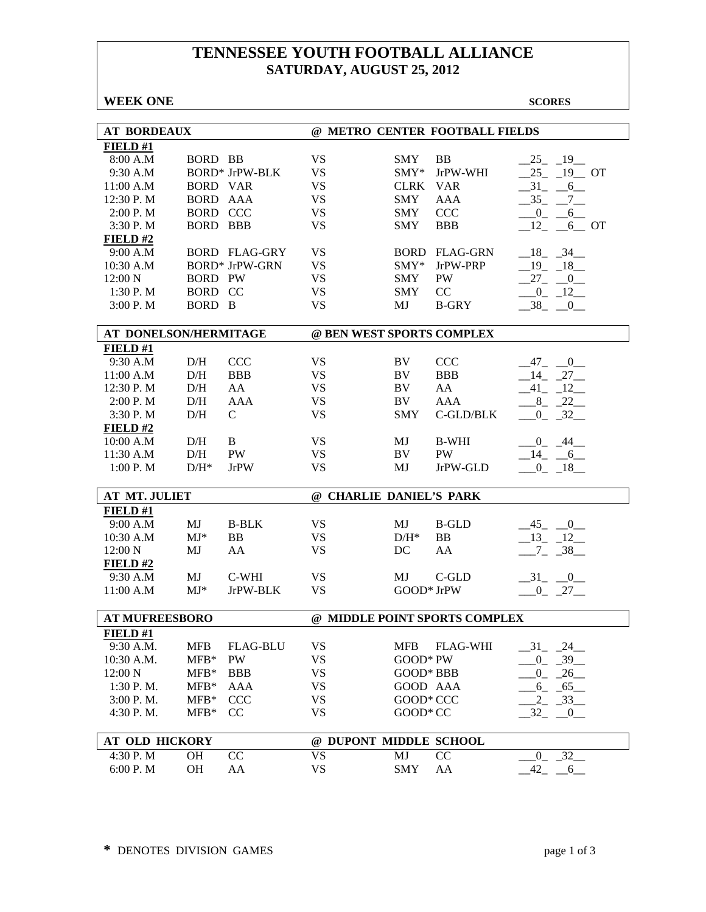## **TENNESSEE YOUTH FOOTBALL ALLIANCE SATURDAY, AUGUST 25, 2012**

| <b>WEEK ONE</b>       |                 |                       |           |                           |                                | <b>SCORES</b>                          |
|-----------------------|-----------------|-----------------------|-----------|---------------------------|--------------------------------|----------------------------------------|
|                       |                 |                       |           |                           |                                |                                        |
| <b>AT BORDEAUX</b>    |                 |                       |           |                           | @ METRO CENTER FOOTBALL FIELDS |                                        |
| FIELD#1               |                 |                       |           |                           |                                |                                        |
| 8:00 A.M              | <b>BORD BB</b>  |                       | <b>VS</b> | <b>SMY</b>                | <b>BB</b>                      | $-19$<br>$-25$                         |
| 9:30 A.M              |                 | <b>BORD* JrPW-BLK</b> | <b>VS</b> | $SMY*$                    | JrPW-WHI                       | $-19$ OT<br>25                         |
| 11:00 A.M             | <b>BORD VAR</b> |                       | <b>VS</b> | <b>CLRK</b>               | <b>VAR</b>                     | $-31$<br>$-6$                          |
| 12:30 P.M             | <b>BORD AAA</b> |                       | <b>VS</b> | <b>SMY</b>                | <b>AAA</b>                     | 35<br>$-7$                             |
| 2:00 P.M              | <b>BORD CCC</b> |                       | <b>VS</b> | <b>SMY</b>                | <b>CCC</b>                     | $\overline{0}$<br>6                    |
| 3:30 P.M              | <b>BORD BBB</b> |                       | <b>VS</b> | <b>SMY</b>                | <b>BBB</b>                     | 12<br>6 OT                             |
| FIELD#2               |                 |                       |           |                           |                                |                                        |
| 9:00 A.M              |                 | <b>BORD FLAG-GRY</b>  | <b>VS</b> | <b>BORD</b>               | FLAG-GRN                       | $-18$ $-34$                            |
| 10:30 A.M             |                 | <b>BORD* JrPW-GRN</b> | <b>VS</b> | $SMY^*$                   | JrPW-PRP                       | $-19 - 18$                             |
| 12:00 N               | <b>BORD PW</b>  |                       | <b>VS</b> | <b>SMY</b>                | PW                             | $27 - 0$                               |
| 1:30P. M              | BORD CC         |                       | VS        | <b>SMY</b>                | CC                             | $-0$ $-12$ $-$                         |
| 3:00P. M              | BORD B          |                       | <b>VS</b> | MJ                        | <b>B-GRY</b>                   | $-38$ $-0$                             |
| AT DONELSON/HERMITAGE |                 |                       |           | @ BEN WEST SPORTS COMPLEX |                                |                                        |
| FIELD#1               |                 |                       |           |                           |                                |                                        |
| 9:30 A.M              | D/H             | <b>CCC</b>            | <b>VS</b> | <b>BV</b>                 | <b>CCC</b>                     | $47_{-}$<br>$\overline{\phantom{0}}^0$ |
| 11:00 A.M             | D/H             | <b>BBB</b>            | <b>VS</b> | BV                        | <b>BBB</b>                     | $-14$ $-27$                            |
| 12:30 P.M             | D/H             | AA                    | <b>VS</b> | BV                        | AA                             | $-41$ $-12$                            |
| 2:00 P. M             | D/H             | AAA                   | <b>VS</b> | BV                        | AAA                            | $8 - 22$                               |
| 3:30 P.M              | D/H             | $\mathcal{C}$         | <b>VS</b> | <b>SMY</b>                | C-GLD/BLK                      | $0 - 32$                               |
| FIELD#2               |                 |                       |           |                           |                                |                                        |
| 10:00 A.M             | D/H             | B                     | <b>VS</b> | MJ                        | <b>B-WHI</b>                   | $0_{-}$<br>44                          |
| 11:30 A.M             | D/H             | <b>PW</b>             | <b>VS</b> | BV                        | <b>PW</b>                      | $14 - 6$                               |
| 1:00 P.M              | $D/H^*$         | <b>JrPW</b>           | <b>VS</b> | MJ                        | JrPW-GLD                       | $-0$ $-18$                             |
| AT MT. JULIET         |                 |                       |           | @ CHARLIE DANIEL'S PARK   |                                |                                        |
| FIELD#1               |                 |                       |           |                           |                                |                                        |
| 9:00 A.M              | MJ              | <b>B-BLK</b>          | <b>VS</b> | MJ                        | <b>B-GLD</b>                   | $-45$ $-0$                             |
| 10:30 A.M             | $MJ^*$          | BB                    | <b>VS</b> | $D/H^*$                   | BB                             | $13 - 12$                              |
| 12:00 N               | MJ              | AA                    | <b>VS</b> | DC                        | AA                             | $7 - 38$                               |
| FIELD#2               |                 |                       |           |                           |                                |                                        |
| 9:30 A.M              | MJ              | C-WHI                 | VS        | MJ                        | C-GLD                          | $-31$ $-0$                             |
| 11:00 A.M             | $MJ^*$          | JrPW-BLK              | <b>VS</b> | GOOD* JrPW                |                                | $-0$ $-27$ $-$                         |
|                       |                 |                       |           |                           |                                |                                        |
| <b>AT MUFREESBORO</b> |                 |                       |           |                           | @ MIDDLE POINT SPORTS COMPLEX  |                                        |
| FIELD#1               |                 |                       |           |                           |                                |                                        |
| 9:30 A.M.             | <b>MFB</b>      | <b>FLAG-BLU</b>       | <b>VS</b> | <b>MFB</b>                | <b>FLAG-WHI</b>                | $-31$<br>24                            |
| 10:30 A.M.            | $MFB*$          | PW                    | <b>VS</b> | GOOD* PW                  |                                | $-0$ $-39$                             |
| 12:00 N               | $MFB*$          | <b>BBB</b>            | <b>VS</b> | GOOD* BBB                 |                                | $-0$ $-26$ $-$                         |
| $1:30$ P. M.          | $MFB*$          | AAA                   | VS        | GOOD AAA                  |                                | $6_{-}$<br>$-65$                       |
| 3:00 P.M.             | $MFB*$          | <b>CCC</b>            | <b>VS</b> | GOOD* CCC                 |                                | $2_{-}$<br>$-33$                       |
| 4:30 P.M.             | $MFB*$          | CC                    | <b>VS</b> | GOOD* CC                  |                                | 32<br>$\overline{\phantom{0}}^0$       |
| <b>AT OLD HICKORY</b> |                 |                       |           | @ DUPONT MIDDLE SCHOOL    |                                |                                        |
| 4:30 P.M              | OН              | CC                    | <b>VS</b> | MJ                        | CC                             | $-32$<br>$\overline{0}$                |
| 6:00 P.M              | OH              | AA                    | <b>VS</b> | <b>SMY</b>                | AA                             | 42<br>$-6$                             |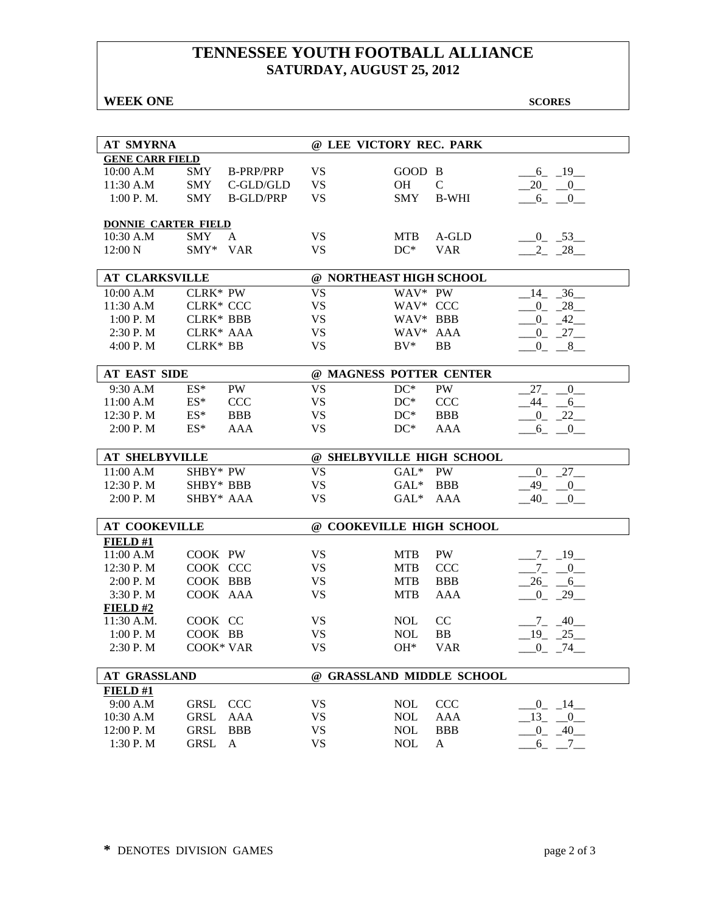## **TENNESSEE YOUTH FOOTBALL ALLIANCE SATURDAY, AUGUST 25, 2012**

#### **WEEK ONE** SCORES

| <b>AT SMYRNA</b>           |                  |                  | @ LEE VICTORY REC. PARK  |            |                           |                           |
|----------------------------|------------------|------------------|--------------------------|------------|---------------------------|---------------------------|
| <b>GENE CARR FIELD</b>     |                  |                  |                          |            |                           |                           |
| 10:00 A.M                  | <b>SMY</b>       | <b>B-PRP/PRP</b> | <b>VS</b>                | GOOD B     |                           | $-6 - 19$                 |
| 11:30 A.M                  | <b>SMY</b>       | $C$ -GLD/GLD     | <b>VS</b>                | OH         | $\mathcal{C}$             | $20 - 0$                  |
| 1:00 P. M.                 | <b>SMY</b>       | <b>B-GLD/PRP</b> | <b>VS</b>                | <b>SMY</b> | <b>B-WHI</b>              | $6_{-}$<br>$\overline{0}$ |
|                            |                  |                  |                          |            |                           |                           |
| <b>DONNIE CARTER FIELD</b> |                  |                  |                          |            |                           |                           |
| 10:30 A.M                  | SMY              | A                | <b>VS</b>                | <b>MTB</b> | A-GLD                     | $-0$ $-53$                |
| 12:00 N                    | SMY* VAR         |                  | <b>VS</b>                | $DC^*$     | <b>VAR</b>                | $-2 - 28$                 |
|                            |                  |                  |                          |            |                           |                           |
| <b>AT CLARKSVILLE</b>      |                  |                  | @ NORTHEAST HIGH SCHOOL  |            |                           |                           |
| 10:00 A.M                  | <b>CLRK* PW</b>  |                  | <b>VS</b>                | WAV* PW    |                           | $14 - 36$                 |
| 11:30 A.M                  | CLRK* CCC        |                  | <b>VS</b>                | WAV* CCC   |                           | $0 - 28$                  |
| 1:00 P. M                  | <b>CLRK* BBB</b> |                  | <b>VS</b>                | WAV* BBB   |                           | $-0$ $-42$                |
| 2:30 P. M                  | CLRK* AAA        |                  | <b>VS</b>                | WAV* AAA   |                           | $-0$ $27$                 |
| 4:00 P.M                   | CLRK* BB         |                  | <b>VS</b>                | $BV^*$     | BB                        | $-0$ _ $-8$ _             |
|                            |                  |                  |                          |            |                           |                           |
| <b>AT EAST SIDE</b>        |                  |                  | @ MAGNESS POTTER CENTER  |            |                           |                           |
| 9:30 A.M                   | $ES^*$           | <b>PW</b>        | <b>VS</b>                | $DC^*$     | PW                        | 27<br>$\mathbf{0}$        |
| 11:00 A.M                  | $ES^*$           | <b>CCC</b>       | <b>VS</b>                | $DC^*$     | <b>CCC</b>                | $-44$ $-6$                |
| 12:30 P.M                  | $ES*$            | <b>BBB</b>       | <b>VS</b>                | $DC^*$     | <b>BBB</b>                | $-0$ $-22$                |
| 2:00 P. M                  | $ES^*$           | AAA              | <b>VS</b>                | $DC^*$     | AAA                       | $-6$ _ $-0$               |
|                            |                  |                  |                          |            |                           |                           |
| <b>AT SHELBYVILLE</b>      |                  |                  |                          |            |                           |                           |
|                            |                  |                  |                          |            | @ SHELBYVILLE HIGH SCHOOL |                           |
| 11:00 A.M                  | SHBY* PW         |                  | <b>VS</b>                | $GAL^*$    | PW                        | $0\qquad 27$              |
| 12:30 P.M                  | SHBY* BBB        |                  | <b>VS</b>                | $GAL^*$    | <b>BBB</b>                | $-49$ $-0$                |
| 2:00 P.M                   | SHBY* AAA        |                  | <b>VS</b>                | $GAL^*$    | AAA                       | $-40$ $-0$ $-$            |
|                            |                  |                  |                          |            |                           |                           |
| <b>AT COOKEVILLE</b>       |                  |                  | @ COOKEVILLE HIGH SCHOOL |            |                           |                           |
| FIELD#1                    |                  |                  |                          |            |                           |                           |
| 11:00 A.M                  | COOK PW          |                  | <b>VS</b>                | <b>MTB</b> | PW                        | $-7 - 19$                 |
| 12:30 P.M                  | COOK CCC         |                  | <b>VS</b>                | <b>MTB</b> | <b>CCC</b>                | $-7 - 0$                  |
| 2:00 P.M                   | COOK BBB         |                  | <b>VS</b>                | <b>MTB</b> | <b>BBB</b>                | $-26$ $-6$                |
| 3:30 P.M                   | COOK AAA         |                  | <b>VS</b>                | <b>MTB</b> | <b>AAA</b>                | $-0$ $-29$                |
| FIELD#2                    |                  |                  |                          |            |                           |                           |
| 11:30 A.M.                 | COOK CC          |                  | <b>VS</b>                | <b>NOL</b> | CC                        |                           |
|                            |                  |                  |                          |            |                           | $-7 - 40$                 |
| 1:00 P. M                  | COOK BB          |                  | <b>VS</b>                | <b>NOL</b> | <b>BB</b>                 | $-19$ $-25$               |
| 2:30 P.M                   | COOK* VAR        |                  | <b>VS</b>                | $OH*$      | <b>VAR</b>                | $-0$ $-74$                |
| <b>AT GRASSLAND</b>        |                  |                  |                          |            | @ GRASSLAND MIDDLE SCHOOL |                           |
| FIELD#1                    |                  |                  |                          |            |                           |                           |
| 9:00 A.M                   | <b>GRSL</b>      | <b>CCC</b>       | <b>VS</b>                | <b>NOL</b> | <b>CCC</b>                | $-0$ $-14$                |
| 10:30 A.M                  | <b>GRSL</b>      | <b>AAA</b>       | <b>VS</b>                | <b>NOL</b> | AAA                       | 13<br>$\mathbf{0}$        |
| 12:00 P.M                  | <b>GRSL</b>      | <b>BBB</b>       | <b>VS</b>                | <b>NOL</b> | <b>BBB</b>                | $^{0}$<br>$-40$           |
| 1:30 P.M                   | <b>GRSL</b>      | A                | <b>VS</b>                | <b>NOL</b> | A                         | $6_{-}$<br>$-7$           |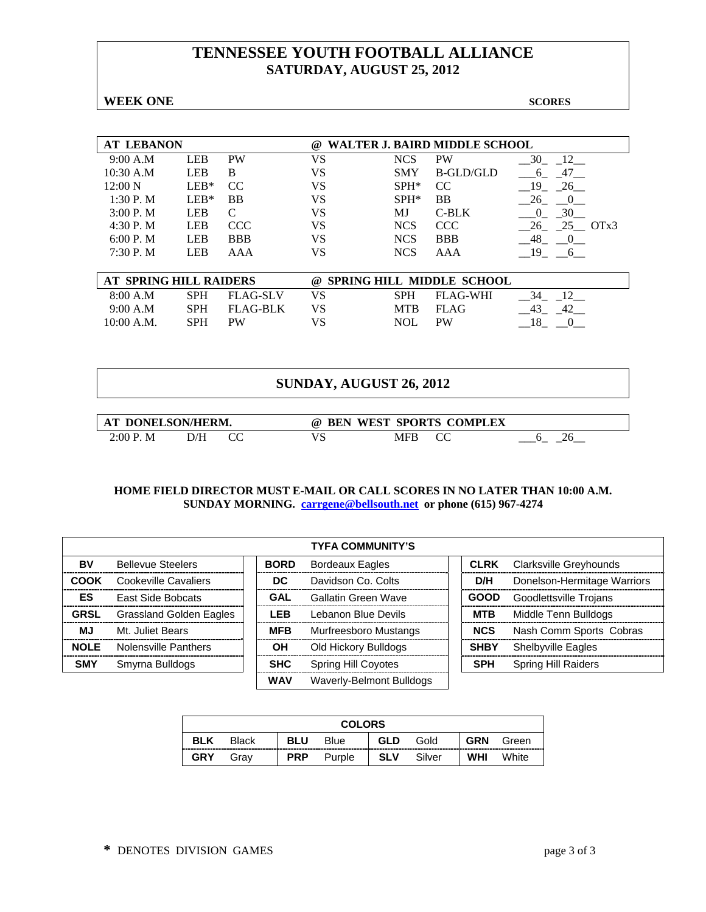## **TENNESSEE YOUTH FOOTBALL ALLIANCE SATURDAY, AUGUST 25, 2012**

**WEEK ONE** SCORES

| <b>AT LEBANON</b> |            |               | $\omega$ |            | WALTER J. BAIRD MIDDLE SCHOOL |                     |
|-------------------|------------|---------------|----------|------------|-------------------------------|---------------------|
| 9:00 A.M          | <b>LEB</b> | <b>PW</b>     | VS       | <b>NCS</b> | <b>PW</b>                     | 30                  |
| 10:30 A.M         | <b>LEB</b> | B             | VS       | <b>SMY</b> | B-GLD/GLD                     | -47<br><sub>0</sub> |
| $12:00\text{ N}$  | $LEB*$     | <sub>CC</sub> | VS       | $SPH*$     | CC                            | 19<br>26            |
| $1:30P$ . M       | $LEB*$     | <b>BB</b>     | VS       | $SPH*$     | <b>BB</b>                     | 26                  |
| 3:00P. M          | <b>LEB</b> |               | VS       | МJ         | C-BLK                         | 30<br>$\theta$      |
| 4:30 P. M         | <b>LEB</b> | <b>CCC</b>    | VS       | <b>NCS</b> | <b>CCC</b>                    | 26<br>$25$ OTx3     |
| 6:00 P. M         | <b>LEB</b> | <b>BBB</b>    | VS       | <b>NCS</b> | <b>BBB</b>                    | 48                  |
| 7:30P. M          | LEB        | AAA           | VS       | <b>NCS</b> | AAA                           | 19                  |
|                   |            |               |          |            |                               |                     |

| AT SPRING HILL RAIDERS |            |           | @ SPRING HILL MIDDLE SCHOOL |          |    |  |  |  |
|------------------------|------------|-----------|-----------------------------|----------|----|--|--|--|
| 8:00 A.M               | <b>SPH</b> | FLAG-SLV  | SPH                         | FLAG-WHI |    |  |  |  |
| 9:00 A.M               | SPH.       | FLAG-BLK  | MTB.                        | FLAG     | 42 |  |  |  |
| 10:00 A.M.             | <b>SPH</b> | <b>PW</b> | NOL.                        | PW       |    |  |  |  |

### **SUNDAY, AUGUST 26, 2012**

| AT DONELSON/HERM. |     | $\omega$ | BEN WEST SPORTS COMPLEX |  |
|-------------------|-----|----------|-------------------------|--|
| 2:00 P.M          | D/Н |          | MFB                     |  |

|             | <b>TYFA COMMUNITY'S</b>        |             |                            |             |  |                               |  |  |  |  |
|-------------|--------------------------------|-------------|----------------------------|-------------|--|-------------------------------|--|--|--|--|
| BV          | <b>Bellevue Steelers</b>       | <b>BORD</b> | <b>Bordeaux Eagles</b>     | <b>CLRK</b> |  | Clarksville Greyhounds        |  |  |  |  |
| <b>COOK</b> | Cookeville Cavaliers           | DC          | Davidson Co. Colts         | D/H         |  | Donelson-Hermitage Warriors   |  |  |  |  |
| ES          | <b>East Side Bobcats</b>       | GAL         | Gallatin Green Wave        | <b>GOOD</b> |  | <b>Goodlettsville Troians</b> |  |  |  |  |
| <b>GRSL</b> | <b>Grassland Golden Eagles</b> | <b>LEB</b>  | Lebanon Blue Devils        | <b>MTB</b>  |  | Middle Tenn Bulldogs          |  |  |  |  |
| MJ.         | Mt. Juliet Bears               | <b>MFB</b>  | Murfreesboro Mustangs      | <b>NCS</b>  |  | Nash Comm Sports Cobras       |  |  |  |  |
| <b>NOLE</b> | Nolensville Panthers           | ΟH          | Old Hickory Bulldogs       | <b>SHBY</b> |  | <b>Shelbyville Eagles</b>     |  |  |  |  |
| <b>SMY</b>  | Smyrna Bulldogs                | <b>SHC</b>  | <b>Spring Hill Coyotes</b> | <b>SPH</b>  |  | <b>Spring Hill Raiders</b>    |  |  |  |  |
|             |                                | <b>WAV</b>  | Waverly-Belmont Bulldogs   |             |  |                               |  |  |  |  |

| <b>COLORS</b> |              |            |             |            |        |            |       |  |
|---------------|--------------|------------|-------------|------------|--------|------------|-------|--|
| <b>BLK</b>    | <b>Black</b> | <b>BLU</b> | <b>Blue</b> | <b>GLD</b> | Gold   | <b>GRN</b> | Green |  |
| <b>GRY</b>    | Grav         | <b>PRP</b> | Purple      | <b>SLV</b> | Silver | WHI        | White |  |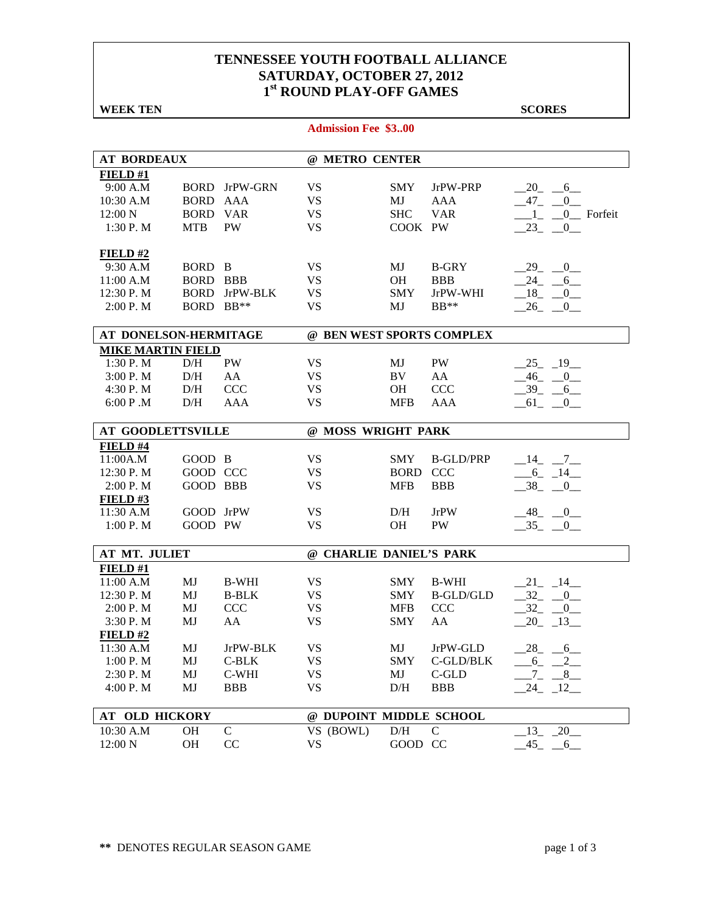### **TENNESSEE YOUTH FOOTBALL ALLIANCE SATURDAY, OCTOBER 27, 2012 1st ROUND PLAY-OFF GAMES**

| <b>WEEK TEN</b>          |                 |                      |                            |             |                  | <b>SCORES</b>                             |
|--------------------------|-----------------|----------------------|----------------------------|-------------|------------------|-------------------------------------------|
|                          |                 |                      | <b>Admission Fee \$300</b> |             |                  |                                           |
|                          |                 |                      |                            |             |                  |                                           |
| <b>AT BORDEAUX</b>       |                 |                      | @ METRO CENTER             |             |                  |                                           |
| FIELD#1                  |                 |                      |                            |             |                  |                                           |
| 9:00 A.M                 |                 | <b>BORD</b> JrPW-GRN | <b>VS</b>                  | <b>SMY</b>  | JrPW-PRP         | $-20$ $-6$ $-$                            |
| 10:30 A.M                | <b>BORD AAA</b> |                      | <b>VS</b>                  | MJ          | AAA              | $47_{-}$<br>$\overline{0}$                |
| 12:00 N                  | <b>BORD VAR</b> |                      | <b>VS</b>                  | <b>SHC</b>  | <b>VAR</b>       | 0_ Forfeit<br>$\overline{1}$              |
| 1:30 P.M                 | <b>MTB</b>      | <b>PW</b>            | <b>VS</b>                  | COOK PW     |                  | $-23$ $-0$                                |
| FIELD#2                  |                 |                      |                            |             |                  |                                           |
| 9:30 A.M                 | BORD B          |                      | <b>VS</b>                  | MJ          | <b>B-GRY</b>     | $-29$ $-0$                                |
| 11:00 A.M                | <b>BORD BBB</b> |                      | <b>VS</b>                  | <b>OH</b>   | <b>BBB</b>       | $-24$ $-6$                                |
| 12:30 P.M                | <b>BORD</b>     | JrPW-BLK             | <b>VS</b>                  | <b>SMY</b>  | JrPW-WHI         | $-18$ $-0$                                |
| 2:00 P. M                | BORD BB**       |                      | <b>VS</b>                  | MJ          | $BB**$           | $-26$ $-0$                                |
| AT DONELSON-HERMITAGE    |                 |                      | @ BEN WEST SPORTS COMPLEX  |             |                  |                                           |
| <b>MIKE MARTIN FIELD</b> |                 |                      |                            |             |                  |                                           |
| 1:30 P.M                 | D/H             | PW                   | <b>VS</b>                  | MJ          | PW               | $-25 - 19$                                |
| 3:00 P.M                 | D/H             | AA                   | <b>VS</b>                  | BV          | AA               | $-46$ $-0$                                |
| 4:30 P.M                 | D/H             | <b>CCC</b>           | <b>VS</b>                  | <b>OH</b>   | CCC              | $-39 - 6$                                 |
|                          |                 | <b>AAA</b>           | <b>VS</b>                  |             |                  |                                           |
| 6:00 P.M                 | D/H             |                      |                            | <b>MFB</b>  | AAA              | $-61$ $-0$                                |
| <b>AT GOODLETTSVILLE</b> |                 |                      | @ MOSS WRIGHT PARK         |             |                  |                                           |
| FIELD #4                 |                 |                      |                            |             |                  |                                           |
| 11:00A.M                 | GOOD B          |                      | <b>VS</b>                  | <b>SMY</b>  | <b>B-GLD/PRP</b> | $-14$ $-7$                                |
| 12:30 P.M                | GOOD CCC        |                      | <b>VS</b>                  | <b>BORD</b> | <b>CCC</b>       | $-6 - 14$                                 |
| 2:00 P. M                | GOOD BBB        |                      | <b>VS</b>                  | <b>MFB</b>  | <b>BBB</b>       | $-38$ $-0$                                |
| FIELD#3                  |                 |                      |                            |             |                  |                                           |
| 11:30 A.M                | GOOD JrPW       |                      | <b>VS</b>                  | D/H         | JrPW             | $-48$ <sub>-</sub> $-0$                   |
| 1:00 P.M                 | GOOD PW         |                      | <b>VS</b>                  | <b>OH</b>   | <b>PW</b>        | $-35 - 0$                                 |
|                          |                 |                      |                            |             |                  |                                           |
| AT MT. JULIET            |                 |                      | @ CHARLIE DANIEL'S PARK    |             |                  |                                           |
| FIELD#1                  |                 |                      |                            |             |                  |                                           |
| 11:00 A.M                | MJ              | <b>B-WHI</b>         | <b>VS</b>                  | <b>SMY</b>  | <b>B-WHI</b>     | $-21$ $-14$ $-$                           |
| 12:30 P.M                | MJ              | <b>B-BLK</b>         | <b>VS</b>                  | <b>SMY</b>  | <b>B-GLD/GLD</b> | $-32$<br>$\begin{array}{c} 0 \end{array}$ |
| 2:00 P.M                 | MJ              | <b>CCC</b>           | <b>VS</b>                  | <b>MFB</b>  | <b>CCC</b>       | $32_{-}$<br>$\mathbf{0}$                  |
| 3:30 P.M                 | MJ              | AA                   | <b>VS</b>                  | SMY AA      |                  | $20 - 13$                                 |
| FIELD#2                  |                 |                      |                            |             |                  |                                           |
| 11:30 A.M                | MJ              | JrPW-BLK             | <b>VS</b>                  | MJ          | JrPW-GLD         | $-28$ <sub>-</sub> $-6$                   |
| 1:00 P.M                 | MJ              | $C-BLK$              | <b>VS</b>                  | <b>SMY</b>  | C-GLD/BLK        | $-6 - 2$                                  |
| 2:30 P.M                 | MJ              | C-WHI                | <b>VS</b>                  | MJ          | C-GLD            | $-7 - 8$                                  |
| 4:00 P.M                 | MJ              | <b>BBB</b>           | <b>VS</b>                  | D/H         | <b>BBB</b>       | $-24$ $-12$ $-$                           |
|                          |                 |                      |                            |             |                  |                                           |
| AT OLD HICKORY           |                 |                      | @ DUPOINT MIDDLE SCHOOL    |             |                  |                                           |
| $10:30$ A.M              | <b>OH</b>       | $\mathbf C$          | VS (BOWL)                  | D/H         | $\mathsf{C}$     | $-20$<br>13                               |
| 12:00 N                  | <b>OH</b>       | CC                   | <b>VS</b>                  | GOOD CC     |                  | $-45$<br>$-6$                             |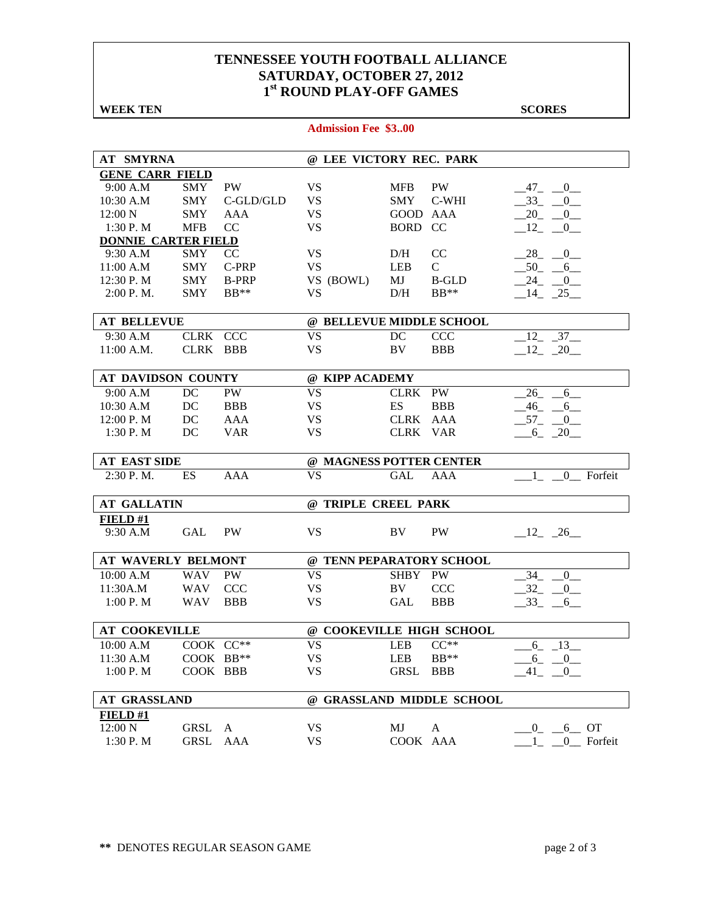### **TENNESSEE YOUTH FOOTBALL ALLIANCE SATURDAY, OCTOBER 27, 2012 1st ROUND PLAY-OFF GAMES**

**Admission Fee \$3..00**

**WEEK TEN** SCORES

| <b>AT SMYRNA</b>           |            |              | @ LEE VICTORY REC. PARK  |            |                           |                      |
|----------------------------|------------|--------------|--------------------------|------------|---------------------------|----------------------|
| <b>GENE CARR FIELD</b>     |            |              |                          |            |                           |                      |
| 9:00 A.M                   | SMY        | <b>PW</b>    | <b>VS</b>                | <b>MFB</b> | <b>PW</b>                 | 47 0                 |
| 10:30 A.M                  | <b>SMY</b> | C-GLD/GLD    | <b>VS</b>                | <b>SMY</b> | C-WHI                     | $-33 - 0$            |
| $12:00\text{ N}$           | <b>SMY</b> | AAA          | VS                       | GOOD AAA   |                           | $-20$ $-0$ $-$       |
| 1:30 P.M                   | <b>MFB</b> | CC           | <b>VS</b>                | BORD CC    |                           | $-12$ $-0$           |
| <b>DONNIE CARTER FIELD</b> |            |              |                          |            |                           |                      |
| 9:30 A.M                   | <b>SMY</b> | CC           | <b>VS</b>                | D/H        | CC                        | $-28$ $-0$           |
| 11:00 A.M                  | <b>SMY</b> | C-PRP        | <b>VS</b>                | LEB        | $\mathbf{C}$              | $-50$ $-6$           |
| 12:30 P. M                 | <b>SMY</b> | <b>B-PRP</b> | VS (BOWL)                | MJ         | <b>B-GLD</b>              | $-24$ $-0$           |
| 2:00 P. M.                 | <b>SMY</b> | $BB**$       | <b>VS</b>                | D/H        | $BB**$                    | $-14$ $-25$          |
|                            |            |              |                          |            |                           |                      |
| <b>AT BELLEVUE</b>         |            |              | @ BELLEVUE MIDDLE SCHOOL |            |                           |                      |
| 9:30 A.M                   | CLRK CCC   |              | <b>VS</b>                | DC         | <b>CCC</b>                | $-12 - 37$           |
| $11:00$ A.M.               | CLRK BBB   |              | <b>VS</b>                | BV         | <b>BBB</b>                | $-12$ $-20$          |
|                            |            |              |                          |            |                           |                      |
| AT DAVIDSON COUNTY         |            |              | @ KIPP ACADEMY           |            |                           |                      |
| 9:00 A.M                   | DC         | PW           | <b>VS</b>                | CLRK PW    |                           | $-26 - 6$            |
| 10:30 A.M                  | DC         | <b>BBB</b>   | <b>VS</b>                | <b>ES</b>  | <b>BBB</b>                | $-46$ $-6$           |
| 12:00 P. M                 | DC         | <b>AAA</b>   | <b>VS</b>                | CLRK AAA   |                           | $-57$ $-0$           |
| 1:30P. M                   | DC         | <b>VAR</b>   | <b>VS</b>                | CLRK VAR   |                           | $-6 - 20$            |
|                            |            |              |                          |            |                           |                      |
| <b>AT EAST SIDE</b>        |            |              | @ MAGNESS POTTER CENTER  |            |                           |                      |
| 2:30 P.M.                  | <b>ES</b>  | <b>AAA</b>   | <b>VS</b>                | <b>GAL</b> | <b>AAA</b>                | 1 0 Forfeit          |
| <b>AT GALLATIN</b>         |            |              | @ TRIPLE CREEL PARK      |            |                           |                      |
|                            |            |              |                          |            |                           |                      |
| <b>FIELD #1</b>            |            |              |                          |            |                           |                      |
| 9:30 A.M                   | GAL        | <b>PW</b>    | <b>VS</b>                | BV.        | <b>PW</b>                 | $-12 - 26$           |
| AT WAVERLY BELMONT         |            |              | @ TENN PEPARATORY SCHOOL |            |                           |                      |
| 10:00 A.M                  | WAV PW     |              | <b>VS</b>                | SHBY PW    |                           | 34<br>$\overline{0}$ |
| 11:30A.M                   | WAV        | <b>CCC</b>   | VS                       | BV         | <b>CCC</b>                | 32<br>0              |
| 1:00 P. M                  | WAV        | <b>BBB</b>   | <b>VS</b>                | GAL        | <b>BBB</b>                | $-33$ $-6$           |
|                            |            |              |                          |            |                           |                      |
| <b>AT COOKEVILLE</b>       |            |              | @ COOKEVILLE HIGH SCHOOL |            |                           |                      |
| 10:00 A.M                  | COOK CC**  |              | <b>VS</b>                | <b>LEB</b> | $CC**$                    | 6<br>13              |
| 11:30 A.M                  | COOK BB**  |              | <b>VS</b>                | LEB        | $BB**$                    | $-6 - 0$             |
| 1:00 P.M                   | COOK BBB   |              | VS                       | GRSL       | <b>BBB</b>                | 41<br>$\overline{0}$ |
|                            |            |              |                          |            |                           |                      |
| <b>AT GRASSLAND</b>        |            |              |                          |            | @ GRASSLAND MIDDLE SCHOOL |                      |
| FIELD #1                   |            |              |                          |            |                           |                      |
| 12:00 N                    | GRSL       | A            | <b>VS</b>                | MJ         | $\mathbf{A}$              | $-6$ OT<br>0         |
| 1:30 P.M                   | GRSL       | <b>AAA</b>   | VS                       | COOK AAA   |                           | 0 Forfeit            |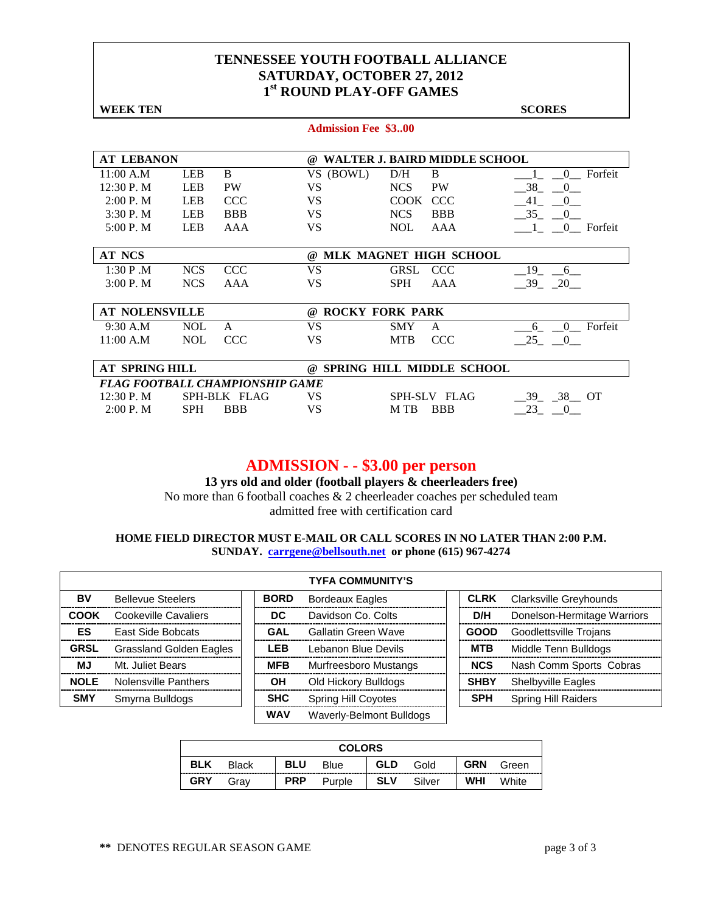#### **TENNESSEE YOUTH FOOTBALL ALLIANCE SATURDAY, OCTOBER 27, 2012 1st ROUND PLAY-OFF GAMES**

| <b>WEEK TEN</b>       |            |                                        |                            |                 |                                      | <b>SCORES</b>                             |
|-----------------------|------------|----------------------------------------|----------------------------|-----------------|--------------------------------------|-------------------------------------------|
|                       |            |                                        | <b>Admission Fee \$300</b> |                 |                                      |                                           |
| <b>AT LEBANON</b>     |            |                                        | $\omega$                   |                 | <b>WALTER J. BAIRD MIDDLE SCHOOL</b> |                                           |
| 11:00 A.M             | <b>LEB</b> | B                                      | VS (BOWL)                  | B<br>D/H        |                                      | Forfeit<br>$\mathbf{0}$                   |
| 12:30 P.M             | <b>LEB</b> | <b>PW</b>                              | <b>VS</b>                  | <b>NCS</b>      | <b>PW</b>                            | 38<br>$\begin{array}{c} 0 \end{array}$    |
| 2:00 P. M             | <b>LEB</b> | <b>CCC</b>                             | VS.                        | <b>COOK</b>     | <b>CCC</b>                           | $-41$<br>$\begin{array}{c} 0 \end{array}$ |
| 3:30 P.M              | <b>LEB</b> | <b>BBB</b>                             | <b>VS</b>                  | <b>NCS</b>      | <b>BBB</b>                           | $-35$<br>$\hspace{1.6cm}0\hspace{1.1cm}$  |
| 5:00 P.M              | <b>LEB</b> | AAA                                    | <b>VS</b>                  | <b>NOL</b>      | AAA                                  | 1 0 Forfeit                               |
| <b>AT NCS</b>         |            |                                        | $\omega$                   |                 | MLK MAGNET HIGH SCHOOL               |                                           |
| 1:30 P.M              | <b>NCS</b> | <b>CCC</b>                             | <b>VS</b>                  | GRSL            | <b>CCC</b>                           | 19<br>6                                   |
| 3:00 P. M             | <b>NCS</b> | AAA                                    | <b>VS</b>                  | <b>SPH</b>      | AAA                                  | $-39 - 20$                                |
| <b>AT NOLENSVILLE</b> |            |                                        | @ ROCKY FORK PARK          |                 |                                      |                                           |
| $9:30$ A.M            | <b>NOL</b> | A                                      | <b>VS</b>                  | <b>SMY</b><br>A |                                      | Forfeit<br>6<br>$\theta$                  |
| 11:00 A.M             | <b>NOL</b> | <b>CCC</b>                             | <b>VS</b>                  | <b>MTB</b>      | <b>CCC</b>                           | $-25$ $-0$                                |
| <b>AT SPRING HILL</b> |            |                                        | $\omega$                   |                 | <b>SPRING HILL MIDDLE SCHOOL</b>     |                                           |
|                       |            | <b>FLAG FOOTBALL CHAMPIONSHIP GAME</b> |                            |                 |                                      |                                           |
| 12:30 P.M             |            | SPH-BLK FLAG                           | <b>VS</b>                  | SPH-SLV FLAG    |                                      | $-39 - 38 - 0T$                           |

## **ADMISSION - - \$3.00 per person**

2:00 P. M SPH BBB VS M TB BBB  $\_23\_ 0\_$ 

**13 yrs old and older (football players & cheerleaders free)** No more than 6 football coaches & 2 cheerleader coaches per scheduled team

admitted free with certification card

|             |                                |             | <b>TYFA COMMUNITY'S</b>    |             |                             |
|-------------|--------------------------------|-------------|----------------------------|-------------|-----------------------------|
| BV          | <b>Bellevue Steelers</b>       | <b>BORD</b> | <b>Bordeaux Eagles</b>     | <b>CLRK</b> | Clarksville Greyhounds      |
| <b>COOK</b> | Cookeville Cavaliers           | DC.         | Davidson Co. Colts         | D/H         | Donelson-Hermitage Warriors |
| ES          | East Side Bobcats              | <b>GAL</b>  | <b>Gallatin Green Wave</b> | <b>GOOD</b> | Goodlettsville Trojans      |
| <b>GRSL</b> | <b>Grassland Golden Eagles</b> | <b>LEB</b>  | Lebanon Blue Devils        | <b>MTB</b>  | Middle Tenn Bulldogs        |
| MJ          | Mt. Juliet Bears               | <b>MFB</b>  | Murfreesboro Mustangs      | <b>NCS</b>  | Nash Comm Sports Cobras     |
| <b>NOLE</b> | Nolensville Panthers           | OН          | Old Hickory Bulldogs       | <b>SHBY</b> | <b>Shelbyville Eagles</b>   |
| <b>SMY</b>  | Smyrna Bulldogs                | <b>SHC</b>  | <b>Spring Hill Coyotes</b> | <b>SPH</b>  | <b>Spring Hill Raiders</b>  |
|             |                                | <b>WAV</b>  | Waverly-Belmont Bulldogs   |             |                             |

| <b>COLORS</b> |              |            |        |            |        |            |       |  |
|---------------|--------------|------------|--------|------------|--------|------------|-------|--|
| <b>BLK</b>    | <b>Black</b> | <b>BLU</b> | Blue   | <b>GLD</b> | Gold   | <b>GRN</b> | Green |  |
| <b>GRY</b>    | Grav         | <b>PRP</b> | Purple | SLV        | Silver | <b>WHI</b> | White |  |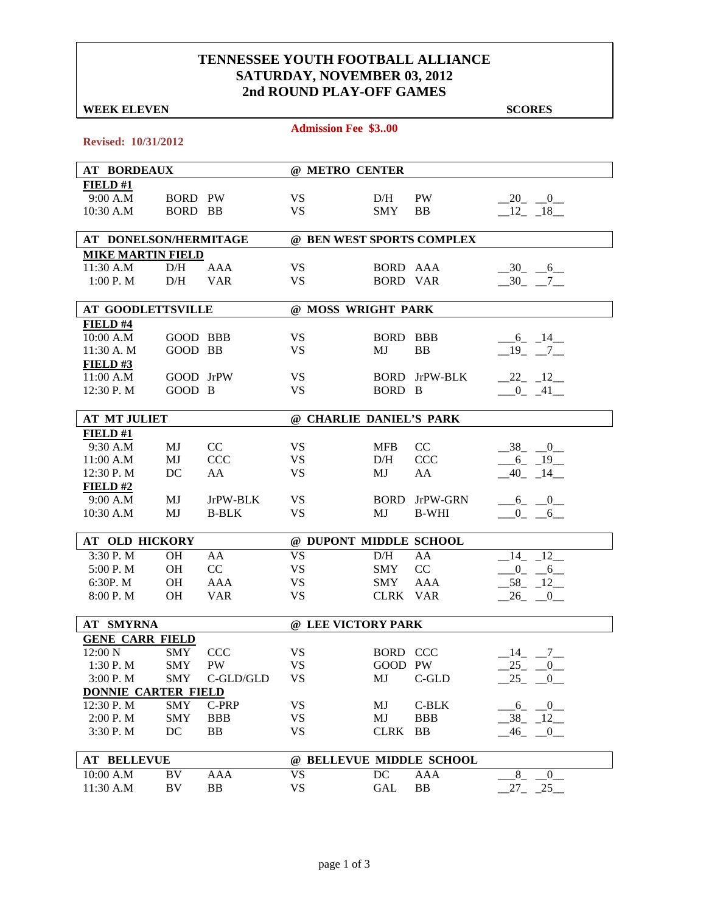### **TENNESSEE YOUTH FOOTBALL ALLIANCE SATURDAY, NOVEMBER 03, 2012 2nd ROUND PLAY-OFF GAMES**

**Admission Fee \$3..00**

#### **WEEK ELEVEN** SCORES

| Revised: 10/31/2012        |            |              |                           |                 |                      |                         |  |  |
|----------------------------|------------|--------------|---------------------------|-----------------|----------------------|-------------------------|--|--|
| <b>AT BORDEAUX</b>         |            |              | @ METRO CENTER            |                 |                      |                         |  |  |
| FIELD#1                    |            |              |                           |                 |                      |                         |  |  |
| 9:00 A.M                   | BORD PW    |              | <b>VS</b>                 | D/H             | <b>PW</b>            | $-20$ $-0$              |  |  |
| 10:30 A.M                  | BORD BB    |              | <b>VS</b>                 | <b>SMY</b>      | <b>BB</b>            | $-12 - 18$              |  |  |
|                            |            |              |                           |                 |                      |                         |  |  |
| AT DONELSON/HERMITAGE      |            |              | @ BEN WEST SPORTS COMPLEX |                 |                      |                         |  |  |
| <b>MIKE MARTIN FIELD</b>   |            |              |                           |                 |                      |                         |  |  |
| 11:30 A.M                  | D/H        | AAA          | <b>VS</b>                 | BORD AAA        |                      | $-30$ $-6$              |  |  |
| 1:00 P. M                  | D/H        | <b>VAR</b>   | <b>VS</b>                 | <b>BORD VAR</b> |                      | $-30$ $-7$ $-$          |  |  |
| <b>AT GOODLETTSVILLE</b>   |            |              | @ MOSS WRIGHT PARK        |                 |                      |                         |  |  |
| FIELD #4                   |            |              |                           |                 |                      |                         |  |  |
| 10:00 A.M                  | GOOD BBB   |              | <b>VS</b>                 | BORD BBB        |                      | $-6 - 14$               |  |  |
| 11:30 A. M                 | GOOD BB    |              | <b>VS</b>                 | MJ              | <b>BB</b>            | $-19$ $-7$              |  |  |
| FIELD#3                    |            |              |                           |                 |                      |                         |  |  |
| 11:00 A.M                  | GOOD JrPW  |              | <b>VS</b>                 |                 | <b>BORD</b> JrPW-BLK | $-22 - 12$              |  |  |
| 12:30 P.M                  | GOOD B     |              | <b>VS</b>                 | BORD B          |                      | $-0$ $-41$              |  |  |
| <b>AT MT JULIET</b>        |            |              | @ CHARLIE DANIEL'S PARK   |                 |                      |                         |  |  |
| FIELD#1                    |            |              |                           |                 |                      |                         |  |  |
| 9:30 A.M                   | MJ         | CC           | <b>VS</b>                 | <b>MFB</b>      | CC                   | $-38$ $-0$              |  |  |
| 11:00 A.M                  | MJ         | <b>CCC</b>   | <b>VS</b>                 | D/H             | <b>CCC</b>           | $-6 - 19$               |  |  |
| 12:30 P.M                  | DC         | AA           | <b>VS</b>                 | MJ              | AA                   | $-40$ $-14$ $-$         |  |  |
| FIELD#2                    |            |              |                           |                 |                      |                         |  |  |
| 9:00 A.M                   | MJ         | JrPW-BLK     | <b>VS</b>                 |                 | <b>BORD</b> JrPW-GRN | $-6 - 0$                |  |  |
| 10:30 A.M                  | MJ         | <b>B-BLK</b> | <b>VS</b>                 | MJ              | <b>B-WHI</b>         | $0 \t\t 6$              |  |  |
|                            |            |              |                           |                 |                      |                         |  |  |
| AT OLD HICKORY             |            |              | @ DUPONT MIDDLE SCHOOL    |                 |                      |                         |  |  |
| 3:30 P.M                   | <b>OH</b>  | AA           | <b>VS</b>                 | D/H             | AA                   | $-14$ $-12$             |  |  |
| 5:00 P.M                   | <b>OH</b>  | CC           | <b>VS</b>                 | <b>SMY</b>      | CC                   | $-0$ $-6$               |  |  |
| 6:30P. M                   | <b>OH</b>  | <b>AAA</b>   | <b>VS</b>                 | SMY             | <b>AAA</b>           | $-58$ $-12$ $-$         |  |  |
| 8:00 P.M                   | <b>OH</b>  | <b>VAR</b>   | <b>VS</b>                 | CLRK VAR        |                      | $26 - 0$                |  |  |
| <b>AT SMYRNA</b>           |            |              | @ LEE VICTORY PARK        |                 |                      |                         |  |  |
| <b>GENE CARR FIELD</b>     |            |              |                           |                 |                      |                         |  |  |
| 12:00 N                    | SMY CCC    |              | <b>VS</b>                 | BORD CCC        |                      | $-14$ $-7$              |  |  |
| 1:30 P.M                   | <b>SMY</b> | <b>PW</b>    | <b>VS</b>                 | GOOD PW         |                      | $-25$<br>$-0$           |  |  |
| 3:00 P.M                   | <b>SMY</b> | C-GLD/GLD    | <b>VS</b>                 | MJ              | C-GLD                | 25<br>$-0$              |  |  |
| <b>DONNIE CARTER FIELD</b> |            |              |                           |                 |                      |                         |  |  |
| 12:30 P.M                  | <b>SMY</b> | C-PRP        | <b>VS</b>                 | MJ              | C-BLK                | $-6 - 0$                |  |  |
| 2:00 P.M                   | <b>SMY</b> | BBB          | <b>VS</b>                 | MJ              | <b>BBB</b>           | $-38$ $-12$             |  |  |
| 3:30 P.M                   | DC         | <b>BB</b>    | <b>VS</b>                 | <b>CLRK</b>     | BB                   | $-46$ <sub>-</sub> $-0$ |  |  |
|                            |            |              |                           |                 |                      |                         |  |  |
| <b>AT BELLEVUE</b>         |            |              | @ BELLEVUE MIDDLE SCHOOL  |                 |                      |                         |  |  |
| 10:00 A.M                  | BV         | AAA          | <b>VS</b>                 | DC              | AAA                  | 8<br>$\overline{0}$     |  |  |
| 11:30 A.M                  | BV         | BB           | <b>VS</b>                 | GAL             | <b>BB</b>            | $27 - 25$               |  |  |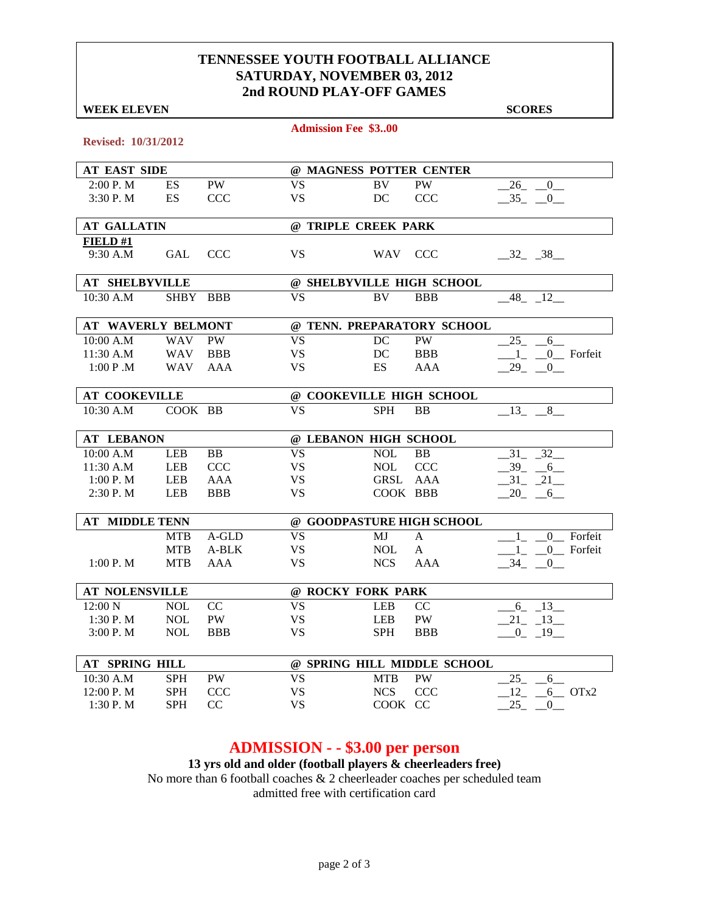#### **TENNESSEE YOUTH FOOTBALL ALLIANCE SATURDAY, NOVEMBER 03, 2012 2nd ROUND PLAY-OFF GAMES**

| <b>WEEK ELEVEN</b>         |            |            |           |                             |               | <b>SCORES</b>               |
|----------------------------|------------|------------|-----------|-----------------------------|---------------|-----------------------------|
|                            |            |            |           | <b>Admission Fee \$300</b>  |               |                             |
| <b>Revised: 10/31/2012</b> |            |            |           |                             |               |                             |
| <b>AT EAST SIDE</b>        |            |            |           | @ MAGNESS POTTER CENTER     |               |                             |
| 2:00 P.M                   | ES         | <b>PW</b>  | <b>VS</b> | BV                          | <b>PW</b>     | 26<br>$\overline{0}$        |
| 3:30 P.M                   | ES         | <b>CCC</b> | <b>VS</b> | DC                          | <b>CCC</b>    | $-35 - 0$                   |
| <b>AT GALLATIN</b>         |            |            |           | @ TRIPLE CREEK PARK         |               |                             |
| FIELD#1                    |            |            |           |                             |               |                             |
| 9:30 A.M                   | GAL        | <b>CCC</b> | <b>VS</b> | WAV CCC                     |               | $-32 - 38$                  |
| <b>AT SHELBYVILLE</b>      |            |            |           | @ SHELBYVILLE HIGH SCHOOL   |               |                             |
| 10:30 A.M                  | SHBY BBB   |            | <b>VS</b> | BV                          | <b>BBB</b>    | 48 12                       |
| <b>AT WAVERLY BELMONT</b>  |            |            |           | @ TENN. PREPARATORY SCHOOL  |               |                             |
| 10:00 A.M                  | <b>WAV</b> | <b>PW</b>  | <b>VS</b> | DC                          | <b>PW</b>     | $25 - 6$                    |
| 11:30 A.M                  | <b>WAV</b> | <b>BBB</b> | <b>VS</b> | DC                          | <b>BBB</b>    | $1_{-}$ $0_{-}$ Forfeit     |
| 1:00 P.M                   | <b>WAV</b> | AAA        | <b>VS</b> | ES                          | AAA           | $-29$ $-0$                  |
| <b>AT COOKEVILLE</b>       |            |            |           | @ COOKEVILLE HIGH SCHOOL    |               |                             |
| 10:30 A.M                  | COOK BB    |            | <b>VS</b> | <b>SPH</b>                  | <b>BB</b>     | $-13$ , $-8$                |
| <b>AT LEBANON</b>          |            |            |           | @ LEBANON HIGH SCHOOL       |               |                             |
| 10:00 A.M                  | <b>LEB</b> | BB         | <b>VS</b> | <b>NOL</b>                  | <b>BB</b>     | 31 32                       |
| 11:30 A.M                  | <b>LEB</b> | <b>CCC</b> | <b>VS</b> | <b>NOL</b>                  | <b>CCC</b>    | $-39 - -6$                  |
| 1:00 P. M                  | <b>LEB</b> | <b>AAA</b> | <b>VS</b> | GRSL                        | AAA           | $-31 - 21$                  |
| 2:30P. M                   | <b>LEB</b> | <b>BBB</b> | <b>VS</b> | COOK BBB                    |               | $-20$ $-6$                  |
| <b>AT MIDDLE TENN</b>      |            |            |           | @ GOODPASTURE HIGH SCHOOL   |               |                             |
|                            | <b>MTB</b> | A-GLD      | <b>VS</b> | MJ                          | $\mathbf{A}$  | $\overline{0}$ Forfeit<br>1 |
|                            | <b>MTB</b> | A-BLK      | <b>VS</b> | <b>NOL</b>                  | A             | $1_{-}$ $0_{-}$ Forfeit     |
| 1:00 P. M                  | <b>MTB</b> | AAA        | <b>VS</b> | <b>NCS</b>                  | AAA           | $-34$ $-0$ $-$              |
| AT NOLENSVILLE             |            |            |           | @ ROCKY FORK PARK           |               |                             |
| 12:00 N                    | <b>NOL</b> | CC         | <b>VS</b> | <b>LEB</b>                  | <sub>CC</sub> | $6 - 13$                    |
| 1:30 P.M                   | $\rm NOL$  | PW         | VS        | LEB                         | PW            | $-21 - 13$                  |
| 3:00 P.M                   | <b>NOL</b> | <b>BBB</b> | <b>VS</b> | <b>SPH</b>                  | <b>BBB</b>    | $-0$ $-19$ $-$              |
| AT SPRING HILL             |            |            |           | @ SPRING HILL MIDDLE SCHOOL |               |                             |
| 10:30 A.M                  | <b>SPH</b> | PW         | <b>VS</b> | <b>MTB</b>                  | PW            | 25<br>6                     |
| 12:00 P.M                  | <b>SPH</b> | CCC        | <b>VS</b> | <b>NCS</b>                  | CCC           | 12<br>$6$ OTx2              |
| 1:30 P.M                   | <b>SPH</b> | CC         | <b>VS</b> | COOK CC                     |               | 25<br>$\overline{0}$        |

### **ADMISSION - - \$3.00 per person**

**13 yrs old and older (football players & cheerleaders free)** No more than 6 football coaches & 2 cheerleader coaches per scheduled team admitted free with certification card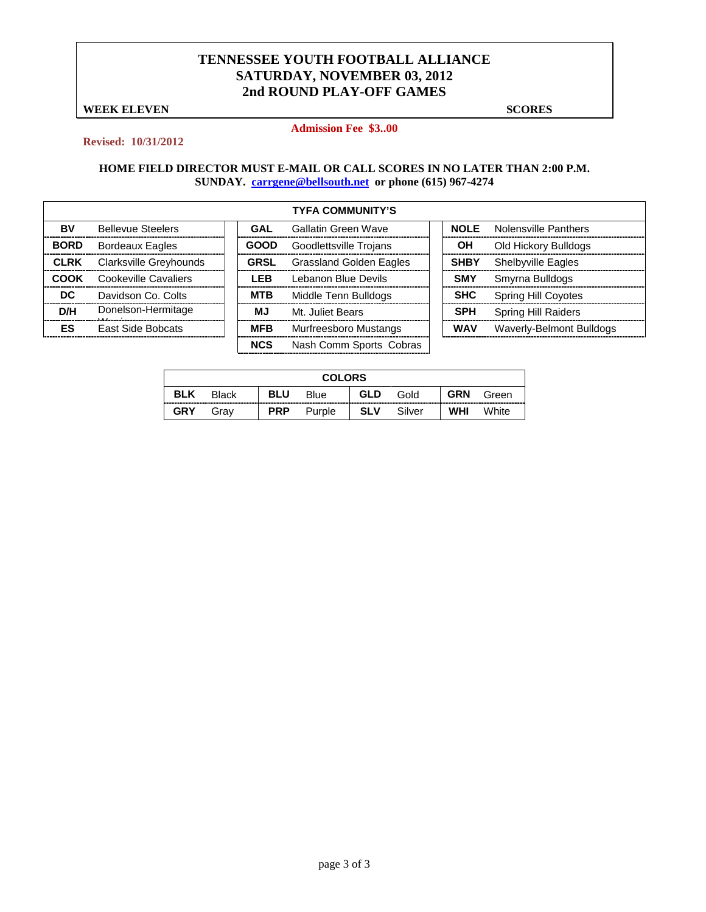#### **TENNESSEE YOUTH FOOTBALL ALLIANCE SATURDAY, NOVEMBER 03, 2012 2nd ROUND PLAY-OFF GAMES**

**WEEK ELEVEN** SCORES

#### **Admission Fee \$3..00**

#### **Revised: 10/31/2012**

|             |                          |             | <b>TYFA COMMUNITY'S</b>        |             |                            |
|-------------|--------------------------|-------------|--------------------------------|-------------|----------------------------|
| BV          | <b>Bellevue Steelers</b> | GAL         | <b>Gallatin Green Wave</b>     | <b>NOLE</b> | Nolensville Panthers       |
| <b>BORD</b> | <b>Bordeaux Eagles</b>   | <b>GOOD</b> | Goodlettsville Trojans         | ΟH          | Old Hickory Bulldogs       |
| <b>CLRK</b> | Clarksville Greyhounds   | <b>GRSL</b> | <b>Grassland Golden Eagles</b> | <b>SHBY</b> | <b>Shelbyville Eagles</b>  |
| COOK        | Cookeville Cavaliers     | <b>LEB</b>  | Lebanon Blue Devils            | <b>SMY</b>  | Smyrna Bulldogs            |
| DC          | Davidson Co. Colts       | <b>MTB</b>  | Middle Tenn Bulldogs           | <b>SHC</b>  | <b>Spring Hill Coyotes</b> |
| D/H         | Donelson-Hermitage       | МJ          | Mt. Juliet Bears               | <b>SPH</b>  | <b>Spring Hill Raiders</b> |
| ES          | <b>East Side Bobcats</b> | <b>MFB</b>  | Murfreesboro Mustangs          | <b>WAV</b>  | Waverly-Belmont Bulldogs   |
|             |                          | <b>NCS</b>  | Nash Comm Sports Cobras        |             |                            |

| <b>COLORS</b> |              |            |        |            |        |            |       |  |
|---------------|--------------|------------|--------|------------|--------|------------|-------|--|
| <b>BLK</b>    | <b>Black</b> | <b>BLU</b> | Blue   | <b>GLD</b> | Gold   | <b>GRN</b> | Green |  |
| <b>GRY</b>    | Grav         | <b>PRP</b> | Purple | <b>SLV</b> | Silver | WHI        | White |  |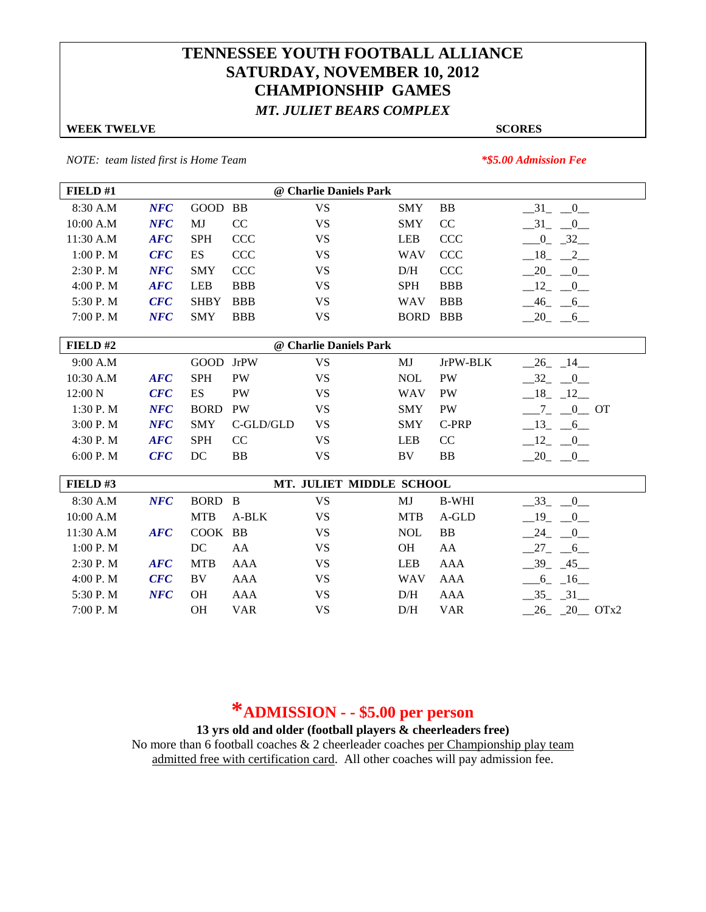## **TENNESSEE YOUTH FOOTBALL ALLIANCE SATURDAY, NOVEMBER 10, 2012 CHAMPIONSHIP GAMES** *MT. JULIET BEARS COMPLEX*

#### **WEEK TWELVE SCORES**

*NOTE: team listed first is Home Team \*\$5.00 Admission Fee*

| FIELD#1                           |                    |             |             | @ Charlie Daniels Park   |                 |              |                                        |  |  |
|-----------------------------------|--------------------|-------------|-------------|--------------------------|-----------------|--------------|----------------------------------------|--|--|
| 8:30 A.M                          | <b>NFC</b>         | GOOD        | BB          | <b>VS</b>                | <b>SMY</b>      | <b>BB</b>    | $-31$ $-0$                             |  |  |
| 10:00 A.M                         | NFC                | MJ          | CC          | <b>VS</b>                | <b>SMY</b>      | CC           | $-31$ $-0$                             |  |  |
| 11:30 A.M                         | <b>AFC</b>         | <b>SPH</b>  | <b>CCC</b>  | <b>VS</b>                | <b>LEB</b>      | <b>CCC</b>   | $-0$ $-32$                             |  |  |
| 1:00 P.M                          | CFC                | ES          | <b>CCC</b>  | <b>VS</b>                | <b>WAV</b>      | <b>CCC</b>   | $-18$<br>$\frac{2}{2}$                 |  |  |
| 2:30 P.M                          | NFC                | <b>SMY</b>  | <b>CCC</b>  | <b>VS</b>                | D/H             | <b>CCC</b>   | 20<br>$\begin{array}{c} 0 \end{array}$ |  |  |
| 4:00 P. M                         | $\boldsymbol{AFC}$ | <b>LEB</b>  | <b>BBB</b>  | <b>VS</b>                | <b>SPH</b>      | <b>BBB</b>   | $-12$<br>$\overline{0}$                |  |  |
| 5:30 P.M                          | CFC                | <b>SHBY</b> | <b>BBB</b>  | <b>VS</b>                | <b>WAV</b>      | <b>BBB</b>   | $-46$ $-6$                             |  |  |
| 7:00 P.M                          | NFC                | <b>SMY</b>  | <b>BBB</b>  | <b>VS</b>                | <b>BORD BBB</b> |              | $-20$ $-6$                             |  |  |
| FIELD#2<br>@ Charlie Daniels Park |                    |             |             |                          |                 |              |                                        |  |  |
| 9:00 A.M                          |                    | GOOD        | <b>JrPW</b> | <b>VS</b>                | MJ              | JrPW-BLK     | $-26$ $-14$                            |  |  |
| 10:30 A.M                         | $\boldsymbol{AFC}$ | <b>SPH</b>  | <b>PW</b>   | <b>VS</b>                | <b>NOL</b>      | PW           | $-32 - 0$                              |  |  |
| 12:00 N                           | CFC                | ES          | <b>PW</b>   | <b>VS</b>                | <b>WAV</b>      | <b>PW</b>    | $-18$ $-12$                            |  |  |
| 1:30 P.M                          | NFC                | <b>BORD</b> | <b>PW</b>   | <b>VS</b>                | <b>SMY</b>      | <b>PW</b>    | $-0$ OT                                |  |  |
| 3:00 P.M                          | NFC                | <b>SMY</b>  | C-GLD/GLD   | <b>VS</b>                | <b>SMY</b>      | C-PRP        | $\overline{\phantom{0}13}$<br>$-6$     |  |  |
| 4:30 P.M                          | $\boldsymbol{AFC}$ | <b>SPH</b>  | CC          | <b>VS</b>                | <b>LEB</b>      | CC           | $-12$<br>$\overline{0}$                |  |  |
| 6:00 P. M                         | CFC                | DC          | <b>BB</b>   | <b>VS</b>                | BV              | <b>BB</b>    | .20<br>$-0$                            |  |  |
| FIELD#3                           |                    |             |             | MT. JULIET MIDDLE SCHOOL |                 |              |                                        |  |  |
| 8:30 A.M                          | NFC                | BORD B      |             | <b>VS</b>                | MJ              | <b>B-WHI</b> | $-33$ $-0$                             |  |  |
| 10:00 A.M                         |                    | <b>MTB</b>  | A-BLK       | <b>VS</b>                | <b>MTB</b>      | A-GLD        | 19<br>$\overline{0}$                   |  |  |
| 11:30 A.M                         | $\boldsymbol{AFC}$ | <b>COOK</b> | <b>BB</b>   | <b>VS</b>                | <b>NOL</b>      | <b>BB</b>    | 24<br>$\sim 0$                         |  |  |
| 1:00 P. M                         |                    | DC          | AA          | <b>VS</b>                | <b>OH</b>       | AA           | 27<br>$6\overline{6}$                  |  |  |
| 2:30P. M                          | $\boldsymbol{AFC}$ | <b>MTB</b>  | AAA         | <b>VS</b>                | <b>LEB</b>      | AAA          | $-39$ $-45$ $-$                        |  |  |
| 4:00 P. M                         | CFC                | BV          | <b>AAA</b>  | <b>VS</b>                | <b>WAV</b>      | <b>AAA</b>   | $-6 - 16$                              |  |  |
| 5:30 P.M                          | NFC                | <b>OH</b>   | <b>AAA</b>  | <b>VS</b>                | D/H             | <b>AAA</b>   | $-35 - 31$                             |  |  |
| 7:00 P.M                          |                    | OH          | <b>VAR</b>  | <b>VS</b>                | D/H             | <b>VAR</b>   | $26 - 20$ OTx2                         |  |  |

# **\*ADMISSION - - \$5.00 per person**

**13 yrs old and older (football players & cheerleaders free)**

No more than 6 football coaches  $\&$  2 cheerleader coaches per Championship play team admitted free with certification card. All other coaches will pay admission fee.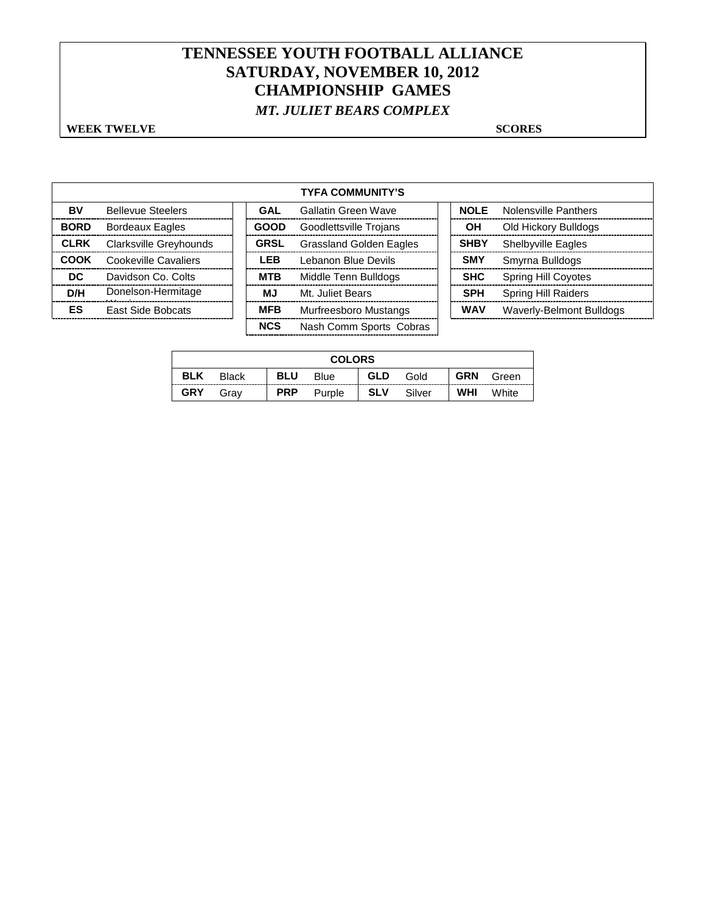## **TENNESSEE YOUTH FOOTBALL ALLIANCE SATURDAY, NOVEMBER 10, 2012 CHAMPIONSHIP GAMES** *MT. JULIET BEARS COMPLEX*

#### **WEEK TWELVE SCORES**

|             |                          |             | <b>TYFA COMMUNITY'S</b>        |             |                             |
|-------------|--------------------------|-------------|--------------------------------|-------------|-----------------------------|
| BV          | <b>Bellevue Steelers</b> | GAL         | Gallatin Green Wave            | NOI F       | <b>Nolensville Panthers</b> |
| <b>BORD</b> | <b>Bordeaux Eagles</b>   | <b>GOOD</b> | Goodlettsville Trojans         | ΟH          | Old Hickory Bulldogs        |
| <b>CLRK</b> | Clarksville Greyhounds   | <b>GRSL</b> | <b>Grassland Golden Eagles</b> | <b>SHBY</b> | <b>Shelbyville Eagles</b>   |
| COOK        | Cookeville Cavaliers     | <b>LEB</b>  | Lebanon Blue Devils            | <b>SMY</b>  | Smyrna Bulldogs             |
| DC.         | Davidson Co. Colts       | <b>MTB</b>  | Middle Tenn Bulldogs           | <b>SHC</b>  | <b>Spring Hill Coyotes</b>  |
| D/H         | Donelson-Hermitage       | <b>MJ</b>   | Mt. Juliet Bears               | <b>SPH</b>  | <b>Spring Hill Raiders</b>  |
| ES          | <b>East Side Bobcats</b> | <b>MFB</b>  | Murfreesboro Mustangs          | <b>WAV</b>  | Waverly-Belmont Bulldogs    |
|             |                          | <b>NCS</b>  | Nash Comm Sports Cobras        |             |                             |

| <b>COLORS</b> |              |            |        |            |        |            |       |  |
|---------------|--------------|------------|--------|------------|--------|------------|-------|--|
| <b>BLK</b>    | <b>Black</b> | <b>BLU</b> | Blue   | <b>GLD</b> | Gold   | <b>GRN</b> | Green |  |
| <b>GRY</b>    | Grav         | <b>PRP</b> | Purple | <b>SLV</b> | Silver | <b>WHI</b> | White |  |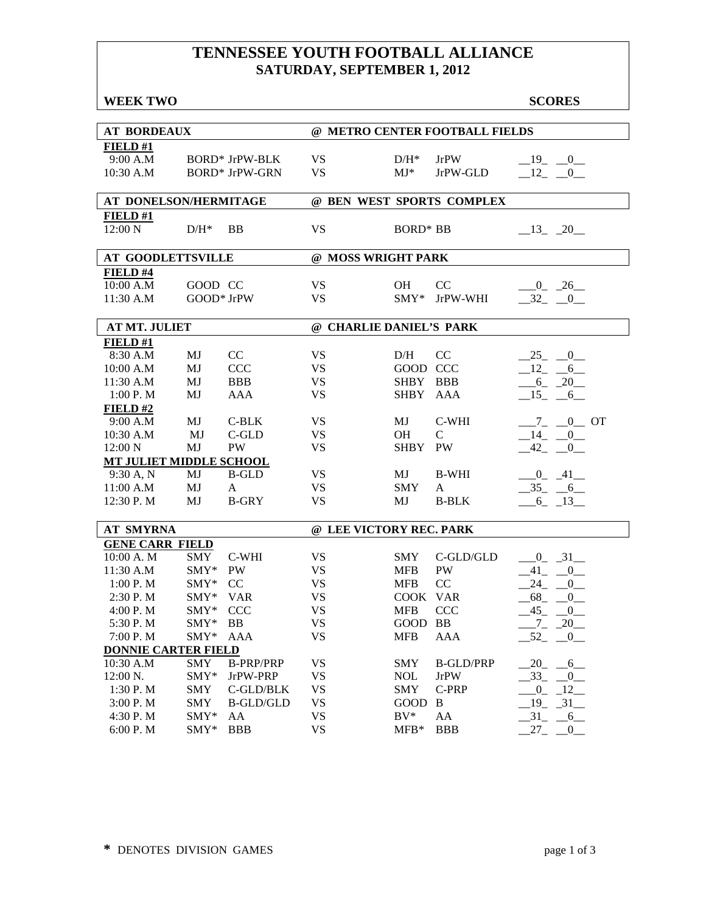## **TENNESSEE YOUTH FOOTBALL ALLIANCE SATURDAY, SEPTEMBER 1, 2012**

| <b>WEEK TWO</b>                |               |                       |                         |                 |                                | <b>SCORES</b>             |
|--------------------------------|---------------|-----------------------|-------------------------|-----------------|--------------------------------|---------------------------|
| <b>AT BORDEAUX</b>             |               |                       |                         |                 | @ METRO CENTER FOOTBALL FIELDS |                           |
| FIELD#1                        |               |                       |                         |                 |                                |                           |
| 9:00 A.M                       |               | <b>BORD*</b> JrPW-BLK | <b>VS</b>               | $D/H^*$         | <b>JrPW</b>                    | $-19$ $-0$                |
| 10:30 A.M                      |               | <b>BORD* JrPW-GRN</b> | <b>VS</b>               | $MJ^*$          | JrPW-GLD                       | $-12$ $-0$                |
|                                |               |                       |                         |                 |                                |                           |
| AT DONELSON/HERMITAGE          |               |                       |                         |                 | @ BEN WEST SPORTS COMPLEX      |                           |
| FIELD#1                        |               |                       |                         |                 |                                |                           |
| 12:00 N                        | $D/H^*$       | <b>BB</b>             | <b>VS</b>               | <b>BORD* BB</b> |                                | $-13 - 20$                |
|                                |               |                       |                         |                 |                                |                           |
| <b>AT GOODLETTSVILLE</b>       |               |                       | @ MOSS WRIGHT PARK      |                 |                                |                           |
| FIELD #4                       |               |                       |                         |                 |                                |                           |
| 10:00 A.M                      | GOOD CC       |                       | <b>VS</b>               | <b>OH</b>       | CC                             | $-0$ $-26$                |
| 11:30 A.M                      | GOOD* JrPW    |                       | <b>VS</b>               | $SMY*$          | JrPW-WHI                       | $-32$ $-0$                |
|                                |               |                       |                         |                 |                                |                           |
| <b>AT MT. JULIET</b>           |               |                       | @ CHARLIE DANIEL'S PARK |                 |                                |                           |
| FIELD#1                        |               |                       |                         |                 |                                |                           |
| 8:30 A.M                       | MJ            | CC                    | <b>VS</b>               | D/H             | CC                             | $-25 - 0$                 |
| 10:00 A.M                      | MJ            | <b>CCC</b>            | <b>VS</b>               | GOOD CCC        |                                | $12 - 6$                  |
| 11:30 A.M                      | MJ            | <b>BBB</b>            | <b>VS</b>               | SHBY BBB        |                                | $-6 - 20$                 |
| 1:00 P.M                       | MJ            | <b>AAA</b>            | <b>VS</b>               | SHBY AAA        |                                | $-15 - 6$                 |
| FIELD#2                        |               |                       |                         |                 |                                |                           |
| 9:00 A.M                       | MJ            | $C-BLK$               | <b>VS</b>               | MJ              | C-WHI                          | $-7 - 0$ OT               |
| 10:30 A.M                      | MJ            | $C$ -GLD              | <b>VS</b>               | OH              | $\mathcal{C}$                  | $-14$ $-0$                |
| 12:00 N                        | MJ            | PW                    | <b>VS</b>               | <b>SHBY</b>     | PW                             | $-42$ $-$<br>$\mathbf{0}$ |
| <b>MT JULIET MIDDLE SCHOOL</b> |               |                       |                         |                 |                                |                           |
| 9:30 A, N                      | MJ            | <b>B-GLD</b>          | <b>VS</b>               | MJ              | <b>B-WHI</b>                   | $0\quad 41$               |
| 11:00 A.M                      | MJ            | $\mathbf{A}$          | <b>VS</b>               | <b>SMY</b>      | $\mathbf{A}$                   | $-35 - 6$                 |
| 12:30 P.M                      | MJ            | <b>B-GRY</b>          | <b>VS</b>               | MJ              | <b>B-BLK</b>                   | $-6 - 13$                 |
|                                |               |                       |                         |                 |                                |                           |
| <b>AT SMYRNA</b>               |               |                       | @ LEE VICTORY REC. PARK |                 |                                |                           |
| <b>GENE CARR FIELD</b>         |               |                       |                         |                 |                                |                           |
| 10:00 A.M                      | SMY           | C-WHI                 | <b>VS</b>               | <b>SMY</b>      | C-GLD/GLD                      | $-0$ $-31$                |
| 11:30 A.M                      | SMY*          | PW                    | <b>VS</b>               | <b>MFB</b>      | PW                             | $41 - 0$                  |
| 1:00 P.M                       | $SMY*$        | CC                    | <b>VS</b>               | <b>MFB</b>      | CC                             | 24<br>$\mathbf{0}$        |
| 2:30 P.M                       | SMY* VAR      |                       | <b>VS</b>               | COOK VAR        |                                | 68<br>$\overline{0}$      |
| 4:00 P.M                       | $SMY*$        | <b>CCC</b>            | <b>VS</b>               | <b>MFB</b>      | <b>CCC</b>                     | $-45 - -0$                |
| 5:30 P.M                       | SMY* BB       |                       | VS.                     | GOOD BB         |                                | $-7 - 20$                 |
| 7:00 P.M                       | $\text{SMY*}$ | AAA                   | <b>VS</b>               | <b>MFB</b>      | AAA                            | $-52$ $-0$                |
| <b>DONNIE CARTER FIELD</b>     |               |                       |                         |                 |                                |                           |
| $10:30$ A.M                    | <b>SMY</b>    | <b>B-PRP/PRP</b>      | <b>VS</b>               | <b>SMY</b>      | <b>B-GLD/PRP</b>               | $-20$ $-6$ $-$            |
| 12:00 N.                       | SMY*          | JrPW-PRP              | <b>VS</b>               | <b>NOL</b>      | <b>JrPW</b>                    | $-33 - 0$                 |
| 1:30 P.M                       | <b>SMY</b>    | C-GLD/BLK             | <b>VS</b>               | <b>SMY</b>      | C-PRP                          | $-0$ $-12$                |
| 3:00 P.M                       | <b>SMY</b>    | <b>B-GLD/GLD</b>      | <b>VS</b>               | GOOD B          |                                | $-19$ $-31$               |
| 4:30 P.M                       | $SMY*$        | AA                    | <b>VS</b>               | $BV^*$          | AA                             | $-31 - 6$                 |
| 6:00 P.M                       | $\text{SMY*}$ | <b>BBB</b>            | <b>VS</b>               | $MFB*$          | <b>BBB</b>                     | $27 -$<br>$_{0-}$         |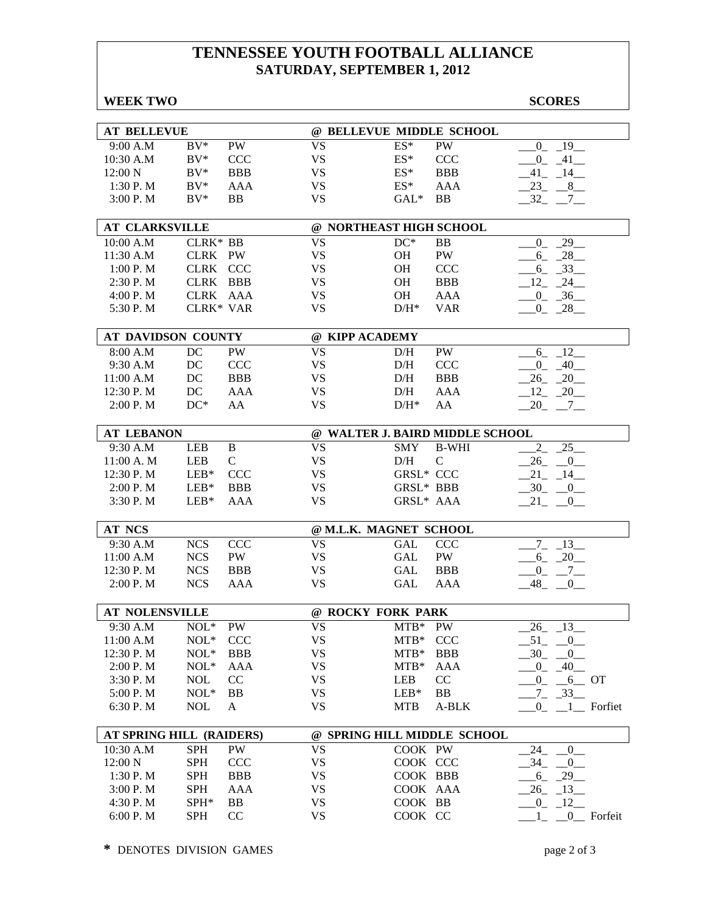## **TENNESSEE YOUTH FOOTBALL ALLIANCE SATURDAY, SEPTEMBER 1, 2012**

| <b>WEEK TWO</b>          |             |                  |           |                                 |                  | <b>SCORES</b>                   |
|--------------------------|-------------|------------------|-----------|---------------------------------|------------------|---------------------------------|
|                          |             |                  |           |                                 |                  |                                 |
| <b>AT BELLEVUE</b>       |             |                  |           | @ BELLEVUE MIDDLE SCHOOL        |                  |                                 |
| 9:00 A.M                 | $BV^*$      | <b>PW</b>        | <b>VS</b> | ES*                             | <b>PW</b>        | $-19$<br>$\overline{0}$         |
| 10:30 A.M                | $BV^*$      | <b>CCC</b>       | <b>VS</b> | ES*                             | <b>CCC</b>       | $-41$<br>$\overline{0}$         |
| 12:00 N                  | $BV^*$      | <b>BBB</b>       | <b>VS</b> | $ES^*$                          | <b>BBB</b>       | 41<br>$-14$                     |
| 1:30 P.M                 | $BV^*$      | <b>AAA</b>       | <b>VS</b> | $ES^*$                          | <b>AAA</b>       | 23<br>$8$ <sub>—</sub>          |
| 3:00 P. M                | $BV^*$      | <b>BB</b>        | <b>VS</b> | $GAL*$                          | <b>BB</b>        | 32<br>7                         |
| <b>AT CLARKSVILLE</b>    |             |                  |           | @ NORTHEAST HIGH SCHOOL         |                  |                                 |
| 10:00 A.M                | CLRK* BB    |                  | <b>VS</b> | $DC*$                           | <b>BB</b>        | 29<br>$\overline{0}$            |
| 11:30 A.M                | CLRK PW     |                  | <b>VS</b> | OH                              | PW               | $-28$<br>6                      |
| 1:00 P.M                 | CLRK CCC    |                  | <b>VS</b> | OH                              | <b>CCC</b>       | $-33$<br>6                      |
| 2:30 P.M                 | <b>CLRK</b> | <b>BBB</b>       | <b>VS</b> | <b>OH</b>                       | <b>BBB</b>       | 12<br>24                        |
| 4:00 P.M                 | <b>CLRK</b> | AAA              | <b>VS</b> | OH                              | AAA              | $-36$<br>$\overline{0}$         |
| 5:30 P.M                 | CLRK* VAR   |                  | <b>VS</b> | $D/H^*$                         | <b>VAR</b>       | $-28$<br>$\mathbf{0}$           |
|                          |             |                  |           |                                 |                  |                                 |
| AT DAVIDSON COUNTY       |             |                  | <b>VS</b> | @ KIPP ACADEMY                  |                  |                                 |
| 8:00 A.M<br>9:30 A.M     | DC<br>DC    | PW<br><b>CCC</b> | <b>VS</b> | D/H                             | PW<br><b>CCC</b> | 12<br>6<br>$\overline{0}$<br>40 |
| 11:00 A.M                | DC          | <b>BBB</b>       | <b>VS</b> | D/H                             | <b>BBB</b>       | 20                              |
|                          |             |                  |           | D/H                             |                  | 26                              |
| 12:30 P.M                | DC          | <b>AAA</b>       | <b>VS</b> | D/H                             | AAA              | 12<br>20                        |
| 2:00 P.M                 | $DC^*$      | AA               | <b>VS</b> | $D/H^*$                         | AA               | 20<br>7                         |
| <b>AT LEBANON</b>        |             |                  |           | @ WALTER J. BAIRD MIDDLE SCHOOL |                  |                                 |
| 9:30 A.M                 | <b>LEB</b>  | $\, {\bf B}$     | <b>VS</b> | <b>SMY</b>                      | <b>B-WHI</b>     | $\overline{2}$<br>25            |
| 11:00 A.M                | <b>LEB</b>  | $\mathsf{C}$     | <b>VS</b> | D/H                             | $\mathsf{C}$     | 26<br>$\overline{0}$            |
| 12:30 P.M                | $LEB*$      | <b>CCC</b>       | <b>VS</b> | <b>GRSL* CCC</b>                |                  | 21<br>$-14$                     |
| 2:00 P.M                 | $LEB*$      | <b>BBB</b>       | <b>VS</b> | GRSL* BBB                       |                  | 30<br>$-0$                      |
| 3:30 P.M                 | $LEB*$      | AAA              | <b>VS</b> | GRSL* AAA                       |                  | 21<br>0                         |
| <b>AT NCS</b>            |             |                  |           | @ M.L.K. MAGNET SCHOOL          |                  |                                 |
| 9:30 A.M                 | <b>NCS</b>  | <b>CCC</b>       | <b>VS</b> | <b>GAL</b>                      | <b>CCC</b>       | $7\overline{ }$<br>$-13$        |
| 11:00 A.M                | <b>NCS</b>  | PW               | <b>VS</b> | <b>GAL</b>                      | PW               | 6<br>20                         |
| 12:30 P.M                | <b>NCS</b>  | <b>BBB</b>       | <b>VS</b> | <b>GAL</b>                      | <b>BBB</b>       | $\overline{0}$<br>7             |
| 2:00 P.M                 | <b>NCS</b>  | <b>AAA</b>       | <b>VS</b> | <b>GAL</b>                      | AAA              | 48<br>$\overline{0}$            |
|                          |             |                  |           |                                 |                  |                                 |
| <b>AT NOLENSVILLE</b>    |             |                  |           | @ ROCKY FORK PARK               |                  |                                 |
| 9:30 A.M                 | $NOL^*$     | <b>PW</b>        | VS        | MTB* PW                         |                  | $-13$<br>26                     |
| 11:00 A.M                | $NOL*$      | <b>CCC</b>       | <b>VS</b> | $MTB*$                          | <b>CCC</b>       | $.51 -$<br>0                    |
| 12:30 P.M                | $NOL*$      | <b>BBB</b>       | <b>VS</b> | $MTB*$                          | BBB              | $.30-$<br>$_{0}$                |
| 2:00 P. M                | $NOL*$      | AAA              | VS        | $MTB*$                          | AAA              | $-40$<br>$\overline{0}$         |
| 3:30P. M                 | <b>NOL</b>  | CC               | <b>VS</b> | LEB                             | CC               | $0_{-}$<br>$-6$ OT              |
| 5:00 P.M                 | $NOL*$      | BB               | <b>VS</b> | $LEB*$                          | <b>BB</b>        | $-7 - 33$                       |
| 6:30 P. M                | <b>NOL</b>  | A                | VS        | MTB                             | A-BLK            | $0$ $1$ Forfiet                 |
| AT SPRING HILL (RAIDERS) |             |                  |           | @ SPRING HILL MIDDLE SCHOOL     |                  |                                 |
| 10:30 A.M                | <b>SPH</b>  | PW               | <b>VS</b> | COOK PW                         |                  | 24<br>$\overline{0}$            |
| 12:00 N                  | <b>SPH</b>  | <b>CCC</b>       | <b>VS</b> | COOK CCC                        |                  | $-0$<br>$-34$                   |
| 1:30P. M                 | <b>SPH</b>  | <b>BBB</b>       | VS        | COOK BBB                        |                  | 6<br>$-29$                      |
| 3:00 P. M                | <b>SPH</b>  | AAA              | <b>VS</b> | COOK AAA                        |                  | $-13$<br>26                     |
| 4:30 P.M                 | SPH*        | <b>BB</b>        | VS        | COOK BB                         |                  | $-12$<br>$\overline{0}$         |
| 6:00 P.M                 | <b>SPH</b>  | CC               | <b>VS</b> | COOK CC                         |                  | 0_ Forfeit                      |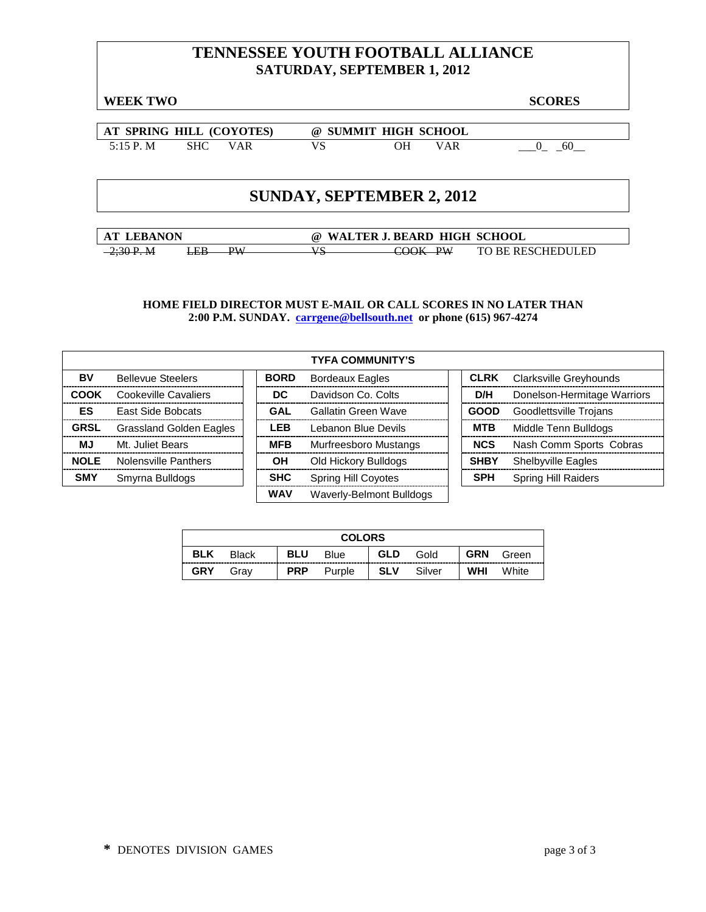## **TENNESSEE YOUTH FOOTBALL ALLIANCE SATURDAY, SEPTEMBER 1, 2012**

**WEEK TWO SCORES**

**AT SPRING HILL (COYOTES) @ SUMMIT HIGH SCHOOL** 5:15 P. M SHC VAR VS OH VAR <u>0</u> 60

## **SUNDAY, SEPTEMBER 2, 2012**

**AT LEBANON @ WALTER J. BEARD HIGH SCHOOL** 2;30 P.M LEB PW VS COOK PW TO BE RESCHEDULED

|             |                                | <b>TYFA COMMUNITY'S</b> |                              |             |                             |
|-------------|--------------------------------|-------------------------|------------------------------|-------------|-----------------------------|
| BV          | <b>Bellevue Steelers</b>       | <b>BORD</b>             | <b>Bordeaux Eagles</b>       | <b>CLRK</b> | Clarksville Greyhounds      |
| <b>COOK</b> | Cookeville Cavaliers           | DC                      | Davidson Co. Colts           | D/H         | Donelson-Hermitage Warriors |
| ES          | <b>East Side Bobcats</b>       | GAL                     | <b>Gallatin Green Wave</b>   | <b>GOOD</b> | Goodlettsville Trojans      |
| <b>GRSL</b> | <b>Grassland Golden Eagles</b> | <b>LEB</b>              | Lebanon Blue Devils          | <b>MTB</b>  | Middle Tenn Bulldogs        |
| ΜJ          | Mt. Juliet Bears               | <b>MFB</b>              | <b>Murfreesboro Mustangs</b> | <b>NCS</b>  | Nash Comm Sports Cobras     |
| <b>NOLE</b> | Nolensville Panthers           | ΟH                      | Old Hickory Bulldogs         | <b>SHBY</b> | Shelbyville Eagles          |
| <b>SMY</b>  | Smyrna Bulldogs                | <b>SHC</b>              | <b>Spring Hill Coyotes</b>   | <b>SPH</b>  | Spring Hill Raiders         |
|             |                                | WAV                     | Waverly-Belmont Bulldogs     |             |                             |

| <b>COLORS</b> |              |            |        |            |        |            |       |  |
|---------------|--------------|------------|--------|------------|--------|------------|-------|--|
| <b>BLK</b>    | <b>Black</b> | <b>BLU</b> | Blue   | <b>GLD</b> | Gold   | <b>GRN</b> | Green |  |
| <b>GRY</b>    | Grav         | <b>PRP</b> | Purple | <b>SLV</b> | Silver | <b>WHI</b> | White |  |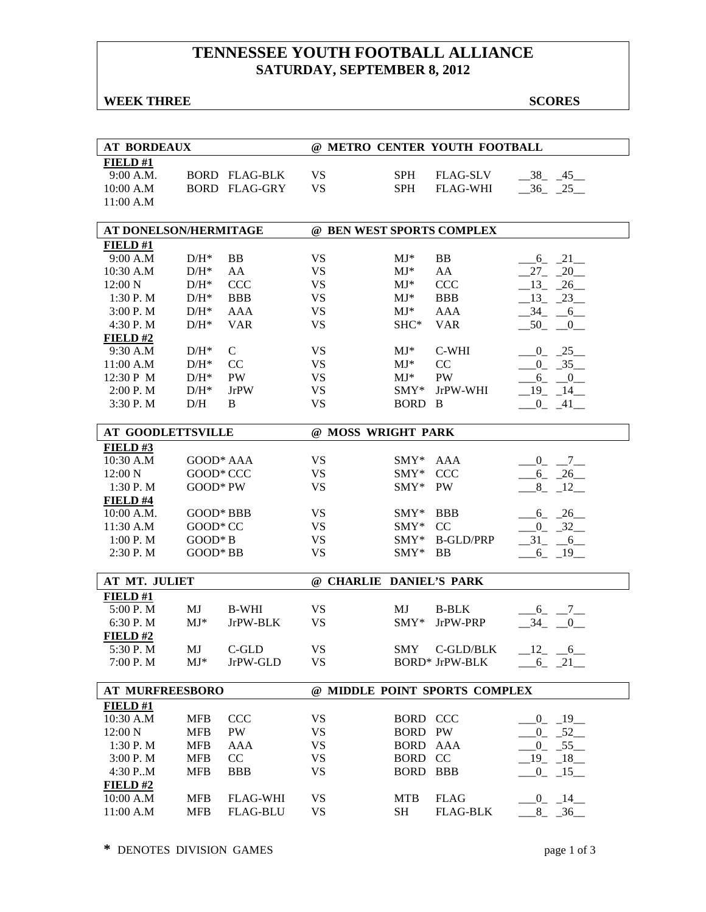## **TENNESSEE YOUTH FOOTBALL ALLIANCE SATURDAY, SEPTEMBER 8, 2012**

#### **WEEK THREE** SCORES

| <b>AT BORDEAUX</b>       |                    |                      | @ METRO CENTER YOUTH FOOTBALL |                         |                               |                                      |  |  |
|--------------------------|--------------------|----------------------|-------------------------------|-------------------------|-------------------------------|--------------------------------------|--|--|
| FIELD#1                  |                    |                      |                               |                         |                               |                                      |  |  |
| 9:00 A.M.                |                    | <b>BORD FLAG-BLK</b> | <b>VS</b>                     | <b>SPH</b>              | <b>FLAG-SLV</b>               | $-38$ $-45$                          |  |  |
| 10:00 A.M                |                    | <b>BORD FLAG-GRY</b> | <b>VS</b>                     | <b>SPH</b>              | <b>FLAG-WHI</b>               | $-36$ $-25$                          |  |  |
| 11:00 A.M                |                    |                      |                               |                         |                               |                                      |  |  |
|                          |                    |                      |                               |                         |                               |                                      |  |  |
| AT DONELSON/HERMITAGE    |                    |                      |                               |                         | @ BEN WEST SPORTS COMPLEX     |                                      |  |  |
| FIELD#1                  |                    |                      |                               |                         |                               |                                      |  |  |
| 9:00 A.M                 | $D/H^*$            | <b>BB</b>            | <b>VS</b>                     | $MJ^*$                  | BB                            | $-6 - 21$                            |  |  |
| 10:30 A.M                | $D/H^*$            | AA                   | <b>VS</b>                     | $MJ^*$                  | AA                            | $27 - 20$                            |  |  |
| 12:00 N                  | $\mathrm{D/H^{*}}$ | <b>CCC</b>           | <b>VS</b>                     | $MJ^*$                  | <b>CCC</b>                    | $-13$<br>$-26$                       |  |  |
| 1:30 P.M                 | $D/H^*$            | <b>BBB</b>           | <b>VS</b>                     | $MJ^*$                  | <b>BBB</b>                    | $13_{-}$<br>$-23$                    |  |  |
| 3:00 P.M                 | $D/H^*$            | <b>AAA</b>           | <b>VS</b>                     | $MJ*$                   | <b>AAA</b>                    | 34<br>6                              |  |  |
| 4:30 P.M                 | $D/H^*$            | <b>VAR</b>           | <b>VS</b>                     | SHC*                    | <b>VAR</b>                    | 50<br>$_{0}$                         |  |  |
| FIELD#2                  |                    |                      |                               |                         |                               |                                      |  |  |
| 9:30 A.M                 | $D/H^*$            | $\mathsf{C}$         | <b>VS</b>                     | $MJ^*$                  | C-WHI                         | $-0$ $-25$                           |  |  |
| 11:00 A.M                | $D/H^*$            | CC                   | <b>VS</b>                     | $MJ^*$                  | CC                            | $-0$ $-35$                           |  |  |
| 12:30 P M                | $D/H^*$            | PW                   | <b>VS</b>                     | $MJ^*$                  | PW                            | $-6 - -0$                            |  |  |
| 2:00 P.M                 | $D/H^*$            | <b>JrPW</b>          | <b>VS</b>                     | $SMY*$                  | JrPW-WHI                      | $-19 - 14$                           |  |  |
| 3:30 P.M                 | D/H                | B                    | <b>VS</b>                     | BORD B                  |                               | $-$ 0 <sup>-</sup> $-$ <sup>41</sup> |  |  |
|                          |                    |                      |                               |                         |                               |                                      |  |  |
| <b>AT GOODLETTSVILLE</b> |                    |                      |                               | @ MOSS WRIGHT PARK      |                               |                                      |  |  |
| FIELD#3                  |                    |                      |                               |                         |                               |                                      |  |  |
| 10:30 A.M                | GOOD* AAA          |                      | <b>VS</b>                     | $SMY*$                  | AAA                           | $-0$ $-7$                            |  |  |
| 12:00 N                  | GOOD* CCC          |                      | <b>VS</b>                     | $SMY*$                  | <b>CCC</b>                    | $-6 - 26$                            |  |  |
| 1:30P. M                 | GOOD* PW           |                      | <b>VS</b>                     | $SMY*$                  | PW                            | $8 - 12$                             |  |  |
| FIELD#4                  |                    |                      |                               |                         |                               |                                      |  |  |
| 10:00 A.M.               | GOOD* BBB          |                      | <b>VS</b>                     | $SMY*$                  | <b>BBB</b>                    | $6 - 26$                             |  |  |
| 11:30 A.M                | GOOD* CC           |                      | <b>VS</b>                     | $SMY*$                  | CC                            | $-0$ $-32$                           |  |  |
| 1:00 P. M                | $GOOD*B$           |                      | <b>VS</b>                     | $SMY*$                  | <b>B-GLD/PRP</b>              | $-31 - 6$                            |  |  |
| 2:30 P.M                 | GOOD* BB           |                      | <b>VS</b>                     | SMY*                    | <b>BB</b>                     | $-6 - 19$                            |  |  |
|                          |                    |                      |                               |                         |                               |                                      |  |  |
| AT MT. JULIET<br>FIELD#1 |                    |                      |                               | @ CHARLIE DANIEL'S PARK |                               |                                      |  |  |
| 5:00 P.M                 | MJ                 | <b>B-WHI</b>         | <b>VS</b>                     | MJ                      | <b>B-BLK</b>                  |                                      |  |  |
| 6:30 P.M                 | $MJ*$              | JrPW-BLK             | <b>VS</b>                     | $SMY*$                  | JrPW-PRP                      | $-6 - -7$<br>$-34$<br>$\mathbf{0}$   |  |  |
| FIELD#2                  |                    |                      |                               |                         |                               |                                      |  |  |
| 5:30 P.M                 | MJ                 | C-GLD                | VS                            | <b>SMY</b>              | C-GLD/BLK                     |                                      |  |  |
|                          | $MJ^*$             | JrPW-GLD             | <b>VS</b>                     |                         |                               | $-12 - -6$                           |  |  |
| 7:00 P.M                 |                    |                      |                               |                         | BORD* JrPW-BLK                | $-6 - 21$                            |  |  |
| <b>AT MURFREESBORO</b>   |                    |                      |                               |                         | @ MIDDLE POINT SPORTS COMPLEX |                                      |  |  |
| FIELD#1                  |                    |                      |                               |                         |                               |                                      |  |  |
| 10:30 A.M                | MFB                | <b>CCC</b>           | <b>VS</b>                     | BORD CCC                |                               | $-0$ $-19$                           |  |  |
| 12:00 N                  | <b>MFB</b>         | PW                   | <b>VS</b>                     | BORD PW                 |                               | $0 - 52$                             |  |  |
| 1:30 P.M                 | <b>MFB</b>         | <b>AAA</b>           | <b>VS</b>                     | BORD AAA                |                               | $0 - 55$                             |  |  |
| 3:00 P.M                 | <b>MFB</b>         | CC                   | <b>VS</b>                     | <b>BORD</b>             | CC                            | $-19 - 18$                           |  |  |
| 4:30 P.M                 | <b>MFB</b>         | <b>BBB</b>           | <b>VS</b>                     | <b>BORD</b>             | <b>BBB</b>                    | $0 - 15$                             |  |  |
| FIELD #2                 |                    |                      |                               |                         |                               |                                      |  |  |
| 10:00 A.M                | <b>MFB</b>         | <b>FLAG-WHI</b>      | <b>VS</b>                     | <b>MTB</b>              | <b>FLAG</b>                   | $-0$ $-14$ $-$                       |  |  |
| 11:00 A.M                | <b>MFB</b>         | <b>FLAG-BLU</b>      | <b>VS</b>                     | SH                      | <b>FLAG-BLK</b>               | $-8$ $-36$ $-$                       |  |  |
|                          |                    |                      |                               |                         |                               |                                      |  |  |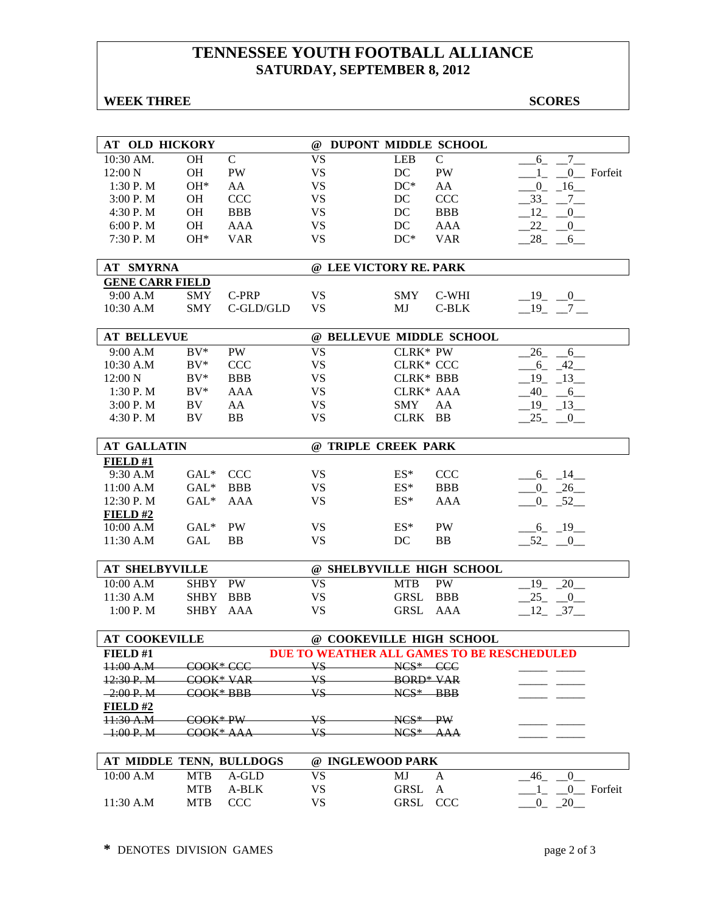## **TENNESSEE YOUTH FOOTBALL ALLIANCE SATURDAY, SEPTEMBER 8, 2012**

#### **WEEK THREE** SCORES

| AT OLD HICKORY           |             |               | @ DUPONT MIDDLE SCHOOL                     |                  |               |                                   |
|--------------------------|-------------|---------------|--------------------------------------------|------------------|---------------|-----------------------------------|
| 10:30 AM.                | <b>OH</b>   | $\mathcal{C}$ | <b>VS</b>                                  | <b>LEB</b>       | $\mathcal{C}$ | $6 - 7$                           |
| 12:00 N                  | <b>OH</b>   | PW            | <b>VS</b>                                  | DC               | PW            | $1_{-}$ $0_{-}$ Forfeit           |
| 1:30 P.M                 | $OH*$       | AA            | <b>VS</b>                                  | $DC^*$           | AA            | $-0$ $-16$ $-$                    |
| 3:00 P.M                 | <b>OH</b>   | <b>CCC</b>    | <b>VS</b>                                  | DC               | <b>CCC</b>    | 33 7                              |
| 4:30 P.M                 | OH          | <b>BBB</b>    | <b>VS</b>                                  | DC               | <b>BBB</b>    | 12<br>$\mathbf{0}$                |
| 6:00 P.M                 | OH          | <b>AAA</b>    | <b>VS</b>                                  | DC               | <b>AAA</b>    | 22<br>$\overline{0}$              |
| 7:30 P.M                 | $OH*$       | <b>VAR</b>    | <b>VS</b>                                  | $DC*$            | <b>VAR</b>    | 28<br>$6_{-}$                     |
|                          |             |               |                                            |                  |               |                                   |
| <b>AT SMYRNA</b>         |             |               | @ LEE VICTORY RE. PARK                     |                  |               |                                   |
| <b>GENE CARR FIELD</b>   |             |               |                                            |                  |               |                                   |
| 9:00 A.M                 | <b>SMY</b>  | C-PRP         | <b>VS</b>                                  | <b>SMY</b>       | C-WHI         | $-19$ $-0$                        |
| 10:30 A.M                | <b>SMY</b>  | C-GLD/GLD     | <b>VS</b>                                  | MJ               | $C-BLK$       | $-19$ $-7$ $-$                    |
|                          |             |               |                                            |                  |               |                                   |
| <b>AT BELLEVUE</b>       |             |               | @ BELLEVUE MIDDLE SCHOOL                   |                  |               |                                   |
| 9:00 A.M                 | $BV^*$      | PW            | <b>VS</b>                                  | CLRK* PW         |               | 26<br>$6\overline{6}$             |
| 10:30 A.M                | $BV^*$      | <b>CCC</b>    | <b>VS</b>                                  | <b>CLRK* CCC</b> |               | $-6 - 42$                         |
| 12:00 N                  | $BV^*$      | <b>BBB</b>    | <b>VS</b>                                  | <b>CLRK* BBB</b> |               | $-19$ $-13$                       |
| 1:30 P.M                 | $BV^*$      | <b>AAA</b>    | <b>VS</b>                                  | CLRK* AAA        |               | $-40 - 6$                         |
| 3:00 P.M                 | BV          | AA            | <b>VS</b>                                  | <b>SMY</b>       | AA            | $-19$ $-13$                       |
| 4:30 P.M                 | BV          | <b>BB</b>     | <b>VS</b>                                  | CLRK BB          |               | 25<br>$\sqrt{0}$                  |
|                          |             |               |                                            |                  |               |                                   |
| <b>AT GALLATIN</b>       |             |               | @ TRIPLE CREEK PARK                        |                  |               |                                   |
| FIELD#1                  |             |               |                                            |                  |               |                                   |
| 9:30 A.M                 | $GAL*$      | <b>CCC</b>    | <b>VS</b>                                  | $ES^*$           | <b>CCC</b>    | $-6 - 14$                         |
| 11:00 A.M                | $GAL^*$     | <b>BBB</b>    | <b>VS</b>                                  | $ES^*$           | <b>BBB</b>    | $-0$ $-26$                        |
| 12:30 P.M                | $GAL^*$     | <b>AAA</b>    | <b>VS</b>                                  | $ES^*$           | AAA           | $0 - 52$                          |
| FIELD#2                  |             |               |                                            |                  |               |                                   |
| 10:00 A.M                | $GAL*$      | PW            | <b>VS</b>                                  | $ES^*$           | PW            | $-6 - 19$                         |
| 11:30 A.M                | GAL         | <b>BB</b>     | <b>VS</b>                                  | DC               | <b>BB</b>     | $52 - 0$                          |
|                          |             |               |                                            |                  |               |                                   |
| <b>AT SHELBYVILLE</b>    |             |               | @ SHELBYVILLE HIGH SCHOOL                  |                  |               |                                   |
| 10:00 A.M                | <b>SHBY</b> | PW            | <b>VS</b>                                  | <b>MTB</b>       | PW            | $19_{-}$<br>$20$ <sub>—</sub>     |
| 11:30 A.M                | <b>SHBY</b> | <b>BBB</b>    | <b>VS</b>                                  | GRSL             | <b>BBB</b>    | 25<br>$\overline{0}$              |
| 1:00 P. M                | SHBY AAA    |               | <b>VS</b>                                  | GRSL             | AAA           | $12 - 37$                         |
|                          |             |               |                                            |                  |               |                                   |
| <b>AT COOKEVILLE</b>     |             |               | @ COOKEVILLE HIGH SCHOOL                   |                  |               |                                   |
| FIELD#1                  |             |               | DUE TO WEATHER ALL GAMES TO BE RESCHEDULED |                  |               |                                   |
| 11:00 A.M                | -COOK* CCC  |               | <b>VS</b>                                  | $NCS*$ CCC       |               |                                   |
| 12:30 P.M                | COOK* VAR   |               | VS                                         | <b>BORD* VAR</b> |               |                                   |
| $-2:00 P. M$             | COOK*BBB    |               | VS.                                        | $NCS^*$ BBB      |               |                                   |
| FIELD#2                  |             |               |                                            |                  |               |                                   |
| 11:30 A.M                | COOK* PW    |               | VS-                                        | $NCS^*$ PW       |               |                                   |
| $-1:00 P. M$             | COOK* AAA   |               | VS                                         | NCS* AAA         |               |                                   |
|                          |             |               |                                            |                  |               |                                   |
| AT MIDDLE TENN, BULLDOGS |             |               | @ INGLEWOOD PARK                           |                  |               |                                   |
| 10:00 A.M                | <b>MTB</b>  | A-GLD         | <b>VS</b>                                  | MJ               | $\mathbf{A}$  | $\overline{0}$<br>46              |
|                          | <b>MTB</b>  | A-BLK         | <b>VS</b>                                  | <b>GRSL</b>      | A             | 0_ Forfeit<br>1                   |
| 11:30 A.M                | <b>MTB</b>  | <b>CCC</b>    | <b>VS</b>                                  | <b>GRSL</b>      | <b>CCC</b>    | $\overline{20}$<br>$\overline{0}$ |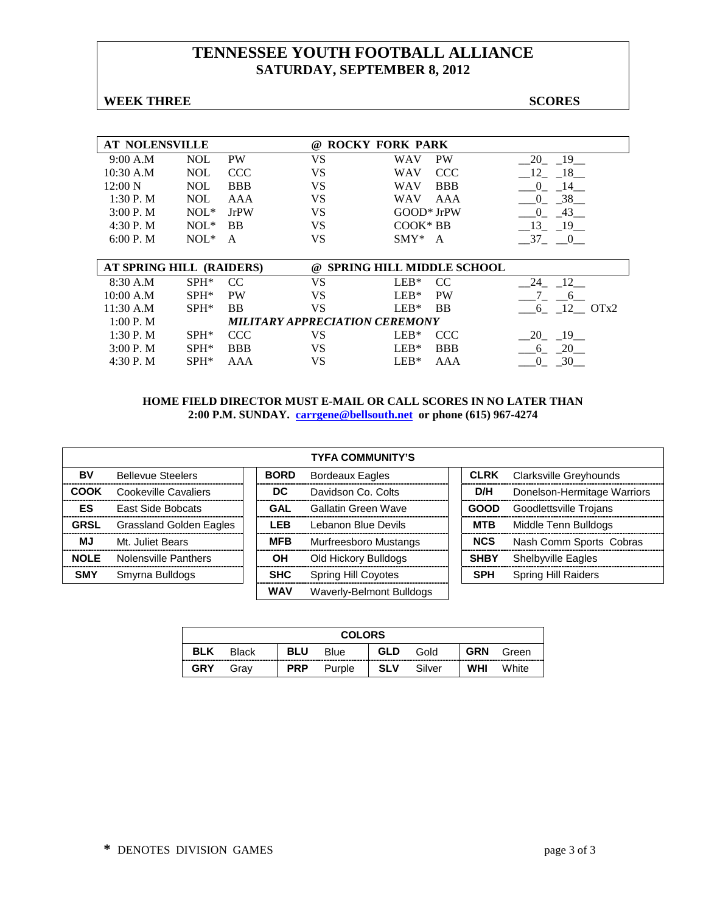## **TENNESSEE YOUTH FOOTBALL ALLIANCE SATURDAY, SEPTEMBER 8, 2012**

#### **WEEK THREE** SCORES

| <b>AT NOLENSVILLE</b>    |            |                                | $\omega$ | <b>ROCKY FORK PARK</b> |                                  |                                            |
|--------------------------|------------|--------------------------------|----------|------------------------|----------------------------------|--------------------------------------------|
| 9:00 A.M                 | <b>NOL</b> | <b>PW</b>                      | VS       | WAV                    | PW                               | 20<br>- 19                                 |
| 10:30 A.M                | <b>NOL</b> | <b>CCC</b>                     | VS       | WAV                    | <b>CCC</b>                       | 12<br>18                                   |
| 12:00 N                  | <b>NOL</b> | <b>BBB</b>                     | VS       | WAV                    | <b>BBB</b>                       | 14<br>$\Omega$                             |
| 1:30P. M                 | <b>NOL</b> | AAA                            | VS       | WAV                    | AAA                              | 38<br>$\Omega$                             |
| $3:00P$ . M              | $NOL*$     | <b>JrPW</b>                    | VS       | GOOD* JrPW             |                                  | 43<br>$\Omega$                             |
| 4:30 P.M                 | $NOL*$     | BB                             | VS       | $COOK*BB$              |                                  | 13<br>- 19                                 |
| 6:00 P. M                | $NOL*$     | A                              | VS       | $SMY*$                 | A                                | 37<br>$\begin{array}{ccc} & 0 \end{array}$ |
|                          |            |                                |          |                        |                                  |                                            |
| AT SPRING HILL (RAIDERS) |            |                                | $\omega$ |                        | <b>SPRING HILL MIDDLE SCHOOL</b> |                                            |
| 8:30 A.M                 | $SPH*$     | CC.                            | VS       | $LEB*$                 | CC.                              | 12<br>24                                   |
| 10:00 A.M                | $SPH*$     | <b>PW</b>                      | VS       | $LEB*$                 | <b>PW</b>                        | 6                                          |
| 11:30 A.M                | $SPH*$     | <b>BB</b>                      | VS       | $LEB*$                 | <b>BB</b>                        | $12$ $OTx2$<br>6                           |
| 1:00 P. M                |            | MILITARY APPRECIATION CEREMONY |          |                        |                                  |                                            |
| 1:30P. M                 | $SPH*$     | <b>CCC</b>                     | VS       | $LEB*$                 | <b>CCC</b>                       | 20 19                                      |
| $3:00P$ . M              | $SPH*$     | <b>BBB</b>                     | VS       | $LEB*$                 | <b>BBB</b>                       | 20<br>6                                    |
| 4:30 P.M                 | $SPH*$     | AAA                            | VS       | $LEB*$                 | AAA                              | 30<br>$\Omega$                             |

|             | <b>TYFA COMMUNITY'S</b>  |             |                            |  |             |                             |  |  |  |  |
|-------------|--------------------------|-------------|----------------------------|--|-------------|-----------------------------|--|--|--|--|
| BV          | <b>Bellevue Steelers</b> | <b>BORD</b> | <b>Bordeaux Eagles</b>     |  | <b>CLRK</b> | Clarksville Greyhounds      |  |  |  |  |
| COOK        | Cookeville Cavaliers     | DC          | Davidson Co. Colts         |  | D/H         | Donelson-Hermitage Warriors |  |  |  |  |
| <b>ES</b>   | <b>East Side Bobcats</b> | GAL         | Gallatin Green Wave        |  | <b>GOOD</b> | Goodlettsville Trojans      |  |  |  |  |
| <b>GRSL</b> | Grassland Golden Eagles  | <b>LEB</b>  | Lebanon Blue Devils        |  | <b>MTB</b>  | Middle Tenn Bulldogs        |  |  |  |  |
| <b>MJ</b>   | Mt. Juliet Bears         | <b>MFB</b>  | Murfreesboro Mustangs      |  | <b>NCS</b>  | Nash Comm Sports Cobras     |  |  |  |  |
| <b>NOLE</b> | Nolensville Panthers     | ΟH          | Old Hickory Bulldogs       |  | <b>SHBY</b> | <b>Shelbyville Eagles</b>   |  |  |  |  |
| <b>SMY</b>  | Smyrna Bulldogs          | <b>SHC</b>  | <b>Spring Hill Coyotes</b> |  | <b>SPH</b>  | <b>Spring Hill Raiders</b>  |  |  |  |  |
|             |                          | <b>WAV</b>  | Waverly-Belmont Bulldogs   |  |             |                             |  |  |  |  |

|            |              |            | <b>COLORS</b> |            |        |            |       |
|------------|--------------|------------|---------------|------------|--------|------------|-------|
| <b>BLK</b> | <b>Black</b> | <b>BLU</b> | Blue          | <b>GLD</b> | Gold   | <b>GRN</b> | Green |
| <b>GRY</b> | Grav         | <b>PRP</b> | Purple        | <b>SLV</b> | Silver | <b>WHI</b> | White |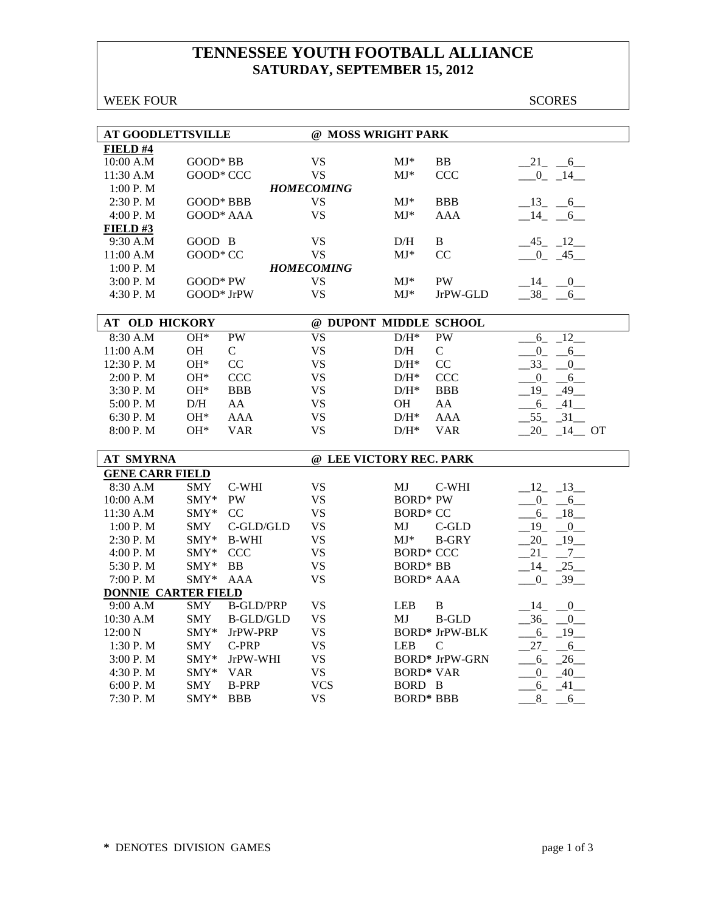## **TENNESSEE YOUTH FOOTBALL ALLIANCE SATURDAY, SEPTEMBER 15, 2012**

WEEK FOUR SCORES

| <b>AT GOODLETTSVILLE</b>   |                        |                  | @ MOSS WRIGHT PARK      |                            |                       |                         |
|----------------------------|------------------------|------------------|-------------------------|----------------------------|-----------------------|-------------------------|
| FIELD #4                   |                        |                  |                         |                            |                       |                         |
| 10:00 A.M                  | GOOD* BB               |                  | <b>VS</b>               | $MJ*$                      | ${\bf BB}$            | $-21 - 6$               |
| 11:30 A.M                  | GOOD* CCC              |                  | <b>VS</b>               | $MJ^*$                     | <b>CCC</b>            | $-0$ $-14$              |
| 1:00 P.M                   |                        |                  | <b>HOMECOMING</b>       |                            |                       |                         |
| 2:30 P.M                   | GOOD* BBB              |                  | <b>VS</b>               | $MJ^*$                     | <b>BBB</b>            | $-13 - 6$               |
| 4:00 P.M                   | GOOD* AAA              |                  | <b>VS</b>               | $MJ*$                      | AAA                   | $-14$ $-6$              |
| FIELD#3                    |                        |                  |                         |                            |                       |                         |
| 9:30 A.M                   | GOOD B                 |                  | <b>VS</b>               | D/H                        | B                     | $-45 - 12$              |
| 11:00 A.M                  | GOOD* CC               |                  | <b>VS</b>               | $MJ*$                      | CC                    | $-0$ $-45$              |
| 1:00 P.M                   |                        |                  | <b>HOMECOMING</b>       |                            |                       |                         |
| 3:00 P.M                   | $GOOD*PW$              |                  | <b>VS</b>               | $MJ^*$                     | <b>PW</b>             | $-14$ $-0$              |
| 4:30 P.M                   | GOOD* JrPW             |                  | <b>VS</b>               | $MJ*$                      | JrPW-GLD              | $-38 - 6$               |
|                            |                        |                  |                         |                            |                       |                         |
| AT OLD HICKORY             |                        |                  | @ DUPONT MIDDLE SCHOOL  |                            |                       |                         |
| 8:30 A.M                   | $OH*$                  | <b>PW</b>        | <b>VS</b>               | $D/H^*$                    | <b>PW</b>             | $6 - 12$                |
| 11:00 A.M                  | OH                     | $\mathsf{C}$     | <b>VS</b>               | D/H                        | $\mathbf C$           | $_{0}$<br>$-6$          |
| 12:30 P.M                  | $OH*$                  | CC               | <b>VS</b>               | $\mathrm{D/H^{*}}$         | CC                    | $33_{-}$<br>0           |
| 2:00 P.M                   | $OH*$                  | <b>CCC</b>       | <b>VS</b>               | $D/H^*$                    | <b>CCC</b>            | $0 \quad -6$            |
| 3:30 P.M                   | $OH*$                  | <b>BBB</b>       | <b>VS</b>               | $D/H^*$                    | <b>BBB</b>            | $-19$ $-49$             |
| 5:00 P.M                   | D/H                    | AA               | <b>VS</b>               | OH                         | AA                    | $-6 - 41$               |
| 6:30 P.M                   | $OH^*$                 | <b>AAA</b>       | <b>VS</b>               | $D/H^*$                    | <b>AAA</b>            | $-55 - -31$             |
| 8:00 P.M                   | $OH^*$                 | <b>VAR</b>       | <b>VS</b>               | $D/H^*$                    | <b>VAR</b>            | $20 - 14$ OT            |
|                            |                        |                  |                         |                            |                       |                         |
| <b>AT SMYRNA</b>           |                        |                  | @ LEE VICTORY REC. PARK |                            |                       |                         |
| <b>GENE CARR FIELD</b>     |                        |                  |                         |                            |                       |                         |
| 8:30 A.M                   | <b>SMY</b>             | C-WHI            | <b>VS</b>               | МJ                         | C-WHI                 | $-12 - 13$              |
| 10:00 A.M                  | SMY*                   | PW               | <b>VS</b>               | <b>BORD* PW</b>            |                       | $-0$ $-6$               |
| 11:30 A.M                  | SMY*                   | CC               | <b>VS</b>               | <b>BORD* CC</b>            |                       | $-6 - 18$               |
| 1:00 P.M                   | <b>SMY</b>             | C-GLD/GLD        | <b>VS</b>               | МJ                         | $C$ -GLD              | $-19$ $-0$              |
| 2:30 P.M                   | $\text{SMY*}$          | <b>B-WHI</b>     | <b>VS</b>               | $MJ^*$                     | <b>B-GRY</b>          | $-20$ $-19$ $-$         |
| 4:00 P.M                   | SMY*                   | <b>CCC</b>       | <b>VS</b>               | <b>BORD* CCC</b>           |                       | $-21$ $-7$              |
| 5:30 P.M                   | SMY*                   | <b>BB</b>        | <b>VS</b>               | <b>BORD* BB</b>            |                       | $-14$ $-25$             |
| 7:00 P.M                   | $SMY*$                 | <b>AAA</b>       | <b>VS</b>               | <b>BORD* AAA</b>           |                       | $-0$ $-39$              |
| <b>DONNIE CARTER FIELD</b> |                        |                  |                         |                            |                       |                         |
| 9:00 A.M                   | <b>SMY</b>             | <b>B-GLD/PRP</b> | <b>VS</b>               | <b>LEB</b>                 | B                     | $-14$ $-0$              |
| 10:30 A.M                  | <b>SMY</b>             | <b>B-GLD/GLD</b> | <b>VS</b>               | MJ                         | <b>B-GLD</b>          | $-36$ $-0$              |
| 12:00 N                    | SMY*                   | JrPW-PRP         | <b>VS</b>               |                            | <b>BORD* JrPW-BLK</b> | $-6 - 19$               |
| 1:30 P.M                   | <b>SMY</b>             | C-PRP            | <b>VS</b>               | <b>LEB</b>                 | $\mathsf{C}$          | $-27 - 6$               |
| 3:00 P.M                   | $SMY^*$                | JrPW-WHI         | <b>VS</b>               |                            | <b>BORD* JrPW-GRN</b> | $-6 - 26$               |
| 4:30 P.M                   |                        |                  |                         |                            |                       |                         |
|                            |                        |                  |                         |                            |                       |                         |
| 6:00 P. M                  | SMY* VAR<br><b>SMY</b> | <b>B-PRP</b>     | <b>VS</b><br><b>VCS</b> | <b>BORD* VAR</b><br>BORD B |                       | $-0$ $-40$<br>$-6 - 41$ |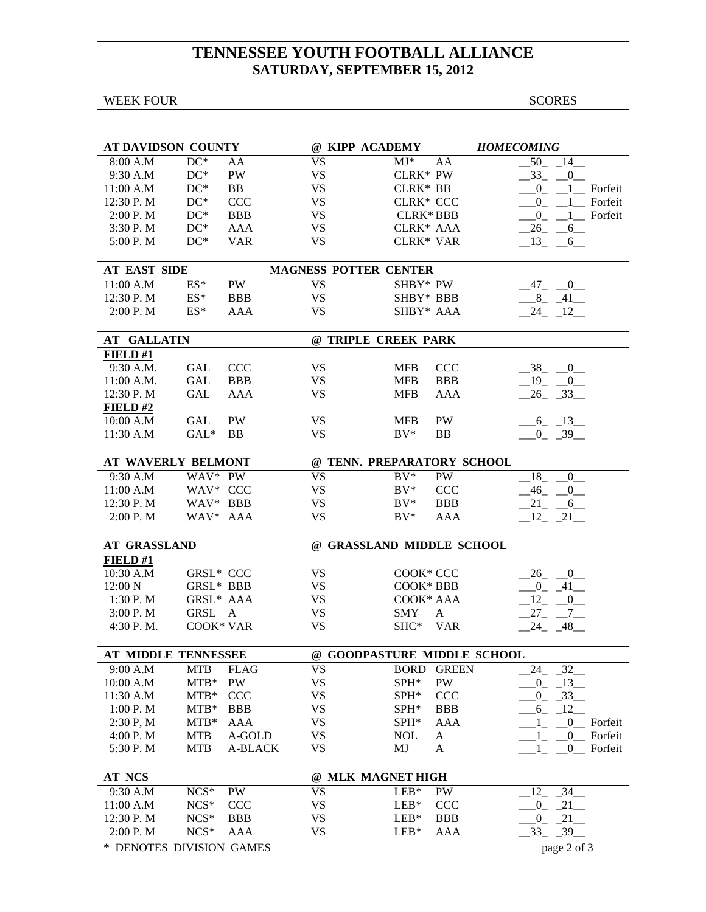## **TENNESSEE YOUTH FOOTBALL ALLIANCE SATURDAY, SEPTEMBER 15, 2012**

WEEK FOUR SCORES

| <b>AT DAVIDSON COUNTY</b>  |                  |                |           | @ KIPP ACADEMY               |              | <b>HOMECOMING</b>               |
|----------------------------|------------------|----------------|-----------|------------------------------|--------------|---------------------------------|
| 8:00 A.M                   | $DC^*$           | AA             | <b>VS</b> | $MJ^*$                       | AA           | 50<br>$-14$                     |
| 9:30 A.M                   | $DC^*$           | PW             | <b>VS</b> | CLRK* PW                     |              | 33<br>$\overline{0}$            |
| 11:00 A.M                  | $DC^*$           | BB             | <b>VS</b> | CLRK* BB                     |              | $\overline{0}$<br>Forfeit<br>-1 |
| 12:30 P.M                  | $DC^*$           | <b>CCC</b>     | <b>VS</b> | <b>CLRK* CCC</b>             |              | Forfeit<br>$0_{-}$              |
| 2:00 P. M                  | $DC^*$           | <b>BBB</b>     | <b>VS</b> | <b>CLRK*BBB</b>              |              | $^{0}$<br>$1$ Forfeit           |
| 3:30 P.M                   | $DC^*$           | AAA            | <b>VS</b> | CLRK* AAA                    |              | 26<br>$6$ <sub>—</sub>          |
| 5:00 P.M                   | $DC^*$           | <b>VAR</b>     | <b>VS</b> | CLRK* VAR                    |              | $-13 - 6$                       |
|                            |                  |                |           |                              |              |                                 |
| <b>AT EAST SIDE</b>        |                  |                |           | <b>MAGNESS POTTER CENTER</b> |              |                                 |
| 11:00 A.M                  | $ES^*$           | <b>PW</b>      | <b>VS</b> | SHBY* PW                     |              | $\overline{0}$<br>47            |
| 12:30 P.M                  | $\mathrm{ES}^*$  | <b>BBB</b>     | <b>VS</b> | SHBY* BBB                    |              | 8<br>41                         |
| 2:00 P.M                   | $ES^*$           | AAA            | <b>VS</b> | SHBY* AAA                    |              | $24 - 12$                       |
| <b>AT GALLATIN</b>         |                  |                |           | @ TRIPLE CREEK PARK          |              |                                 |
| FIELD#1                    |                  |                |           |                              |              |                                 |
| 9:30 A.M.                  | GAL              | <b>CCC</b>     | <b>VS</b> | <b>MFB</b>                   | <b>CCC</b>   | $-38$<br>$\overline{0}$         |
| 11:00 A.M.                 | GAL              | <b>BBB</b>     | <b>VS</b> | <b>MFB</b>                   | <b>BBB</b>   | $-19$<br>$\overline{0}$         |
| 12:30 P.M                  | GAL              | AAA            | <b>VS</b> | <b>MFB</b>                   | AAA          | $26 - 33$                       |
| FIELD #2                   |                  |                |           |                              |              |                                 |
| 10:00 A.M                  | GAL              | <b>PW</b>      | <b>VS</b> | <b>MFB</b>                   | PW           | $-6 - 13$                       |
| 11:30 A.M                  | $GAL^*$          | <b>BB</b>      | <b>VS</b> | $BV^*$                       | <b>BB</b>    | $-0$ $-39$                      |
|                            |                  |                |           |                              |              |                                 |
| <b>AT WAVERLY BELMONT</b>  |                  |                |           | @ TENN. PREPARATORY SCHOOL   |              |                                 |
| 9:30 A.M                   | WAV* PW          |                | <b>VS</b> | $BV^*$                       | PW           | 18<br>$\mathbf{0}$              |
| 11:00 A.M                  | WAV* CCC         |                | <b>VS</b> | $BV^*$                       | <b>CCC</b>   | $-46$<br>0                      |
| 12:30 P.M                  | WAV* BBB         |                | <b>VS</b> | $BV^*$                       | <b>BBB</b>   | $-21$ $-6$                      |
| 2:00 P. M                  | WAV* AAA         |                | <b>VS</b> | $BV^*$                       | AAA          | $-12$ $-21$ $-$                 |
| <b>AT GRASSLAND</b>        |                  |                |           | @ GRASSLAND MIDDLE SCHOOL    |              |                                 |
| FIELD#1                    |                  |                |           |                              |              |                                 |
| 10:30 A.M                  | <b>GRSL* CCC</b> |                | <b>VS</b> | COOK* CCC                    |              | $-26$ $-0$                      |
| 12:00 N                    | GRSL* BBB        |                | <b>VS</b> | COOK* BBB                    |              | $-0$ $-41$                      |
| 1:30P. M                   | GRSL* AAA        |                | <b>VS</b> | COOK* AAA                    |              | $12 - 0$                        |
| 3:00 P. M                  | GRSL A           |                | <b>VS</b> | <b>SMY</b>                   | A            | $27 - 7$                        |
| 4:30 P.M.                  | COOK* VAR        |                | <b>VS</b> | SHC* VAR                     |              | $-24 - 48$                      |
|                            |                  |                |           |                              |              |                                 |
| <b>AT MIDDLE TENNESSEE</b> |                  |                |           | @ GOODPASTURE MIDDLE SCHOOL  |              |                                 |
| 9:00 A.M                   | <b>MTB</b>       | <b>FLAG</b>    | <b>VS</b> | <b>BORD</b>                  | <b>GREEN</b> | 32<br>24                        |
| 10:00 A.M                  | $MTB*$           | PW             | <b>VS</b> | SPH*                         | PW           | 13<br>$0_{-}$                   |
| 11:30 A.M                  | $MTB*$           | <b>CCC</b>     | <b>VS</b> | SPH*                         | <b>CCC</b>   | $-33$<br>$0_{-}$                |
| 1:00 P.M                   | $MTB*$           | <b>BBB</b>     | <b>VS</b> | SPH*                         | <b>BBB</b>   | $-6 - 12$                       |
| 2:30 P, M                  | $MTB*$           | AAA            | VS        | SPH*                         | <b>AAA</b>   | $\overline{0}$<br>Forfeit<br>1  |
| 4:00 P.M                   | <b>MTB</b>       | A-GOLD         | <b>VS</b> | <b>NOL</b>                   | A            | Forfeit<br>$-0$<br>$\mathbf{1}$ |
| 5:30 P.M                   | <b>MTB</b>       | <b>A-BLACK</b> | <b>VS</b> | MJ                           | A            | $\overline{0}$<br>Forfeit<br>1  |
| <b>AT NCS</b>              |                  |                |           | @ MLK MAGNET HIGH            |              |                                 |
| 9:30 A.M                   | $NCS*$           | PW             | <b>VS</b> | $LEB*$                       | PW           | 34<br>12                        |
| 11:00 A.M                  | $NCS*$           | <b>CCC</b>     | <b>VS</b> | $LEB*$                       | <b>CCC</b>   | $-21$<br>$\mathbf{0}$           |
| 12:30 P.M                  | $NCS*$           | <b>BBB</b>     | <b>VS</b> | $LEB*$                       | <b>BBB</b>   | $-21$<br>$0_{-}$                |
| 2:00 P.M                   | $NCS*$           | AAA            | <b>VS</b> | $LEB*$                       | AAA          | $-33$ $-39$ $-$                 |
| * DENOTES DIVISION GAMES   |                  |                |           |                              |              | page 2 of 3                     |
|                            |                  |                |           |                              |              |                                 |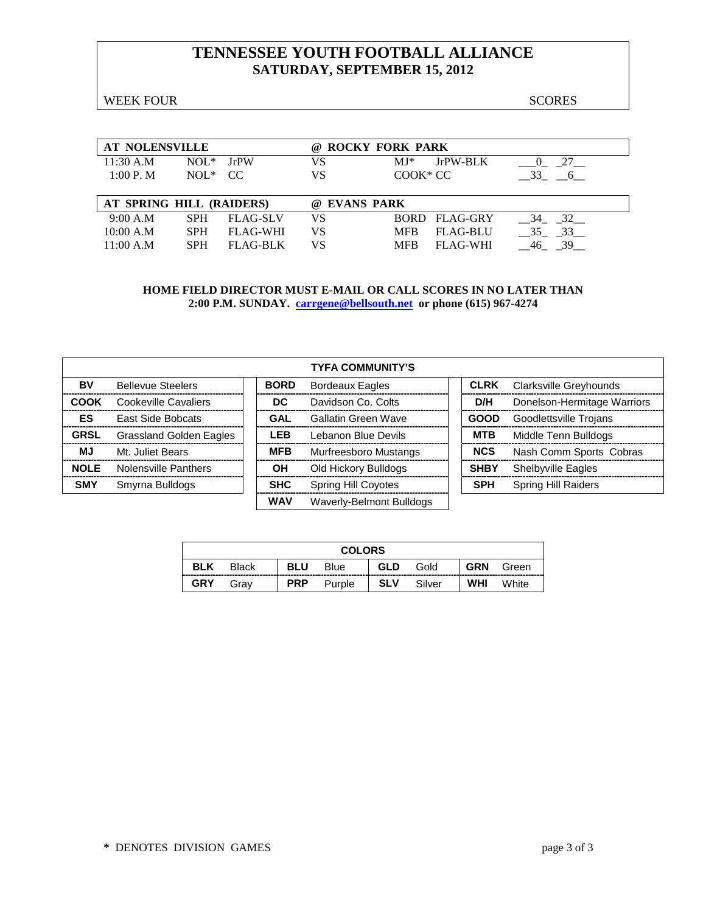## **TENNESSEE YOUTH FOOTBALL ALLIANCE SATURDAY, SEPTEMBER 15, 2012**

WEEK FOUR SCORES

| <b>AT NOLENSVILLE</b>    |              |                 | (a) | <b>ROCKY FORK PARK</b>                    |  |
|--------------------------|--------------|-----------------|-----|-------------------------------------------|--|
| $11:30$ A.M              | $NOL^*$      | <b>IrPW</b>     | VS  | JrPW-BLK<br>$MI^*$<br>27                  |  |
| 1:00 P. M                | $NOL^*$ $CC$ |                 | VS  | $COOK*CC$<br>33<br>6                      |  |
|                          |              |                 |     |                                           |  |
|                          |              |                 |     |                                           |  |
| AT SPRING HILL (RAIDERS) |              |                 | (a) | <b>EVANS PARK</b>                         |  |
| 9:00 A.M                 | <b>SPH</b>   | <b>FLAG-SLV</b> | VS  | 32<br>BORD FLAG-GRY<br>34                 |  |
| 10:00 A.M                | <b>SPH</b>   | <b>FLAG-WHI</b> | VS  | 33<br><b>MFB</b><br><b>FLAG-BLU</b><br>35 |  |

|             |                                |             | <b>TYFA COMMUNITY'S</b>    |             |                             |
|-------------|--------------------------------|-------------|----------------------------|-------------|-----------------------------|
| BV          | <b>Bellevue Steelers</b>       | <b>BORD</b> | <b>Bordeaux Eagles</b>     | <b>CLRK</b> | Clarksville Greyhounds      |
| <b>COOK</b> | Cookeville Cavaliers           | DC.         | Davidson Co. Colts         | D/H         | Donelson-Hermitage Warriors |
| ES          | <b>East Side Bobcats</b>       | <b>GAL</b>  | Gallatin Green Wave        | <b>GOOD</b> | Goodlettsville Trojans      |
| <b>GRSL</b> | <b>Grassland Golden Eagles</b> | <b>LEB</b>  | Lebanon Blue Devils        | <b>MTB</b>  | Middle Tenn Bulldogs        |
| <b>MJ</b>   | Mt. Juliet Bears               | <b>MFB</b>  | Murfreesboro Mustangs      | <b>NCS</b>  | Nash Comm Sports Cobras     |
| <b>NOLE</b> | Nolensville Panthers           | ΟH          | Old Hickory Bulldogs       | <b>SHBY</b> | <b>Shelbyville Eagles</b>   |
| <b>SMY</b>  | Smyrna Bulldogs                | <b>SHC</b>  | <b>Spring Hill Coyotes</b> | <b>SPH</b>  | <b>Spring Hill Raiders</b>  |
|             |                                | <b>WAV</b>  | Waverly-Belmont Bulldogs   |             |                             |

|            |              |            | <b>COLORS</b> |     |        |            |       |
|------------|--------------|------------|---------------|-----|--------|------------|-------|
| <b>BLK</b> | <b>Black</b> | <b>BLU</b> | Blue          | GLD | Gold   | <b>GRN</b> | Green |
| <b>GRY</b> | Grav         | <b>PRP</b> | Purple        | SLV | Silver | <b>WHI</b> | White |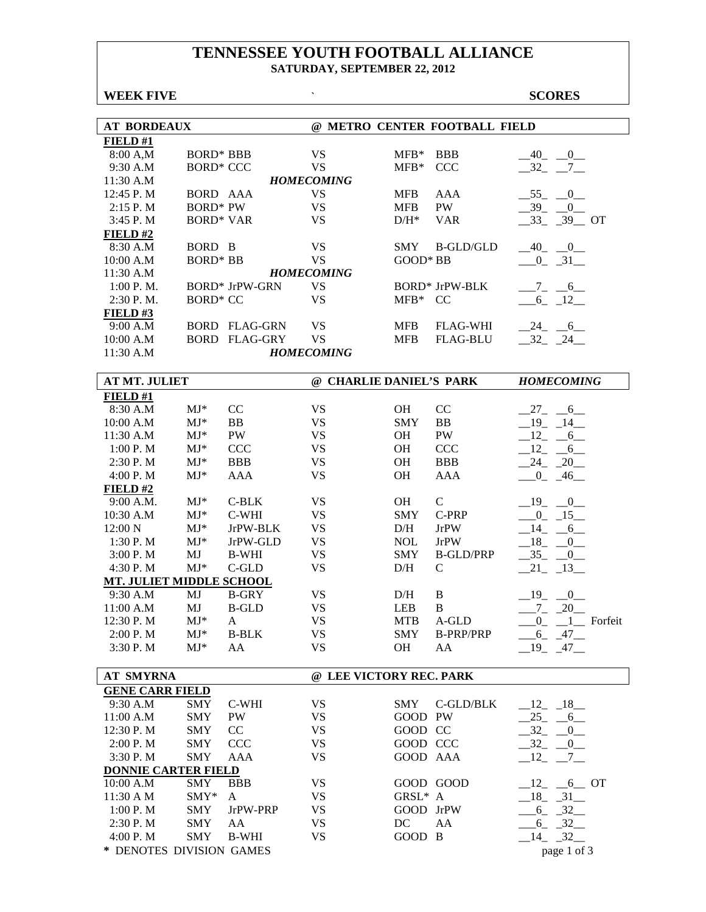### **TENNESSEE YOUTH FOOTBALL ALLIANCE SATURDAY, SEPTEMBER 22, 2012**

| <b>WEEK FIVE</b>           |                               |                       | $\hat{\phantom{a}}$            |                          |                               | <b>SCORES</b>            |
|----------------------------|-------------------------------|-----------------------|--------------------------------|--------------------------|-------------------------------|--------------------------|
|                            |                               |                       |                                |                          |                               |                          |
| <b>AT BORDEAUX</b>         |                               |                       |                                |                          | @ METRO CENTER FOOTBALL FIELD |                          |
| FIELD#1                    |                               |                       |                                |                          |                               |                          |
| 8:00 A,M                   | BORD* BBB<br><b>BORD* CCC</b> |                       | <b>VS</b>                      | $MFB*$                   | <b>BBB</b>                    | $-40$ $-0$               |
| 9:30 A.M                   |                               |                       | <b>VS</b><br><b>HOMECOMING</b> | $MFB*$                   | <b>CCC</b>                    | $-32 - 7$                |
| 11:30 A.M                  |                               |                       | <b>VS</b>                      |                          |                               |                          |
| 12:45 P.M<br>2:15 P.M      | BORD AAA<br><b>BORD* PW</b>   |                       | <b>VS</b>                      | <b>MFB</b><br><b>MFB</b> | AAA<br>PW                     | $-55$ $-0$<br>$-39$ $-0$ |
| 3:45 P.M                   | <b>BORD* VAR</b>              |                       | <b>VS</b>                      | $D/H^*$                  | <b>VAR</b>                    | $-33 - 39 - 0T$          |
| FIELD#2                    |                               |                       |                                |                          |                               |                          |
| 8:30 A.M                   | BORD B                        |                       | <b>VS</b>                      | <b>SMY</b>               | <b>B-GLD/GLD</b>              | $-40$ $-0$               |
| 10:00 A.M                  | <b>BORD* BB</b>               |                       | <b>VS</b>                      | GOOD* BB                 |                               | $-0$ $-31$ $-$           |
| 11:30 A.M                  |                               |                       | <b>HOMECOMING</b>              |                          |                               |                          |
| 1:00 P.M.                  |                               | <b>BORD*</b> JrPW-GRN | <b>VS</b>                      |                          | <b>BORD*</b> JrPW-BLK         | $-7 - -6$                |
| 2:30 P.M.                  | <b>BORD* CC</b>               |                       | <b>VS</b>                      | $MFB*$ CC                |                               | $-6 - 12$                |
| FIELD#3                    |                               |                       |                                |                          |                               |                          |
| 9:00 A.M                   |                               | <b>BORD FLAG-GRN</b>  | <b>VS</b>                      | <b>MFB</b>               | <b>FLAG-WHI</b>               | $-24$ $-6$               |
| 10:00 A.M                  |                               | <b>BORD FLAG-GRY</b>  | <b>VS</b>                      | <b>MFB</b>               | <b>FLAG-BLU</b>               | $-32 - 24$               |
| 11:30 A.M                  |                               |                       | <b>HOMECOMING</b>              |                          |                               |                          |
|                            |                               |                       |                                |                          |                               |                          |
| <b>AT MT. JULIET</b>       |                               |                       | @ CHARLIE DANIEL'S PARK        |                          |                               | <b>HOMECOMING</b>        |
| FIELD#1                    |                               |                       |                                |                          |                               |                          |
| 8:30 A.M                   | $MJ^*$                        | CC                    | <b>VS</b>                      | OН                       | CC                            | $-27 - -6$               |
| 10:00 A.M                  | $MJ*$                         | <b>BB</b>             | <b>VS</b>                      | <b>SMY</b>               | BB                            | $-19$ $-14$              |
| 11:30 A.M                  | $MJ*$                         | PW                    | <b>VS</b>                      | OH                       | PW                            | $-12 - 6$                |
| 1:00 P.M                   | $MJ*$                         | <b>CCC</b>            | <b>VS</b>                      | OH                       | <b>CCC</b>                    | $-12 - 6$                |
| 2:30 P.M                   | $MJ*$                         | <b>BBB</b>            | <b>VS</b>                      | OH                       | <b>BBB</b>                    | $-24$ $-20$              |
| 4:00 P.M                   | $MJ*$                         | <b>AAA</b>            | <b>VS</b>                      | <b>OH</b>                | <b>AAA</b>                    | $0 - 46$                 |
| FIELD#2                    |                               |                       |                                |                          |                               |                          |
| 9:00 A.M.                  | $MJ*$                         | $C-BLK$               | <b>VS</b>                      | OH                       | $\mathbf C$                   | $-19$ $-0$               |
| 10:30 A.M                  | $MJ*$                         | C-WHI                 | <b>VS</b>                      | <b>SMY</b>               | C-PRP                         | $-0$ $-15$               |
| 12:00 N                    | $MJ*$                         | JrPW-BLK              | <b>VS</b>                      | D/H                      | <b>JrPW</b>                   | $-14$ $-6$               |
| 1:30 P.M                   | $MJ*$                         | JrPW-GLD              | <b>VS</b>                      | <b>NOL</b>               | <b>JrPW</b>                   | $-18$ -<br>0             |
| 3:00 P.M                   | MJ                            | <b>B-WHI</b>          | <b>VS</b>                      | <b>SMY</b>               | <b>B-GLD/PRP</b>              | $-35 - 0$                |
| 4:30 P.M                   | $MJ*$                         | $C$ -GLD              | <b>VS</b>                      | D/H                      | $\mathbf C$                   | $-21 - 13$               |
| MT. JULIET MIDDLE SCHOOL   |                               |                       |                                |                          |                               |                          |
| 9:30 A.M                   | MJ                            | <b>B-GRY</b>          | <b>VS</b>                      | D/H                      | B                             | 19<br>$\overline{0}$     |
| 11:00 A.M                  | MJ                            | <b>B-GLD</b>          | <b>VS</b>                      | LEB                      | B                             | $-7 - 20$                |
| 12:30 P.M                  | $MJ*$                         | A                     | <b>VS</b>                      | <b>MTB</b>               | A-GLD                         | 1 Forfeit<br>0           |
| 2:00 P. M                  | $\mathbf{M}\mathbf{J}^*$      | <b>B-BLK</b>          | <b>VS</b>                      | <b>SMY</b>               | <b>B-PRP/PRP</b>              | $-6 - 47$                |
| 3:30 P.M                   | $MJ*$                         | AA                    | <b>VS</b>                      | OH                       | AA                            | $-19$ $-47$ $-$          |
| <b>AT SMYRNA</b>           |                               |                       | @ LEE VICTORY REC. PARK        |                          |                               |                          |
| <b>GENE CARR FIELD</b>     |                               |                       |                                |                          |                               |                          |
| 9:30 A.M                   | SMY                           | C-WHI                 | <b>VS</b>                      | SMY                      | C-GLD/BLK                     | $-12$ $-18$              |
| 11:00 A.M                  | <b>SMY</b>                    | PW                    | <b>VS</b>                      | GOOD PW                  |                               | $-25 - 6$                |
| 12:30 P.M                  | <b>SMY</b>                    | CC                    | <b>VS</b>                      | GOOD CC                  |                               | 32<br>0                  |
| 2:00 P.M                   | <b>SMY</b>                    | <b>CCC</b>            | <b>VS</b>                      | GOOD CCC                 |                               | $-32 - 0$                |
| 3:30 P.M                   | <b>SMY</b>                    | AAA                   | <b>VS</b>                      | GOOD AAA                 |                               | $-12$ $-7$ $-$           |
| <b>DONNIE CARTER FIELD</b> |                               |                       |                                |                          |                               |                          |
| 10:00 A.M                  | SMY                           | <b>BBB</b>            | <b>VS</b>                      |                          | GOOD GOOD                     | $-12$ , $-6$ OT          |
| 11:30 A M                  | SMY*                          |                       | <b>VS</b>                      | GRSL* A                  |                               |                          |
|                            |                               | A<br>JrPW-PRP         | <b>VS</b>                      | GOOD JrPW                |                               | $-18$ $-31$              |
| 1:00 P. M                  | <b>SMY</b>                    |                       | <b>VS</b>                      |                          |                               | $-6 - 32$                |
| 2:30 P.M<br>4:00 P.M       | <b>SMY</b><br><b>SMY</b>      | AA<br><b>B-WHI</b>    | <b>VS</b>                      | DC<br>GOOD B             | AA                            | $-6 - 32$<br>32<br>14    |
|                            |                               |                       |                                |                          |                               |                          |

**\*** DENOTES DIVISION GAMES page 1 of 3

4:00 P. M SMY B-WHI VS GOOD B  $\_14\_32\_$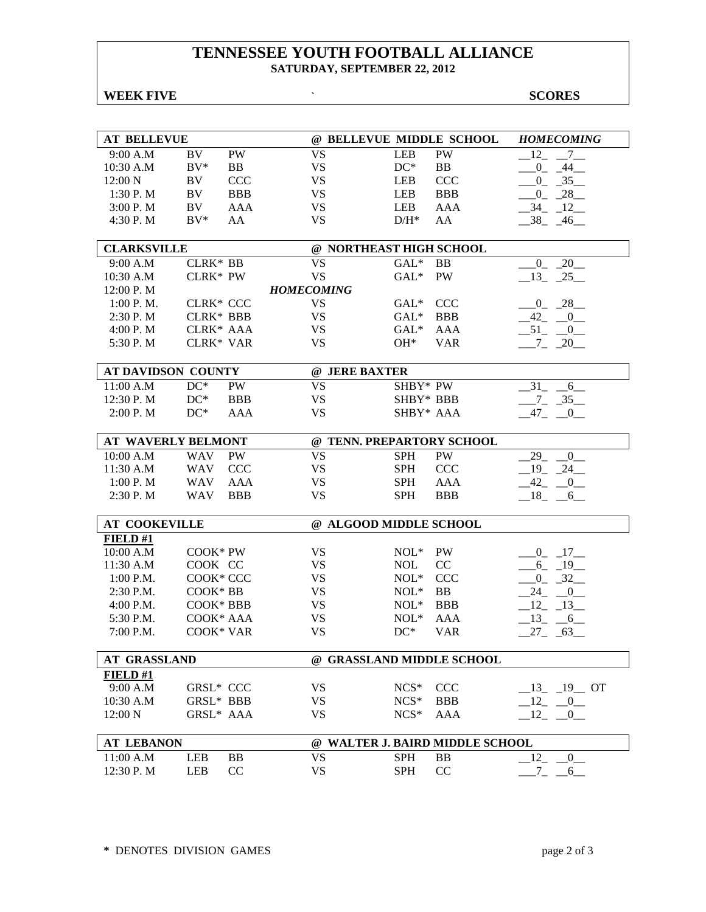### **TENNESSEE YOUTH FOOTBALL ALLIANCE SATURDAY, SEPTEMBER 22, 2012**

## **WEEK FIVE SCORES**

| <b>AT BELLEVUE</b>   |                  |            | @ BELLEVUE MIDDLE SCHOOL  |            |                                 | <b>HOMECOMING</b>                      |
|----------------------|------------------|------------|---------------------------|------------|---------------------------------|----------------------------------------|
| 9:00 A.M             | BV               | <b>PW</b>  | <b>VS</b>                 | <b>LEB</b> | PW                              | 12<br>$7_{-}$                          |
| 10:30 A.M            | $BV^*$           | BB         | <b>VS</b>                 | $DC^*$     | BB                              | $\overline{0}$<br>$-44-$               |
| 12:00 N              | BV.              | <b>CCC</b> | <b>VS</b>                 | <b>LEB</b> | <b>CCC</b>                      | $-35$<br>$_{0}$                        |
| 1:30 P. M            | BV.              | <b>BBB</b> | <b>VS</b>                 | LEB        | <b>BBB</b>                      | $0_$<br>28                             |
| 3:00 P.M             | BV               | AAA        | <b>VS</b>                 | LEB        | AAA                             | 34<br>12                               |
| 4:30 P.M             | $BV^*$           | AA         | <b>VS</b>                 | $D/H^*$    | AA                              | $-38$ <sub>-</sub> $-46$               |
|                      |                  |            |                           |            |                                 |                                        |
| <b>CLARKSVILLE</b>   |                  |            | @ NORTHEAST HIGH SCHOOL   |            |                                 |                                        |
| 9:00 A.M             | CLRK* BB         |            | <b>VS</b>                 | $GAL^*$    | <b>BB</b>                       | 20<br>$\overline{0}$                   |
| $10:30$ A.M          | <b>CLRK* PW</b>  |            | <b>VS</b>                 | $GAL*$     | <b>PW</b>                       | 13<br>$-25$                            |
| 12:00 P.M            |                  |            | <b>HOMECOMING</b>         |            |                                 |                                        |
| 1:00 P. M.           | <b>CLRK* CCC</b> |            | <b>VS</b>                 | $GAL^*$    | <b>CCC</b>                      | $0\qquad 28$                           |
| 2:30 P. M            | <b>CLRK* BBB</b> |            | <b>VS</b>                 | $GAL^*$    | <b>BBB</b>                      | $-42$ $-0$                             |
| 4:00 P.M             | CLRK* AAA        |            | <b>VS</b>                 | $GAL^*$    | AAA                             | $-51$ $-0$                             |
| 5:30 P.M             | <b>CLRK* VAR</b> |            | <b>VS</b>                 | $OH^*$     | <b>VAR</b>                      | $-7 - 20$                              |
|                      |                  |            |                           |            |                                 |                                        |
| AT DAVIDSON COUNTY   |                  |            | @ JERE BAXTER             |            |                                 |                                        |
| 11:00 A.M            | $DC^*$           | PW         | <b>VS</b>                 | SHBY* PW   |                                 | 31<br>6                                |
| 12:30 P.M            | $DC^*$           | <b>BBB</b> | <b>VS</b>                 | SHBY* BBB  |                                 | $-7 - 35$                              |
| 2:00 P.M             | $DC^*$           | AAA        | <b>VS</b>                 | SHBY* AAA  |                                 | $-47$ $-0$                             |
|                      |                  |            |                           |            |                                 |                                        |
| AT WAVERLY BELMONT   |                  |            | @ TENN. PREPARTORY SCHOOL |            |                                 |                                        |
| 10:00 A.M            | WAV              | PW         | <b>VS</b>                 | <b>SPH</b> | <b>PW</b>                       | 29<br>$\overline{0}$                   |
| 11:30 A.M            | WAV              | <b>CCC</b> | <b>VS</b>                 | <b>SPH</b> | <b>CCC</b>                      | 19<br>24                               |
| 1:00 P. M            | WAV              | AAA        | <b>VS</b>                 | <b>SPH</b> | AAA                             | $-42$ $-0$                             |
| 2:30 P.M             | <b>WAV</b>       | <b>BBB</b> | <b>VS</b>                 | <b>SPH</b> | <b>BBB</b>                      | $-18$ - 6                              |
|                      |                  |            |                           |            |                                 |                                        |
| <b>AT COOKEVILLE</b> |                  |            | @ ALGOOD MIDDLE SCHOOL    |            |                                 |                                        |
| FIELD#1              |                  |            |                           |            |                                 |                                        |
| 10:00 A.M            | COOK* PW         |            | <b>VS</b>                 | $NOL^*$    | <b>PW</b>                       | $0 - 17$                               |
| 11:30 A.M            | COOK CC          |            | <b>VS</b>                 | <b>NOL</b> | CC                              | $6 - 19$                               |
| $1:00$ P.M.          | COOK* CCC        |            | <b>VS</b>                 | $NOL*$     | <b>CCC</b>                      | $0 - 32$                               |
| 2:30 P.M.            | COOK* BB         |            | <b>VS</b>                 | $NOL^*$    | BB                              | 24<br>$\begin{array}{c} 0 \end{array}$ |
| $4:00$ P.M.          | COOK* BBB        |            | <b>VS</b>                 | $NOL*$     | <b>BBB</b>                      | $12 - 13$                              |
| 5:30 P.M.            | COOK* AAA        |            | <b>VS</b>                 | $NOL*$     | AAA                             | $13 \qquad 6$                          |
| 7:00 P.M.            | COOK* VAR        |            | <b>VS</b>                 | $DC^*$     | <b>VAR</b>                      | $27 - 63$                              |
| <b>AT GRASSLAND</b>  |                  |            | @ GRASSLAND MIDDLE SCHOOL |            |                                 |                                        |
| FIELD#1              |                  |            |                           |            |                                 |                                        |
| 9:00 A.M             | <b>GRSL* CCC</b> |            | <b>VS</b>                 | $NCS*$     | <b>CCC</b>                      | $-13 - 19$ OT                          |
| 10:30 A.M            | GRSL* BBB        |            | <b>VS</b>                 | $NCS*$     | <b>BBB</b>                      | $12 \qquad 0$                          |
| 12:00 N              | GRSL* AAA        |            | <b>VS</b>                 | $NCS*$     | AAA                             | $-12$ $-0$                             |
|                      |                  |            |                           |            |                                 |                                        |
| <b>AT LEBANON</b>    |                  |            |                           |            | @ WALTER J. BAIRD MIDDLE SCHOOL |                                        |
| 11:00 A.M            | LEB              | BB         | <b>VS</b>                 | <b>SPH</b> | B <sub>B</sub>                  | 12<br>$\overline{0}$                   |
| 12:30 P.M            | LEB              | CC         | <b>VS</b>                 | <b>SPH</b> | CC                              | $7_{-}$<br>$-6$                        |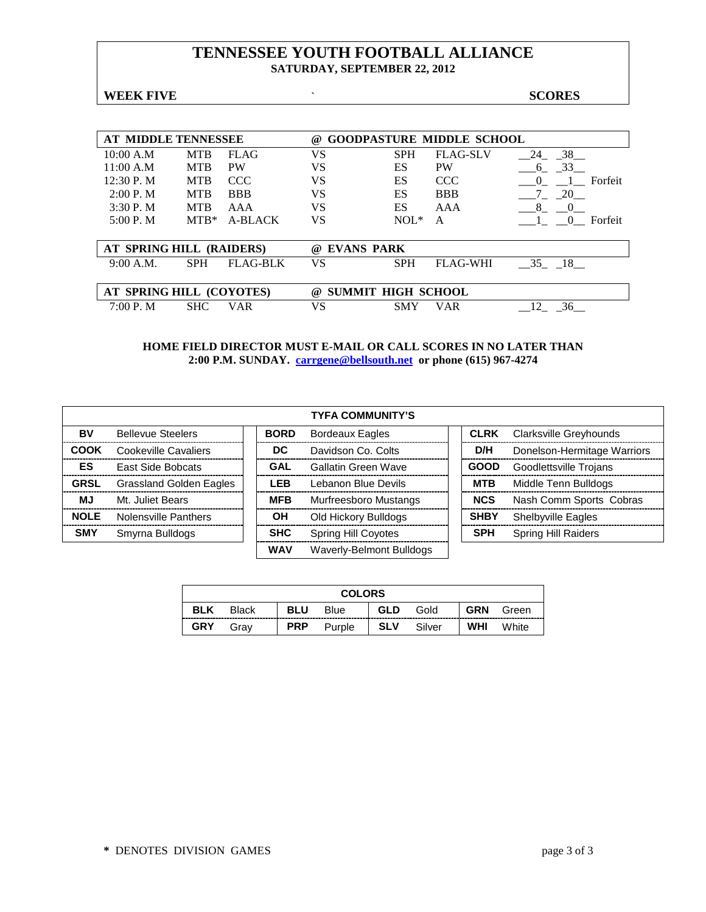### **TENNESSEE YOUTH FOOTBALL ALLIANCE SATURDAY, SEPTEMBER 22, 2012**

**WEEK FIVE SCORES** 

| <b>AT MIDDLE TENNESSEE</b> |            |                 | @                                |            | <b>GOODPASTURE MIDDLE SCHOOL</b> |                     |
|----------------------------|------------|-----------------|----------------------------------|------------|----------------------------------|---------------------|
| 10:00 A.M                  | <b>MTB</b> | <b>FLAG</b>     | VS                               | <b>SPH</b> | <b>FLAG-SLV</b>                  | $-38$<br>24         |
| 11:00 A.M                  | <b>MTB</b> | <b>PW</b>       | VS                               | ES         | <b>PW</b>                        | 33<br>6             |
| 12:30 P. M                 | <b>MTB</b> | <b>CCC</b>      | VS                               | ES         | <b>CCC</b>                       | Forfeit<br>$\theta$ |
| 2:00 P. M                  | <b>MTB</b> | <b>BBB</b>      | VS                               | ES         | <b>BBB</b>                       | 20                  |
| 3:30P. M                   | <b>MTB</b> | AAA             | VS                               | ES         | AAA                              | 8                   |
| 5:00 P. M                  | $MTB*$     | A-BLACK         | VS                               | $NOL*$     | A                                | Forfeit<br>$\theta$ |
|                            |            |                 |                                  |            |                                  |                     |
| AT SPRING HILL (RAIDERS)   |            |                 | <b>EVANS PARK</b><br>$\omega$    |            |                                  |                     |
| 9:00 A.M.                  | <b>SPH</b> | <b>FLAG-BLK</b> | VS                               | <b>SPH</b> | <b>FLAG-WHI</b>                  | 35 18               |
|                            |            |                 |                                  |            |                                  |                     |
| AT SPRING HILL (COYOTES)   |            |                 | <b>SUMMIT HIGH SCHOOL</b><br>(a) |            |                                  |                     |
| $7:00P$ . M                | <b>SHC</b> | VAR             | VS                               | <b>SMY</b> | VAR                              | 36                  |

|             |                             |             | <b>TYFA COMMUNITY'S</b>    |             |                               |
|-------------|-----------------------------|-------------|----------------------------|-------------|-------------------------------|
| BV          | <b>Bellevue Steelers</b>    | <b>BORD</b> | <b>Bordeaux Eagles</b>     | <b>CLRK</b> | <b>Clarksville Greyhounds</b> |
| <b>COOK</b> | Cookeville Cavaliers        | DC.         | Davidson Co. Colts         | D/H         | Donelson-Hermitage Warriors   |
| ES          | <b>East Side Bobcats</b>    | GAL         | Gallatin Green Wave        | <b>GOOD</b> | Goodlettsville Trojans        |
| <b>GRSL</b> | Grassland Golden Eagles     | <b>LEB</b>  | Lebanon Blue Devils        | <b>MTB</b>  | Middle Tenn Bulldogs          |
| <b>MJ</b>   | Mt. Juliet Bears            | <b>MFB</b>  | Murfreesboro Mustangs      | <b>NCS</b>  | Nash Comm Sports Cobras       |
| <b>NOLE</b> | <b>Nolensville Panthers</b> | OH          | Old Hickory Bulldogs       | <b>SHBY</b> | <b>Shelbyville Eagles</b>     |
| <b>SMY</b>  | Smyrna Bulldogs             | <b>SHC</b>  | <b>Spring Hill Coyotes</b> | <b>SPH</b>  | <b>Spring Hill Raiders</b>    |
|             |                             | <b>WAV</b>  | Waverly-Belmont Bulldogs   |             |                               |

|            |              |            | <b>COLORS</b> |            |        |            |       |
|------------|--------------|------------|---------------|------------|--------|------------|-------|
| <b>BLK</b> | <b>Black</b> | <b>BLU</b> | <b>Blue</b>   | <b>GLD</b> | Gold   | <b>GRN</b> | Green |
| <b>GRY</b> | Grav         | <b>PRP</b> | Purple        | <b>SLV</b> | Silver | WHI        | White |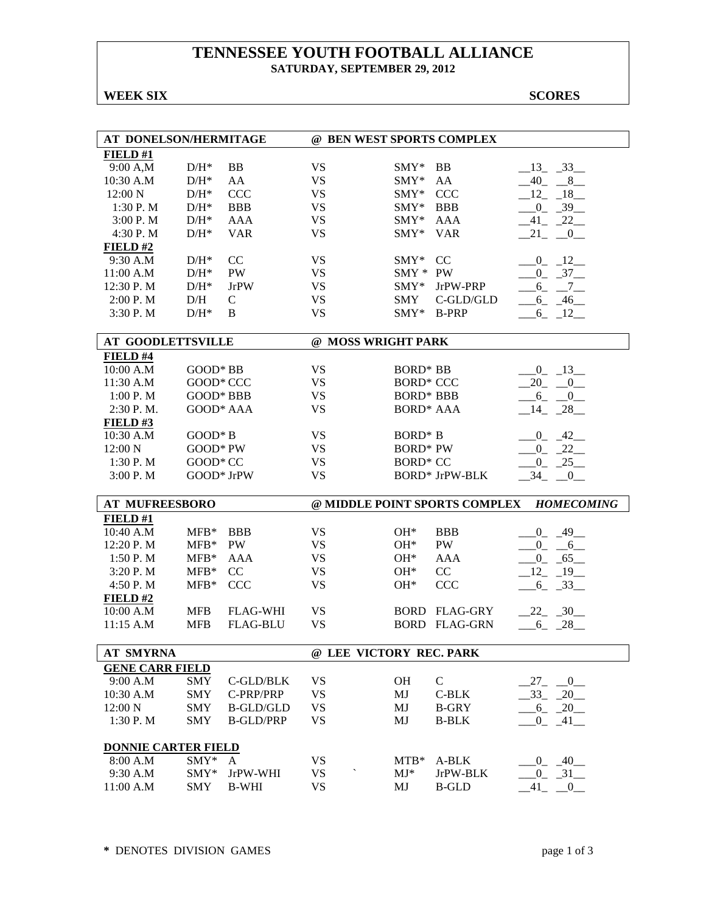### **TENNESSEE YOUTH FOOTBALL ALLIANCE SATURDAY, SEPTEMBER 29, 2012**

#### **WEEK SIX SCORES**

| FIELD#1<br><b>BB</b><br><b>VS</b><br>9:00 A,M<br>$D/H^*$<br>$SMY*$<br>BB<br>$-13 - 33$<br>AA<br><b>VS</b><br>$-40 - 8$<br>10:30 A.M<br>$D/H^*$<br>$SMY*$<br>AA<br><b>CCC</b><br><b>VS</b><br><b>CCC</b><br>12:00 N<br>$D/H^*$<br>$SMY*$<br>$-12 - 18$<br>1:30 P.M<br>$D/H^*$<br><b>BBB</b><br><b>VS</b><br>$0 - 39$<br>$SMY^*$<br><b>BBB</b><br><b>AAA</b><br><b>VS</b><br>3:00 P.M<br>$D/H^*$<br>SMY*<br><b>AAA</b><br>$-41$ $-22$<br><b>VS</b><br>4:30 P.M<br>$D/H^*$<br><b>VAR</b><br>SMY*<br><b>VAR</b><br>21<br>$-0$<br>FIELD#2<br>CC<br><b>VS</b><br>$-0$ $-12$<br>9:30 A.M<br>$D/H^*$<br>$\text{SMY}^*$<br><sub>CC</sub><br>$0 - 37$<br>11:00 A.M<br>$D/H^*$<br>PW<br><b>VS</b><br>SMY * PW<br><b>VS</b><br>12:30 P.M<br>$D/H^*$<br><b>JrPW</b><br>JrPW-PRP<br>$-6 - -7$<br>SMY*<br><b>VS</b><br>C-GLD/GLD<br>2:00 P.M<br>D/H<br>$\mathsf{C}$<br><b>SMY</b><br>$-6 - 46$<br><b>VS</b><br>$D/H^*$<br>B<br>3:30 P.M<br>$SMY*$ B-PRP<br>$-6 - 12$<br>@ MOSS WRIGHT PARK<br><b>AT GOODLETTSVILLE</b><br>FIELD #4<br>GOOD* BB<br><b>VS</b><br>$0 - 13$<br>10:00 A.M<br><b>BORD* BB</b><br>11:30 A.M<br>GOOD* CCC<br><b>VS</b><br><b>BORD* CCC</b><br>$20 - 0$<br><b>GOOD* BBB</b><br><b>VS</b><br><b>BORD* BBB</b><br>1:00 P. M<br>$-6 - 0$<br><b>VS</b><br>2:30 P.M.<br>GOOD* AAA<br><b>BORD* AAA</b><br>$-14$ $-28$<br><b>FIELD#3</b><br>$-0$ $-42$<br>10:30 A.M<br>$GOOD*B$<br><b>VS</b><br>BORD <sup>*</sup> B<br>12:00 N<br>GOOD* PW<br><b>VS</b><br><b>BORD* PW</b><br>$-0$ $-22$<br>GOOD* CC<br><b>VS</b><br><b>BORD* CC</b><br>$0 - 25$<br>1:30 P.M<br><b>VS</b><br>3:00 P.M<br>GOOD* JrPW<br><b>BORD* JrPW-BLK</b><br>$-34$<br>$\mathbf{0}$<br>@ MIDDLE POINT SPORTS COMPLEX<br><b>AT MUFREESBORO</b><br><b>HOMECOMING</b><br>FIELD#1<br><b>VS</b><br>10:40 A.M<br>$MFB*$<br><b>BBB</b><br>$OH*$<br><b>BBB</b><br>$-0$ $-49$<br>12:20 P.M<br><b>PW</b><br><b>VS</b><br>PW<br>$MFB*$<br>$OH*$<br>$-0 - 6$<br>$MFB*$<br><b>VS</b><br>1:50 P. M<br>AAA<br>$OH*$<br><b>AAA</b><br>$_{0}$<br>$-65$<br><b>VS</b><br>3:20 P.M<br>$MFB*$<br>CC<br>CC<br>12<br>$-19$<br>$OH*$<br><b>VS</b><br><b>CCC</b><br><b>CCC</b><br>$-33$<br>4:50 P.M<br>$MFB*$<br>$OH*$<br>$6_{-}$<br>FIELD#2<br><b>MFB</b><br><b>VS</b><br>$-22 - 30$<br>10:00 A.M<br><b>FLAG-WHI</b><br><b>BORD FLAG-GRY</b><br>11:15 A.M<br><b>FLAG-BLU</b><br><b>VS</b><br><b>BORD FLAG-GRN</b><br>$-6 - 28$<br><b>MFB</b><br><b>AT SMYRNA</b><br>@ LEE VICTORY REC. PARK<br><b>GENE CARR FIELD</b><br>$\mathbf C$<br>9:00 A.M<br><b>SMY</b><br><b>VS</b><br>C-GLD/BLK<br><b>OH</b><br>27<br>$\sim 0$<br><b>VS</b><br>$-33 - 20$<br>10:30 A.M<br><b>SMY</b><br>C-PRP/PRP<br>$C-BLK$<br>MJ<br>12:00 N<br><b>VS</b><br>$-6 - 20$<br><b>SMY</b><br><b>B-GLD/GLD</b><br>MJ<br><b>B-GRY</b><br><b>SMY</b><br><b>VS</b><br>1:30 P. M<br><b>B-GLD/PRP</b><br>MJ<br><b>B-BLK</b><br>$0 - 41$<br><b>DONNIE CARTER FIELD</b><br>8:00 A.M<br>SMY*<br><b>VS</b><br>$MTB*$<br>A-BLK<br>$0 - 40$<br>A<br>9:30 A.M<br>SMY*<br><b>VS</b><br>$MJ^*$<br>JrPW-BLK<br>$-0$ $-31$ $-$<br>JrPW-WHI<br>11:00 A.M<br><b>VS</b><br><b>SMY</b><br><b>B-WHI</b><br>MJ<br><b>B-GLD</b><br>41<br>$\overline{0}$ | AT DONELSON/HERMITAGE |  | @ BEN WEST SPORTS COMPLEX |  |  |
|-------------------------------------------------------------------------------------------------------------------------------------------------------------------------------------------------------------------------------------------------------------------------------------------------------------------------------------------------------------------------------------------------------------------------------------------------------------------------------------------------------------------------------------------------------------------------------------------------------------------------------------------------------------------------------------------------------------------------------------------------------------------------------------------------------------------------------------------------------------------------------------------------------------------------------------------------------------------------------------------------------------------------------------------------------------------------------------------------------------------------------------------------------------------------------------------------------------------------------------------------------------------------------------------------------------------------------------------------------------------------------------------------------------------------------------------------------------------------------------------------------------------------------------------------------------------------------------------------------------------------------------------------------------------------------------------------------------------------------------------------------------------------------------------------------------------------------------------------------------------------------------------------------------------------------------------------------------------------------------------------------------------------------------------------------------------------------------------------------------------------------------------------------------------------------------------------------------------------------------------------------------------------------------------------------------------------------------------------------------------------------------------------------------------------------------------------------------------------------------------------------------------------------------------------------------------------------------------------------------------------------------------------------------------------------------------------------------------------------------------------------------------------------------------------------------------------------------------------------------------------------------------------------------------------------------------------------------------------------------------------------------------------------------------------------------------------------------------------------------------------------------------------|-----------------------|--|---------------------------|--|--|
|                                                                                                                                                                                                                                                                                                                                                                                                                                                                                                                                                                                                                                                                                                                                                                                                                                                                                                                                                                                                                                                                                                                                                                                                                                                                                                                                                                                                                                                                                                                                                                                                                                                                                                                                                                                                                                                                                                                                                                                                                                                                                                                                                                                                                                                                                                                                                                                                                                                                                                                                                                                                                                                                                                                                                                                                                                                                                                                                                                                                                                                                                                                                                 |                       |  |                           |  |  |
|                                                                                                                                                                                                                                                                                                                                                                                                                                                                                                                                                                                                                                                                                                                                                                                                                                                                                                                                                                                                                                                                                                                                                                                                                                                                                                                                                                                                                                                                                                                                                                                                                                                                                                                                                                                                                                                                                                                                                                                                                                                                                                                                                                                                                                                                                                                                                                                                                                                                                                                                                                                                                                                                                                                                                                                                                                                                                                                                                                                                                                                                                                                                                 |                       |  |                           |  |  |
|                                                                                                                                                                                                                                                                                                                                                                                                                                                                                                                                                                                                                                                                                                                                                                                                                                                                                                                                                                                                                                                                                                                                                                                                                                                                                                                                                                                                                                                                                                                                                                                                                                                                                                                                                                                                                                                                                                                                                                                                                                                                                                                                                                                                                                                                                                                                                                                                                                                                                                                                                                                                                                                                                                                                                                                                                                                                                                                                                                                                                                                                                                                                                 |                       |  |                           |  |  |
|                                                                                                                                                                                                                                                                                                                                                                                                                                                                                                                                                                                                                                                                                                                                                                                                                                                                                                                                                                                                                                                                                                                                                                                                                                                                                                                                                                                                                                                                                                                                                                                                                                                                                                                                                                                                                                                                                                                                                                                                                                                                                                                                                                                                                                                                                                                                                                                                                                                                                                                                                                                                                                                                                                                                                                                                                                                                                                                                                                                                                                                                                                                                                 |                       |  |                           |  |  |
|                                                                                                                                                                                                                                                                                                                                                                                                                                                                                                                                                                                                                                                                                                                                                                                                                                                                                                                                                                                                                                                                                                                                                                                                                                                                                                                                                                                                                                                                                                                                                                                                                                                                                                                                                                                                                                                                                                                                                                                                                                                                                                                                                                                                                                                                                                                                                                                                                                                                                                                                                                                                                                                                                                                                                                                                                                                                                                                                                                                                                                                                                                                                                 |                       |  |                           |  |  |
|                                                                                                                                                                                                                                                                                                                                                                                                                                                                                                                                                                                                                                                                                                                                                                                                                                                                                                                                                                                                                                                                                                                                                                                                                                                                                                                                                                                                                                                                                                                                                                                                                                                                                                                                                                                                                                                                                                                                                                                                                                                                                                                                                                                                                                                                                                                                                                                                                                                                                                                                                                                                                                                                                                                                                                                                                                                                                                                                                                                                                                                                                                                                                 |                       |  |                           |  |  |
|                                                                                                                                                                                                                                                                                                                                                                                                                                                                                                                                                                                                                                                                                                                                                                                                                                                                                                                                                                                                                                                                                                                                                                                                                                                                                                                                                                                                                                                                                                                                                                                                                                                                                                                                                                                                                                                                                                                                                                                                                                                                                                                                                                                                                                                                                                                                                                                                                                                                                                                                                                                                                                                                                                                                                                                                                                                                                                                                                                                                                                                                                                                                                 |                       |  |                           |  |  |
|                                                                                                                                                                                                                                                                                                                                                                                                                                                                                                                                                                                                                                                                                                                                                                                                                                                                                                                                                                                                                                                                                                                                                                                                                                                                                                                                                                                                                                                                                                                                                                                                                                                                                                                                                                                                                                                                                                                                                                                                                                                                                                                                                                                                                                                                                                                                                                                                                                                                                                                                                                                                                                                                                                                                                                                                                                                                                                                                                                                                                                                                                                                                                 |                       |  |                           |  |  |
|                                                                                                                                                                                                                                                                                                                                                                                                                                                                                                                                                                                                                                                                                                                                                                                                                                                                                                                                                                                                                                                                                                                                                                                                                                                                                                                                                                                                                                                                                                                                                                                                                                                                                                                                                                                                                                                                                                                                                                                                                                                                                                                                                                                                                                                                                                                                                                                                                                                                                                                                                                                                                                                                                                                                                                                                                                                                                                                                                                                                                                                                                                                                                 |                       |  |                           |  |  |
|                                                                                                                                                                                                                                                                                                                                                                                                                                                                                                                                                                                                                                                                                                                                                                                                                                                                                                                                                                                                                                                                                                                                                                                                                                                                                                                                                                                                                                                                                                                                                                                                                                                                                                                                                                                                                                                                                                                                                                                                                                                                                                                                                                                                                                                                                                                                                                                                                                                                                                                                                                                                                                                                                                                                                                                                                                                                                                                                                                                                                                                                                                                                                 |                       |  |                           |  |  |
|                                                                                                                                                                                                                                                                                                                                                                                                                                                                                                                                                                                                                                                                                                                                                                                                                                                                                                                                                                                                                                                                                                                                                                                                                                                                                                                                                                                                                                                                                                                                                                                                                                                                                                                                                                                                                                                                                                                                                                                                                                                                                                                                                                                                                                                                                                                                                                                                                                                                                                                                                                                                                                                                                                                                                                                                                                                                                                                                                                                                                                                                                                                                                 |                       |  |                           |  |  |
|                                                                                                                                                                                                                                                                                                                                                                                                                                                                                                                                                                                                                                                                                                                                                                                                                                                                                                                                                                                                                                                                                                                                                                                                                                                                                                                                                                                                                                                                                                                                                                                                                                                                                                                                                                                                                                                                                                                                                                                                                                                                                                                                                                                                                                                                                                                                                                                                                                                                                                                                                                                                                                                                                                                                                                                                                                                                                                                                                                                                                                                                                                                                                 |                       |  |                           |  |  |
|                                                                                                                                                                                                                                                                                                                                                                                                                                                                                                                                                                                                                                                                                                                                                                                                                                                                                                                                                                                                                                                                                                                                                                                                                                                                                                                                                                                                                                                                                                                                                                                                                                                                                                                                                                                                                                                                                                                                                                                                                                                                                                                                                                                                                                                                                                                                                                                                                                                                                                                                                                                                                                                                                                                                                                                                                                                                                                                                                                                                                                                                                                                                                 |                       |  |                           |  |  |
|                                                                                                                                                                                                                                                                                                                                                                                                                                                                                                                                                                                                                                                                                                                                                                                                                                                                                                                                                                                                                                                                                                                                                                                                                                                                                                                                                                                                                                                                                                                                                                                                                                                                                                                                                                                                                                                                                                                                                                                                                                                                                                                                                                                                                                                                                                                                                                                                                                                                                                                                                                                                                                                                                                                                                                                                                                                                                                                                                                                                                                                                                                                                                 |                       |  |                           |  |  |
|                                                                                                                                                                                                                                                                                                                                                                                                                                                                                                                                                                                                                                                                                                                                                                                                                                                                                                                                                                                                                                                                                                                                                                                                                                                                                                                                                                                                                                                                                                                                                                                                                                                                                                                                                                                                                                                                                                                                                                                                                                                                                                                                                                                                                                                                                                                                                                                                                                                                                                                                                                                                                                                                                                                                                                                                                                                                                                                                                                                                                                                                                                                                                 |                       |  |                           |  |  |
|                                                                                                                                                                                                                                                                                                                                                                                                                                                                                                                                                                                                                                                                                                                                                                                                                                                                                                                                                                                                                                                                                                                                                                                                                                                                                                                                                                                                                                                                                                                                                                                                                                                                                                                                                                                                                                                                                                                                                                                                                                                                                                                                                                                                                                                                                                                                                                                                                                                                                                                                                                                                                                                                                                                                                                                                                                                                                                                                                                                                                                                                                                                                                 |                       |  |                           |  |  |
|                                                                                                                                                                                                                                                                                                                                                                                                                                                                                                                                                                                                                                                                                                                                                                                                                                                                                                                                                                                                                                                                                                                                                                                                                                                                                                                                                                                                                                                                                                                                                                                                                                                                                                                                                                                                                                                                                                                                                                                                                                                                                                                                                                                                                                                                                                                                                                                                                                                                                                                                                                                                                                                                                                                                                                                                                                                                                                                                                                                                                                                                                                                                                 |                       |  |                           |  |  |
|                                                                                                                                                                                                                                                                                                                                                                                                                                                                                                                                                                                                                                                                                                                                                                                                                                                                                                                                                                                                                                                                                                                                                                                                                                                                                                                                                                                                                                                                                                                                                                                                                                                                                                                                                                                                                                                                                                                                                                                                                                                                                                                                                                                                                                                                                                                                                                                                                                                                                                                                                                                                                                                                                                                                                                                                                                                                                                                                                                                                                                                                                                                                                 |                       |  |                           |  |  |
|                                                                                                                                                                                                                                                                                                                                                                                                                                                                                                                                                                                                                                                                                                                                                                                                                                                                                                                                                                                                                                                                                                                                                                                                                                                                                                                                                                                                                                                                                                                                                                                                                                                                                                                                                                                                                                                                                                                                                                                                                                                                                                                                                                                                                                                                                                                                                                                                                                                                                                                                                                                                                                                                                                                                                                                                                                                                                                                                                                                                                                                                                                                                                 |                       |  |                           |  |  |
|                                                                                                                                                                                                                                                                                                                                                                                                                                                                                                                                                                                                                                                                                                                                                                                                                                                                                                                                                                                                                                                                                                                                                                                                                                                                                                                                                                                                                                                                                                                                                                                                                                                                                                                                                                                                                                                                                                                                                                                                                                                                                                                                                                                                                                                                                                                                                                                                                                                                                                                                                                                                                                                                                                                                                                                                                                                                                                                                                                                                                                                                                                                                                 |                       |  |                           |  |  |
|                                                                                                                                                                                                                                                                                                                                                                                                                                                                                                                                                                                                                                                                                                                                                                                                                                                                                                                                                                                                                                                                                                                                                                                                                                                                                                                                                                                                                                                                                                                                                                                                                                                                                                                                                                                                                                                                                                                                                                                                                                                                                                                                                                                                                                                                                                                                                                                                                                                                                                                                                                                                                                                                                                                                                                                                                                                                                                                                                                                                                                                                                                                                                 |                       |  |                           |  |  |
|                                                                                                                                                                                                                                                                                                                                                                                                                                                                                                                                                                                                                                                                                                                                                                                                                                                                                                                                                                                                                                                                                                                                                                                                                                                                                                                                                                                                                                                                                                                                                                                                                                                                                                                                                                                                                                                                                                                                                                                                                                                                                                                                                                                                                                                                                                                                                                                                                                                                                                                                                                                                                                                                                                                                                                                                                                                                                                                                                                                                                                                                                                                                                 |                       |  |                           |  |  |
|                                                                                                                                                                                                                                                                                                                                                                                                                                                                                                                                                                                                                                                                                                                                                                                                                                                                                                                                                                                                                                                                                                                                                                                                                                                                                                                                                                                                                                                                                                                                                                                                                                                                                                                                                                                                                                                                                                                                                                                                                                                                                                                                                                                                                                                                                                                                                                                                                                                                                                                                                                                                                                                                                                                                                                                                                                                                                                                                                                                                                                                                                                                                                 |                       |  |                           |  |  |
|                                                                                                                                                                                                                                                                                                                                                                                                                                                                                                                                                                                                                                                                                                                                                                                                                                                                                                                                                                                                                                                                                                                                                                                                                                                                                                                                                                                                                                                                                                                                                                                                                                                                                                                                                                                                                                                                                                                                                                                                                                                                                                                                                                                                                                                                                                                                                                                                                                                                                                                                                                                                                                                                                                                                                                                                                                                                                                                                                                                                                                                                                                                                                 |                       |  |                           |  |  |
|                                                                                                                                                                                                                                                                                                                                                                                                                                                                                                                                                                                                                                                                                                                                                                                                                                                                                                                                                                                                                                                                                                                                                                                                                                                                                                                                                                                                                                                                                                                                                                                                                                                                                                                                                                                                                                                                                                                                                                                                                                                                                                                                                                                                                                                                                                                                                                                                                                                                                                                                                                                                                                                                                                                                                                                                                                                                                                                                                                                                                                                                                                                                                 |                       |  |                           |  |  |
|                                                                                                                                                                                                                                                                                                                                                                                                                                                                                                                                                                                                                                                                                                                                                                                                                                                                                                                                                                                                                                                                                                                                                                                                                                                                                                                                                                                                                                                                                                                                                                                                                                                                                                                                                                                                                                                                                                                                                                                                                                                                                                                                                                                                                                                                                                                                                                                                                                                                                                                                                                                                                                                                                                                                                                                                                                                                                                                                                                                                                                                                                                                                                 |                       |  |                           |  |  |
|                                                                                                                                                                                                                                                                                                                                                                                                                                                                                                                                                                                                                                                                                                                                                                                                                                                                                                                                                                                                                                                                                                                                                                                                                                                                                                                                                                                                                                                                                                                                                                                                                                                                                                                                                                                                                                                                                                                                                                                                                                                                                                                                                                                                                                                                                                                                                                                                                                                                                                                                                                                                                                                                                                                                                                                                                                                                                                                                                                                                                                                                                                                                                 |                       |  |                           |  |  |
|                                                                                                                                                                                                                                                                                                                                                                                                                                                                                                                                                                                                                                                                                                                                                                                                                                                                                                                                                                                                                                                                                                                                                                                                                                                                                                                                                                                                                                                                                                                                                                                                                                                                                                                                                                                                                                                                                                                                                                                                                                                                                                                                                                                                                                                                                                                                                                                                                                                                                                                                                                                                                                                                                                                                                                                                                                                                                                                                                                                                                                                                                                                                                 |                       |  |                           |  |  |
|                                                                                                                                                                                                                                                                                                                                                                                                                                                                                                                                                                                                                                                                                                                                                                                                                                                                                                                                                                                                                                                                                                                                                                                                                                                                                                                                                                                                                                                                                                                                                                                                                                                                                                                                                                                                                                                                                                                                                                                                                                                                                                                                                                                                                                                                                                                                                                                                                                                                                                                                                                                                                                                                                                                                                                                                                                                                                                                                                                                                                                                                                                                                                 |                       |  |                           |  |  |
|                                                                                                                                                                                                                                                                                                                                                                                                                                                                                                                                                                                                                                                                                                                                                                                                                                                                                                                                                                                                                                                                                                                                                                                                                                                                                                                                                                                                                                                                                                                                                                                                                                                                                                                                                                                                                                                                                                                                                                                                                                                                                                                                                                                                                                                                                                                                                                                                                                                                                                                                                                                                                                                                                                                                                                                                                                                                                                                                                                                                                                                                                                                                                 |                       |  |                           |  |  |
|                                                                                                                                                                                                                                                                                                                                                                                                                                                                                                                                                                                                                                                                                                                                                                                                                                                                                                                                                                                                                                                                                                                                                                                                                                                                                                                                                                                                                                                                                                                                                                                                                                                                                                                                                                                                                                                                                                                                                                                                                                                                                                                                                                                                                                                                                                                                                                                                                                                                                                                                                                                                                                                                                                                                                                                                                                                                                                                                                                                                                                                                                                                                                 |                       |  |                           |  |  |
|                                                                                                                                                                                                                                                                                                                                                                                                                                                                                                                                                                                                                                                                                                                                                                                                                                                                                                                                                                                                                                                                                                                                                                                                                                                                                                                                                                                                                                                                                                                                                                                                                                                                                                                                                                                                                                                                                                                                                                                                                                                                                                                                                                                                                                                                                                                                                                                                                                                                                                                                                                                                                                                                                                                                                                                                                                                                                                                                                                                                                                                                                                                                                 |                       |  |                           |  |  |
|                                                                                                                                                                                                                                                                                                                                                                                                                                                                                                                                                                                                                                                                                                                                                                                                                                                                                                                                                                                                                                                                                                                                                                                                                                                                                                                                                                                                                                                                                                                                                                                                                                                                                                                                                                                                                                                                                                                                                                                                                                                                                                                                                                                                                                                                                                                                                                                                                                                                                                                                                                                                                                                                                                                                                                                                                                                                                                                                                                                                                                                                                                                                                 |                       |  |                           |  |  |
|                                                                                                                                                                                                                                                                                                                                                                                                                                                                                                                                                                                                                                                                                                                                                                                                                                                                                                                                                                                                                                                                                                                                                                                                                                                                                                                                                                                                                                                                                                                                                                                                                                                                                                                                                                                                                                                                                                                                                                                                                                                                                                                                                                                                                                                                                                                                                                                                                                                                                                                                                                                                                                                                                                                                                                                                                                                                                                                                                                                                                                                                                                                                                 |                       |  |                           |  |  |
|                                                                                                                                                                                                                                                                                                                                                                                                                                                                                                                                                                                                                                                                                                                                                                                                                                                                                                                                                                                                                                                                                                                                                                                                                                                                                                                                                                                                                                                                                                                                                                                                                                                                                                                                                                                                                                                                                                                                                                                                                                                                                                                                                                                                                                                                                                                                                                                                                                                                                                                                                                                                                                                                                                                                                                                                                                                                                                                                                                                                                                                                                                                                                 |                       |  |                           |  |  |
|                                                                                                                                                                                                                                                                                                                                                                                                                                                                                                                                                                                                                                                                                                                                                                                                                                                                                                                                                                                                                                                                                                                                                                                                                                                                                                                                                                                                                                                                                                                                                                                                                                                                                                                                                                                                                                                                                                                                                                                                                                                                                                                                                                                                                                                                                                                                                                                                                                                                                                                                                                                                                                                                                                                                                                                                                                                                                                                                                                                                                                                                                                                                                 |                       |  |                           |  |  |
|                                                                                                                                                                                                                                                                                                                                                                                                                                                                                                                                                                                                                                                                                                                                                                                                                                                                                                                                                                                                                                                                                                                                                                                                                                                                                                                                                                                                                                                                                                                                                                                                                                                                                                                                                                                                                                                                                                                                                                                                                                                                                                                                                                                                                                                                                                                                                                                                                                                                                                                                                                                                                                                                                                                                                                                                                                                                                                                                                                                                                                                                                                                                                 |                       |  |                           |  |  |
|                                                                                                                                                                                                                                                                                                                                                                                                                                                                                                                                                                                                                                                                                                                                                                                                                                                                                                                                                                                                                                                                                                                                                                                                                                                                                                                                                                                                                                                                                                                                                                                                                                                                                                                                                                                                                                                                                                                                                                                                                                                                                                                                                                                                                                                                                                                                                                                                                                                                                                                                                                                                                                                                                                                                                                                                                                                                                                                                                                                                                                                                                                                                                 |                       |  |                           |  |  |
|                                                                                                                                                                                                                                                                                                                                                                                                                                                                                                                                                                                                                                                                                                                                                                                                                                                                                                                                                                                                                                                                                                                                                                                                                                                                                                                                                                                                                                                                                                                                                                                                                                                                                                                                                                                                                                                                                                                                                                                                                                                                                                                                                                                                                                                                                                                                                                                                                                                                                                                                                                                                                                                                                                                                                                                                                                                                                                                                                                                                                                                                                                                                                 |                       |  |                           |  |  |
|                                                                                                                                                                                                                                                                                                                                                                                                                                                                                                                                                                                                                                                                                                                                                                                                                                                                                                                                                                                                                                                                                                                                                                                                                                                                                                                                                                                                                                                                                                                                                                                                                                                                                                                                                                                                                                                                                                                                                                                                                                                                                                                                                                                                                                                                                                                                                                                                                                                                                                                                                                                                                                                                                                                                                                                                                                                                                                                                                                                                                                                                                                                                                 |                       |  |                           |  |  |
|                                                                                                                                                                                                                                                                                                                                                                                                                                                                                                                                                                                                                                                                                                                                                                                                                                                                                                                                                                                                                                                                                                                                                                                                                                                                                                                                                                                                                                                                                                                                                                                                                                                                                                                                                                                                                                                                                                                                                                                                                                                                                                                                                                                                                                                                                                                                                                                                                                                                                                                                                                                                                                                                                                                                                                                                                                                                                                                                                                                                                                                                                                                                                 |                       |  |                           |  |  |
|                                                                                                                                                                                                                                                                                                                                                                                                                                                                                                                                                                                                                                                                                                                                                                                                                                                                                                                                                                                                                                                                                                                                                                                                                                                                                                                                                                                                                                                                                                                                                                                                                                                                                                                                                                                                                                                                                                                                                                                                                                                                                                                                                                                                                                                                                                                                                                                                                                                                                                                                                                                                                                                                                                                                                                                                                                                                                                                                                                                                                                                                                                                                                 |                       |  |                           |  |  |
|                                                                                                                                                                                                                                                                                                                                                                                                                                                                                                                                                                                                                                                                                                                                                                                                                                                                                                                                                                                                                                                                                                                                                                                                                                                                                                                                                                                                                                                                                                                                                                                                                                                                                                                                                                                                                                                                                                                                                                                                                                                                                                                                                                                                                                                                                                                                                                                                                                                                                                                                                                                                                                                                                                                                                                                                                                                                                                                                                                                                                                                                                                                                                 |                       |  |                           |  |  |
|                                                                                                                                                                                                                                                                                                                                                                                                                                                                                                                                                                                                                                                                                                                                                                                                                                                                                                                                                                                                                                                                                                                                                                                                                                                                                                                                                                                                                                                                                                                                                                                                                                                                                                                                                                                                                                                                                                                                                                                                                                                                                                                                                                                                                                                                                                                                                                                                                                                                                                                                                                                                                                                                                                                                                                                                                                                                                                                                                                                                                                                                                                                                                 |                       |  |                           |  |  |
|                                                                                                                                                                                                                                                                                                                                                                                                                                                                                                                                                                                                                                                                                                                                                                                                                                                                                                                                                                                                                                                                                                                                                                                                                                                                                                                                                                                                                                                                                                                                                                                                                                                                                                                                                                                                                                                                                                                                                                                                                                                                                                                                                                                                                                                                                                                                                                                                                                                                                                                                                                                                                                                                                                                                                                                                                                                                                                                                                                                                                                                                                                                                                 |                       |  |                           |  |  |
|                                                                                                                                                                                                                                                                                                                                                                                                                                                                                                                                                                                                                                                                                                                                                                                                                                                                                                                                                                                                                                                                                                                                                                                                                                                                                                                                                                                                                                                                                                                                                                                                                                                                                                                                                                                                                                                                                                                                                                                                                                                                                                                                                                                                                                                                                                                                                                                                                                                                                                                                                                                                                                                                                                                                                                                                                                                                                                                                                                                                                                                                                                                                                 |                       |  |                           |  |  |
|                                                                                                                                                                                                                                                                                                                                                                                                                                                                                                                                                                                                                                                                                                                                                                                                                                                                                                                                                                                                                                                                                                                                                                                                                                                                                                                                                                                                                                                                                                                                                                                                                                                                                                                                                                                                                                                                                                                                                                                                                                                                                                                                                                                                                                                                                                                                                                                                                                                                                                                                                                                                                                                                                                                                                                                                                                                                                                                                                                                                                                                                                                                                                 |                       |  |                           |  |  |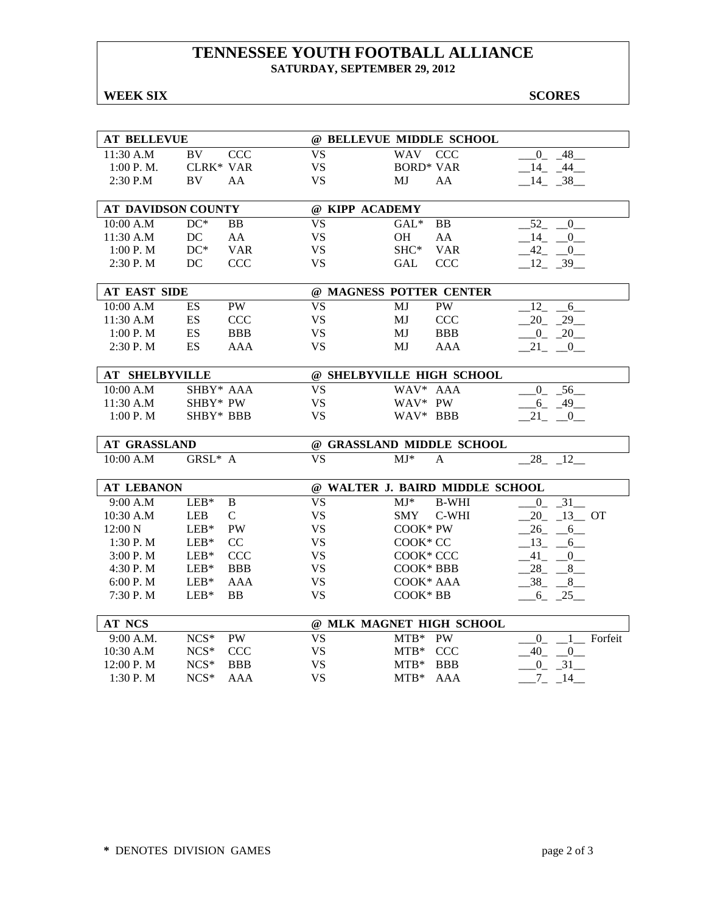### **TENNESSEE YOUTH FOOTBALL ALLIANCE SATURDAY, SEPTEMBER 29, 2012**

## **WEEK SIX** SCORES

| <b>AT BELLEVUE</b>            |                                   |                          | @ BELLEVUE MIDDLE SCHOOL                                  |                                |
|-------------------------------|-----------------------------------|--------------------------|-----------------------------------------------------------|--------------------------------|
| 11:30 A.M                     | BV<br><b>CCC</b>                  | <b>VS</b>                | <b>WAV</b><br><b>CCC</b>                                  | $\overline{0}$<br>48           |
| 1:00 P. M.                    | <b>CLRK* VAR</b>                  | <b>VS</b>                | <b>BORD* VAR</b>                                          | $-14$ $-44$                    |
| $2:30$ P.M                    | BV<br>AA                          | <b>VS</b>                | MJ<br>AA                                                  | $-14$ $-38$                    |
|                               |                                   |                          |                                                           |                                |
| <b>AT DAVIDSON COUNTY</b>     |                                   |                          | @ KIPP ACADEMY                                            |                                |
| 10:00 A.M                     | $DC^*$<br>BB.                     | $\overline{\mathrm{VS}}$ | <b>BB</b><br>$GAL^*$                                      | 52<br>$\overline{0}$           |
| 11:30 A.M                     | DC<br>AA                          | <b>VS</b>                | <b>OH</b><br>AA                                           | 14<br>$\overline{0}$           |
| 1:00 P. M                     | $DC^*$<br><b>VAR</b>              | <b>VS</b>                | SHC*<br><b>VAR</b>                                        | 42<br>$\overline{0}$           |
| 2:30P. M                      | DC<br><b>CCC</b>                  | <b>VS</b>                | <b>CCC</b><br>GAL                                         | $-12 - 39$                     |
|                               |                                   |                          |                                                           |                                |
| <b>AT EAST SIDE</b>           |                                   |                          | @ MAGNESS POTTER CENTER                                   |                                |
| 10:00 A.M                     | PW<br>ES                          | <b>VS</b>                | MJ<br><b>PW</b>                                           | 12<br>6                        |
| 11:30 A.M                     | ES<br><b>CCC</b>                  | <b>VS</b>                | MJ<br><b>CCC</b>                                          | 20<br>29                       |
| 1:00 P.M                      | <b>ES</b><br><b>BBB</b>           | <b>VS</b>                | <b>BBB</b><br>MJ                                          | $-0$ $-20$                     |
| 2:30 P.M                      | ES<br>AAA                         | <b>VS</b>                | MJ<br>AAA                                                 | $21 - 0$                       |
|                               |                                   |                          |                                                           |                                |
| <b>AT SHELBYVILLE</b>         |                                   |                          | @ SHELBYVILLE HIGH SCHOOL                                 |                                |
| 10:00 A.M                     | SHBY* AAA                         | <b>VS</b>                | WAV* AAA                                                  | $-0$ $-56$                     |
| 11:30 A.M                     | SHBY* PW                          | <b>VS</b>                | WAV* PW                                                   | $-6 - 49$                      |
| 1:00 P. M                     | SHBY* BBB                         | <b>VS</b>                | WAV* BBB                                                  | $21 \qquad 0$                  |
|                               |                                   |                          |                                                           |                                |
| <b>AT GRASSLAND</b>           |                                   |                          | @ GRASSLAND MIDDLE SCHOOL                                 |                                |
| 10:00 A.M                     | GRSL* A                           | <b>VS</b>                | $MJ*$<br>A                                                | 12<br>28                       |
|                               |                                   |                          |                                                           |                                |
| <b>AT LEBANON</b><br>9:00 A.M | $LEB*$<br>$\mathbf B$             | $\overline{\text{VS}}$   | @ WALTER J. BAIRD MIDDLE SCHOOL<br>$MJ^*$<br><b>B-WHI</b> | $\overline{0}$                 |
|                               | $\mathbf{C}$                      | <b>VS</b>                | C-WHI                                                     | $\overline{31}$<br>13 OT<br>20 |
| $10:30$ A.M                   | <b>LEB</b><br><b>PW</b><br>$LEB*$ | <b>VS</b>                | <b>SMY</b><br>$COOK*PW$                                   |                                |
| 12:00 N                       | $LEB*$<br>CC                      | <b>VS</b>                | COOK* CC                                                  | 26<br>$-6$                     |
| 1:30P. M                      | $LEB*$<br><b>CCC</b>              | <b>VS</b>                |                                                           | $13 -$<br>6                    |
| 3:00 P.M<br>4:30 P.M          | $LEB*$<br><b>BBB</b>              | <b>VS</b>                | COOK* CCC<br>COOK* BBB                                    | $.41 - .0$<br>28<br>8          |
|                               | $LEB*$                            | <b>VS</b>                | COOK* AAA                                                 |                                |
| 6:00 P. M<br>7:30 P.M         | AAA<br><b>BB</b>                  | <b>VS</b>                | COOK* BB                                                  | 38<br>8<br>25                  |
|                               | $LEB*$                            |                          |                                                           | $6$ <sub>-</sub>               |
| <b>AT NCS</b>                 |                                   |                          | @ MLK MAGNET HIGH SCHOOL                                  |                                |
| 9:00 A.M.                     | $NCS*$<br>PW                      | <b>VS</b>                | $MTB*$<br><b>PW</b>                                       | Forfeit<br>$\overline{0}$      |
| 10:30 A.M                     | $NCS*$<br><b>CCC</b>              | <b>VS</b>                | $MTB*$<br><b>CCC</b>                                      | 40<br>$-0$                     |
| 12:00 P. M                    | $NCS*$<br><b>BBB</b>              | <b>VS</b>                | $MTB*$<br><b>BBB</b>                                      | 0 31                           |
| 1:30 P.M                      | $NCS*$<br>AAA                     | <b>VS</b>                | $MTB*$<br>AAA                                             | $-7 - 14$                      |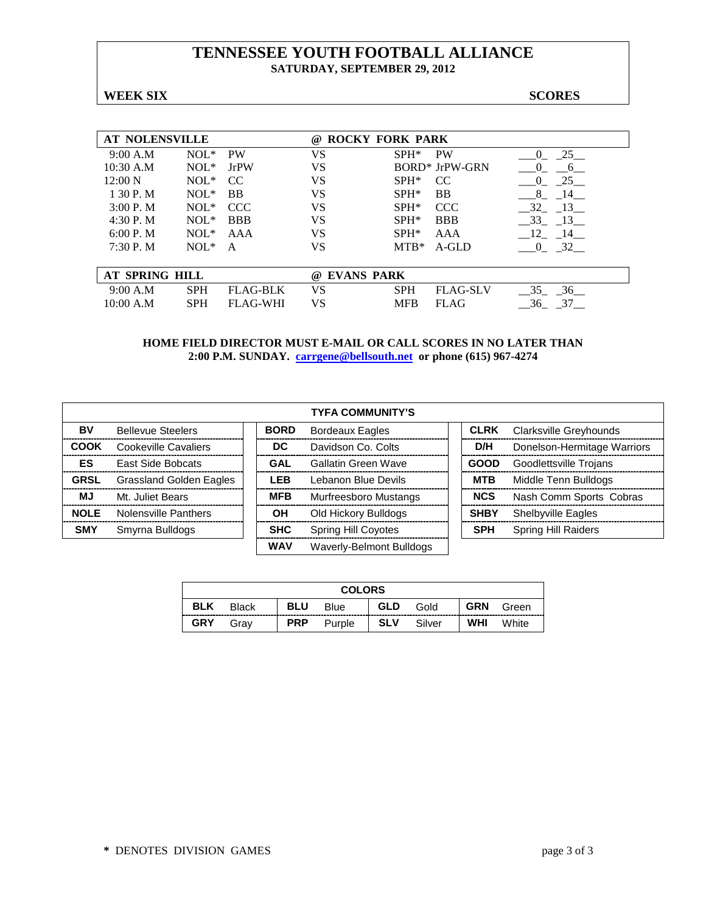#### **TENNESSEE YOUTH FOOTBALL ALLIANCE SATURDAY, SEPTEMBER 29, 2012**

**WEEK SIX SCORES**

| <b>AT NOLENSVILLE</b> |            |                 | <b>ROCKY FORK PARK</b><br>$\omega$ |            |                 |                |
|-----------------------|------------|-----------------|------------------------------------|------------|-----------------|----------------|
| 9:00 A.M              | $NOL*$     | <b>PW</b>       | VS                                 | $SPH*$     | <b>PW</b>       | 25<br>$_{0}$   |
| $10:30$ A.M           | $NOL*$     | <b>JrPW</b>     | VS                                 |            | BORD* JrPW-GRN  |                |
| 12:00 N               | $NOL*$     | CC.             | VS                                 | $SPH*$     | CC.             | 25<br>$\left($ |
| 1 30 P.M              | $NOL*$     | <b>BB</b>       | VS                                 | $SPH*$     | <b>BB</b>       | 8<br>14        |
| $3:00P$ . M           | $NOL*$     | <b>CCC</b>      | <b>VS</b>                          | $SPH*$     | <b>CCC</b>      | 32<br>- 13     |
| 4:30P. M              | $NOL*$     | <b>BBB</b>      | VS                                 | $SPH*$     | <b>BBB</b>      | 33<br>$-13$    |
| 6:00 P. M             | $NOL*$     | AAA             | <b>VS</b>                          | $SPH*$     | AAA             | 12<br>- 14     |
| 7:30P. M              | $NOL*$     | A               | VS                                 | $MTB*$     | A-GLD           | 32<br>$\theta$ |
|                       |            |                 |                                    |            |                 |                |
| <b>AT SPRING HILL</b> |            |                 | <b>EVANS PARK</b><br>(a)           |            |                 |                |
| 9:00 A.M              | <b>SPH</b> | <b>FLAG-BLK</b> | VS                                 | <b>SPH</b> | <b>FLAG-SLV</b> | 36<br>35       |
| 10:00 A.M             | <b>SPH</b> | <b>FLAG-WHI</b> | VS                                 | <b>MFB</b> | <b>FLAG</b>     | 36<br>37       |

|             |                                |             | <b>TYFA COMMUNITY'S</b>    |             |                             |
|-------------|--------------------------------|-------------|----------------------------|-------------|-----------------------------|
| BV          | <b>Bellevue Steelers</b>       | <b>BORD</b> | <b>Bordeaux Eagles</b>     | <b>CLRK</b> | Clarksville Greyhounds      |
| COOK        | Cookeville Cavaliers           | DC.         | Davidson Co. Colts         | D/H         | Donelson-Hermitage Warriors |
| ES          | <b>East Side Bobcats</b>       | GAL         | Gallatin Green Wave        | <b>GOOD</b> | Goodlettsville Trojans      |
| <b>GRSL</b> | <b>Grassland Golden Eagles</b> | <b>LEB</b>  | Lebanon Blue Devils        | <b>MTB</b>  | Middle Tenn Bulldogs        |
| <b>MJ</b>   | Mt. Juliet Bears               | <b>MFB</b>  | Murfreesboro Mustangs      | <b>NCS</b>  | Nash Comm Sports Cobras     |
| <b>NOLE</b> | Nolensville Panthers           | OH          | Old Hickory Bulldogs       | <b>SHBY</b> | <b>Shelbyville Eagles</b>   |
| <b>SMY</b>  | Smyrna Bulldogs                | <b>SHC</b>  | <b>Spring Hill Coyotes</b> | <b>SPH</b>  | <b>Spring Hill Raiders</b>  |
|             |                                | <b>WAV</b>  | Waverly-Belmont Bulldogs   |             |                             |

| <b>COLORS</b> |              |            |        |            |        |            |       |
|---------------|--------------|------------|--------|------------|--------|------------|-------|
| <b>BLK</b>    | <b>Black</b> | <b>BLU</b> | Blue   | <b>GLD</b> | Gold   | <b>GRN</b> | Green |
| <b>GRY</b>    | Grav         | <b>PRP</b> | Purple | <b>SLV</b> | Silver | <b>WHI</b> | White |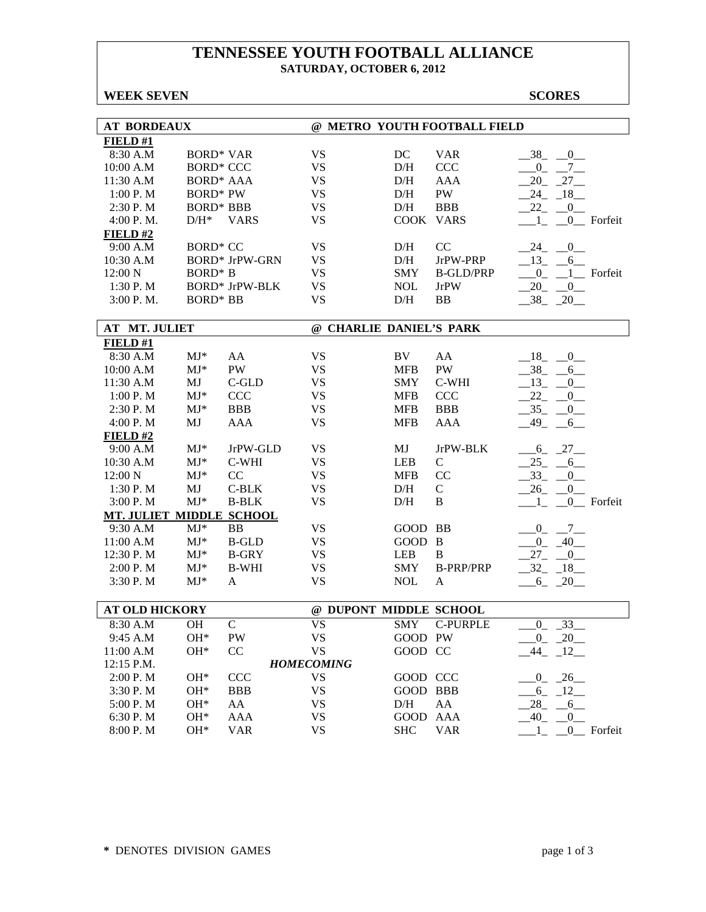### **TENNESSEE YOUTH FOOTBALL ALLIANCE SATURDAY, OCTOBER 6, 2012**

#### **WEEK SEVEN** SCORES

| <b>AT BORDEAUX</b>              |                  |                       |                          |            | @ METRO YOUTH FOOTBALL FIELD |                                        |
|---------------------------------|------------------|-----------------------|--------------------------|------------|------------------------------|----------------------------------------|
| FIELD #1                        |                  |                       |                          |            |                              |                                        |
| 8:30 A.M                        | <b>BORD* VAR</b> |                       | <b>VS</b>                | DC         | <b>VAR</b>                   | $-38$<br>$-0$                          |
| 10:00 A.M                       | <b>BORD* CCC</b> |                       | <b>VS</b>                | D/H        | <b>CCC</b>                   | 0<br>$7_{-}$                           |
| 11:30 A.M                       | <b>BORD* AAA</b> |                       | <b>VS</b>                | D/H        | AAA                          | 27<br>20                               |
| 1:00 P. M                       | <b>BORD* PW</b>  |                       | <b>VS</b>                | D/H        | PW                           | 24<br>$-18$                            |
| 2:30 P.M                        | <b>BORD* BBB</b> |                       | <b>VS</b>                | D/H        | <b>BBB</b>                   | 22<br>$\overline{0}$                   |
| 4:00 P.M.                       | $D/H^*$          | <b>VARS</b>           | <b>VS</b>                | COOK VARS  |                              | 0_ Forfeit<br>$\mathbf{1}$             |
| FIELD#2                         |                  |                       |                          |            |                              |                                        |
| 9:00 A.M                        | <b>BORD* CC</b>  |                       | <b>VS</b>                | D/H        | CC                           | $\begin{array}{c} 0 \end{array}$<br>24 |
| 10:30 A.M                       |                  | <b>BORD* JrPW-GRN</b> | VS                       | D/H        | JrPW-PRP                     | $-13 - 6$                              |
| 12:00 N                         | <b>BORD*</b> B   |                       | <b>VS</b>                | <b>SMY</b> | <b>B-GLD/PRP</b>             | $0$ $1$ Forfeit                        |
| 1:30 P.M                        |                  | <b>BORD* JrPW-BLK</b> | <b>VS</b>                | <b>NOL</b> | <b>JrPW</b>                  | $20 - 0$                               |
| 3:00 P.M.                       | <b>BORD* BB</b>  |                       | <b>VS</b>                | D/H        | BB                           | $-38$ $-20$                            |
|                                 |                  |                       |                          |            |                              |                                        |
| <b>AT MT. JULIET</b>            |                  |                       | @ CHARLIE DANIEL'S PARK  |            |                              |                                        |
| FIELD#1                         |                  |                       |                          |            |                              |                                        |
| 8:30 A.M                        | $MJ^*$           | AA                    | <b>VS</b>                | BV         | AA                           | $-0$<br>$-18$                          |
| 10:00 A.M                       | $MJ^*$           | PW                    | <b>VS</b>                | <b>MFB</b> | PW                           | 38<br>6                                |
| 11:30 A.M                       | MJ               | C-GLD                 | <b>VS</b>                | <b>SMY</b> | C-WHI                        | $_{13}$<br>$\mathbf{0}$                |
| 1:00 P. M                       | $MJ*$            | <b>CCC</b>            | <b>VS</b>                | <b>MFB</b> | CCC                          | 22<br>0                                |
| 2:30 P.M                        | $MJ^*$           | <b>BBB</b>            | <b>VS</b>                | <b>MFB</b> | <b>BBB</b>                   | 35<br>0                                |
| 4:00 P. M                       | MJ               | <b>AAA</b>            | <b>VS</b>                | <b>MFB</b> | <b>AAA</b>                   | 49<br>6                                |
| FIELD#2                         |                  |                       |                          |            |                              |                                        |
| 9:00 A.M                        | $MJ*$            | JrPW-GLD              | <b>VS</b>                | MJ         | JrPW-BLK                     | 6 27                                   |
| 10:30 A.M                       | $MJ*$            | C-WHI                 | <b>VS</b>                | LEB        | $\mathsf{C}$                 | $25 - 6$                               |
| 12:00 N                         | $MJ*$            | CC                    | <b>VS</b>                | <b>MFB</b> | CC                           | 33<br>$\overline{\phantom{0}0}$        |
| 1:30 P.M                        | MJ               | $C-BLK$               | <b>VS</b>                | D/H        | $\mathsf{C}$                 | 26<br>$\overline{0}$                   |
| 3:00 P.M                        | $MJ*$            | <b>B-BLK</b>          | <b>VS</b>                | D/H        | B                            | 0_ Forfeit<br>1                        |
| <b>MT. JULIET MIDDLE SCHOOL</b> |                  |                       |                          |            |                              |                                        |
| 9:30 A.M                        | $MJ^*$           | <b>BB</b>             | <b>VS</b>                | GOOD BB    |                              | $0_{-}$<br>$-7$                        |
| 11:00 A.M                       | $MJ*$            | <b>B-GLD</b>          | <b>VS</b>                | GOOD B     |                              | $-0$ $-40$                             |
| 12:30 P.M                       | $MJ*$            | <b>B-GRY</b>          | <b>VS</b>                | <b>LEB</b> | B                            | $27_{-}$<br>$-0$                       |
| 2:00 P. M                       | $MJ*$            | <b>B-WHI</b>          | <b>VS</b>                | <b>SMY</b> | <b>B-PRP/PRP</b>             | $-32 - 18$                             |
| 3:30 P.M                        | $MJ^*$           | A                     | <b>VS</b>                | <b>NOL</b> | A                            | $6 - 20$                               |
|                                 |                  |                       |                          |            |                              |                                        |
| <b>AT OLD HICKORY</b>           |                  |                       | @ DUPONT MIDDLE SCHOOL   |            |                              |                                        |
| 8:30 A.M                        | <b>OH</b>        | $\mathcal{C}$         | $\overline{\mathrm{VS}}$ | <b>SMY</b> | <b>C-PURPLE</b>              | 33<br>$\Omega$                         |
| 9:45 A.M                        | OH*              | PW                    | <b>VS</b>                | GOOD PW    |                              | $-20$<br>$_{-0}$                       |
| 11:00 A.M                       | OH*              | CC                    | <b>VS</b>                | GOOD CC    |                              | $-12$<br>44                            |
| 12:15 P.M.                      |                  |                       | <b>HOMECOMING</b>        |            |                              |                                        |
| 2:00 P.M                        | OH*              | CCC                   | <b>VS</b>                | GOOD CCC   |                              | $-26$<br>$\overline{0}$                |
| 3:30 P.M                        | OH*              | <b>BBB</b>            | <b>VS</b>                | GOOD BBB   |                              | 6<br>$-12$                             |
| 5:00 P.M                        | OH*              | AA                    | <b>VS</b>                | D/H        | AA                           | 28<br>$-6$                             |
| 6:30 P.M                        | OH*              | AAA                   | <b>VS</b>                | GOOD       | AAA                          | 40<br>$\overline{0}$                   |
| 8:00 P.M                        | OH*              | <b>VAR</b>            | <b>VS</b>                | <b>SHC</b> | <b>VAR</b>                   | $_{0}$<br>Forfeit                      |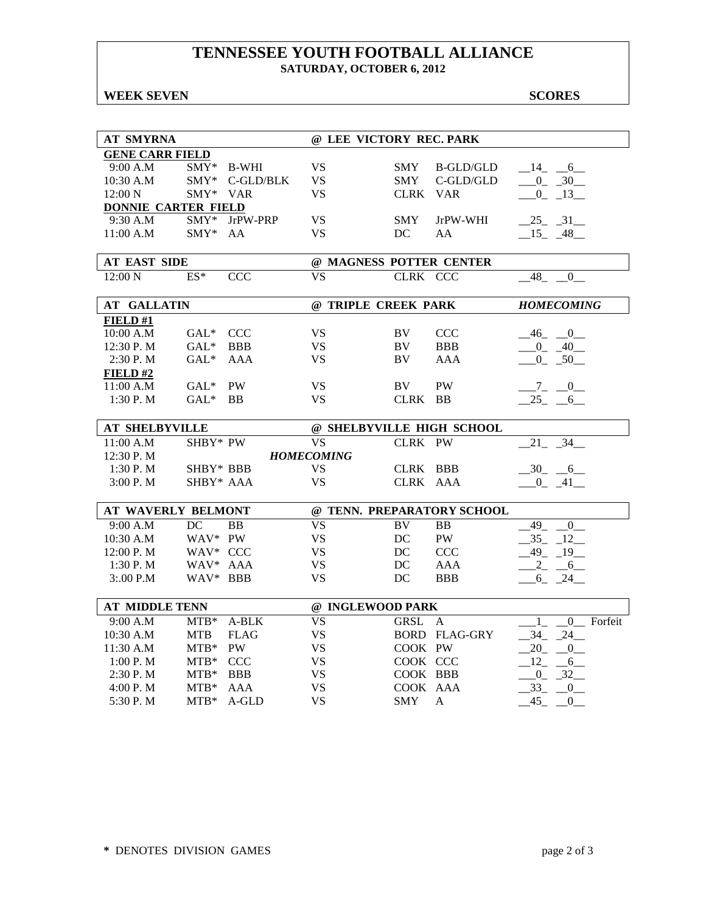### **TENNESSEE YOUTH FOOTBALL ALLIANCE SATURDAY, OCTOBER 6, 2012**

#### **WEEK SEVEN** SCORES

| <b>AT SMYRNA</b>           |                  |                | @ LEE VICTORY REC. PARK   |                        |                            |                                              |
|----------------------------|------------------|----------------|---------------------------|------------------------|----------------------------|----------------------------------------------|
| <b>GENE CARR FIELD</b>     |                  |                |                           |                        |                            |                                              |
| 9:00 A.M                   |                  | $SMY*$ B-WHI   | <b>VS</b>                 | SMY                    | B-GLD/GLD                  | $-14$ $-6$                                   |
| 10:30 A.M                  |                  | SMY* C-GLD/BLK | VS.                       | SMY                    | $C$ -GLD/GLD               | $-0$ $-30$                                   |
| 12:00 N                    | SMY* VAR         |                | <b>VS</b>                 | CLRK VAR               |                            | $-0$ $-13$                                   |
| <b>DONNIE CARTER FIELD</b> |                  |                |                           |                        |                            |                                              |
| 9:30 A.M                   | SMY*             | JrPW-PRP       | VS.                       | <b>SMY</b>             | JrPW-WHI                   | 25 31                                        |
| 11:00 A.M                  | $\text{SMY*}$    | AA             | VS.                       | DC                     | AA                         | $-15 - 48$                                   |
|                            |                  |                |                           |                        |                            |                                              |
| <b>AT EAST SIDE</b>        |                  |                | @ MAGNESS POTTER CENTER   |                        |                            |                                              |
| 12:00 N                    | $ES^*$           | <b>CCC</b>     | <b>VS</b>                 | CLRK CCC               |                            | $-48$<br>$\overline{\phantom{0}}$            |
| <b>AT GALLATIN</b>         |                  |                | @ TRIPLE CREEK PARK       |                        |                            | <b>HOMECOMING</b>                            |
| FIELD#1                    |                  |                |                           |                        |                            |                                              |
| 10:00 A.M                  | GAL* CCC         |                | <b>VS</b>                 | BV                     | <b>CCC</b>                 | $-46$ $-0$                                   |
| 12:30 P.M                  | $GAL^*$          | <b>BBB</b>     | <b>VS</b>                 | BV.                    | <b>BBB</b>                 | $-0$ $-40$                                   |
| 2:30 P.M                   | $GAL^*$          | AAA            | <b>VS</b>                 | BV                     | AAA                        | $-0$ $-50$                                   |
| FIELD# $2$                 |                  |                |                           |                        |                            |                                              |
| 11:00 A.M                  | $GAL^*$          | PW             | <b>VS</b>                 | BV                     | <b>PW</b>                  | $-7 - 0$                                     |
| 1:30 P. M                  | $GAL^*$          | <b>BB</b>      | <b>VS</b>                 | CLRK BB                |                            | 25 6                                         |
|                            |                  |                |                           |                        |                            |                                              |
| <b>AT SHELBYVILLE</b>      |                  |                | @ SHELBYVILLE HIGH SCHOOL |                        |                            |                                              |
| 11:00 A.M                  | SHBY* PW         |                | <b>VS</b>                 | CLRK PW                |                            | 21<br>34                                     |
| $12:30$ P. M               |                  |                | <b>HOMECOMING</b>         |                        |                            |                                              |
| 1:30 P.M                   | SHBY* BBB        |                | <b>VS</b>                 | CLRK BBB               |                            | $-30 - 6$                                    |
| 3:00 P. M                  | SHBY* AAA        |                | <b>VS</b>                 | CLRK AAA               |                            | $-0$ $-41$                                   |
|                            |                  |                |                           |                        |                            |                                              |
| <b>AT WAVERLY BELMONT</b>  |                  |                |                           |                        | @ TENN. PREPARATORY SCHOOL |                                              |
| 9:00 A.M                   | DC               | <b>BB</b>      | <b>VS</b>                 | BV                     | <b>BB</b>                  | 49<br>$\overline{0}$                         |
| 10:30 A.M                  | WAV* PW          |                | <b>VS</b>                 | DC                     | <b>PW</b>                  | $35 - 12$                                    |
| 12:00 P.M                  | WAV* CCC         |                | <b>VS</b>                 | DC                     | <b>CCC</b>                 | $-49 - 19$                                   |
| 1:30 P. M                  | WAV* AAA         |                | <b>VS</b>                 | DC                     | AAA                        | $-2$ $-6$                                    |
| 3:.00 P.M                  | WAV* BBB         |                | <b>VS</b>                 | DC                     | <b>BBB</b>                 | $6 - 24$                                     |
| <b>AT MIDDLE TENN</b>      |                  |                | @ INGLEWOOD PARK          |                        |                            |                                              |
|                            |                  |                |                           |                        |                            |                                              |
| 9:00 A.M                   | $MTB*$           | A-BLK          | <b>VS</b>                 | <b>GRSL</b>            | $\mathsf{A}$               | $\Omega$<br>Forfeit<br>1                     |
| 10:30 A.M                  | <b>MTB</b>       | <b>FLAG</b>    | <b>VS</b><br><b>VS</b>    |                        | <b>BORD FLAG-GRY</b>       | $-34 - 24$<br>$20 \qquad 0$                  |
| 11:30 A.M                  | $MTB*$           | PW             |                           | COOK PW                |                            |                                              |
|                            |                  |                |                           |                        |                            |                                              |
| 1:00 P.M                   | $MTB*$           | <b>CCC</b>     | <b>VS</b>                 | COOK CCC               |                            | $12 \qquad 6$                                |
| 2:30 P. M                  | $MTB*$           | <b>BBB</b>     | <b>VS</b>                 | COOK BBB               |                            | $-0$ $-32$                                   |
| 4:00 P.M<br>5:30 P.M       | $MTB*$<br>$MTB*$ | AAA<br>A-GLD   | <b>VS</b><br><b>VS</b>    | COOK AAA<br><b>SMY</b> | $\mathsf{A}$               | 33<br>$\overline{0}$<br>45<br>$\overline{0}$ |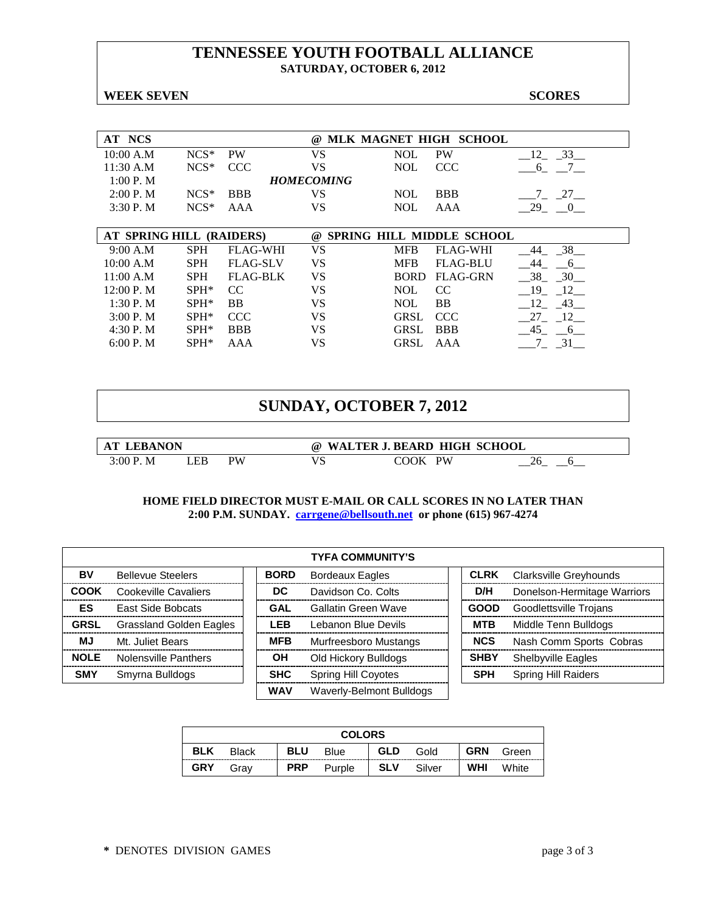### **TENNESSEE YOUTH FOOTBALL ALLIANCE SATURDAY, OCTOBER 6, 2012**

#### **WEEK SEVEN** SCORES

| AT NCS                   |            |                 | $\omega$          |             | MLK MAGNET HIGH SCHOOL           |                       |
|--------------------------|------------|-----------------|-------------------|-------------|----------------------------------|-----------------------|
| 10:00 A.M                | $NCS*$     | <b>PW</b>       | VS                | <b>NOL</b>  | <b>PW</b>                        | 33<br>12              |
| 11:30 A.M                | $NCS*$     | <b>CCC</b>      | VS                | <b>NOL</b>  | <b>CCC</b>                       | $\overline{7}$<br>6   |
| 1:00 P. M                |            |                 | <b>HOMECOMING</b> |             |                                  |                       |
| 2:00 P. M                | $NCS*$     | <b>BBB</b>      | VS                | <b>NOL</b>  | <b>BBB</b>                       | $-27$<br>7            |
| 3:30P. M                 | $NCS*$     | AAA             | VS                | <b>NOL</b>  | AAA                              | 29 0                  |
|                          |            |                 |                   |             |                                  |                       |
| AT SPRING HILL (RAIDERS) |            |                 | $\omega$          |             | <b>SPRING HILL MIDDLE SCHOOL</b> |                       |
| 9:00 A.M                 | <b>SPH</b> | <b>FLAG-WHI</b> | VS                | MFB         | <b>FLAG-WHI</b>                  | 38<br>44              |
| 10:00 A.M                | <b>SPH</b> | <b>FLAG-SLV</b> | VS                | <b>MFB</b>  | <b>FLAG-BLU</b>                  | 44<br>6               |
| 11:00 A.M                | <b>SPH</b> | <b>FLAG-BLK</b> | VS                | <b>BORD</b> | <b>FLAG-GRN</b>                  | 30<br>38              |
| 12:00 P. M               | $SPH*$     | CC              | VS                | <b>NOL</b>  | CC                               | 19<br>12              |
| 1:30 P.M                 | $SPH*$     | <b>BB</b>       | VS                | <b>NOL</b>  | <b>BB</b>                        | 43<br>- 12            |
| 3:00 P. M                | $SPH*$     | <b>CCC</b>      | VS                | <b>GRSL</b> | <b>CCC</b>                       | 27<br>12              |
| 4:30 P. M                | $SPH*$     | <b>BBB</b>      | VS                | <b>GRSL</b> | <b>BBB</b>                       | 45<br>$6\overline{6}$ |
|                          |            |                 |                   |             |                                  |                       |
| 6:00 P. M                | $SPH*$     | AAA             | VS                | <b>GRSL</b> | AAA                              | $-31$                 |

## **SUNDAY, OCTOBER 7, 2012**

| <b>NON</b> |    |    | W<br>(a)<br>^ ' | . BEARD HIGH SCHOOL<br>7 K K J |  |
|------------|----|----|-----------------|--------------------------------|--|
| く・ハハ       | ÆP | PW | ັ               | <b>PW</b><br>ገOK               |  |

|             | <b>TYFA COMMUNITY'S</b>  |             |                            |             |                               |  |  |
|-------------|--------------------------|-------------|----------------------------|-------------|-------------------------------|--|--|
| BV          | <b>Bellevue Steelers</b> | <b>BORD</b> | <b>Bordeaux Eagles</b>     | <b>CLRK</b> | <b>Clarksville Greyhounds</b> |  |  |
| <b>COOK</b> | Cookeville Cavaliers     | DC.         | Davidson Co. Colts         | D/H         | Donelson-Hermitage Warriors   |  |  |
| <b>ES</b>   | <b>East Side Bobcats</b> | <b>GAL</b>  | Gallatin Green Wave        | <b>GOOD</b> | Goodlettsville Trojans        |  |  |
| <b>GRSL</b> | Grassland Golden Eagles  | <b>LEB</b>  | Lebanon Blue Devils        | <b>MTB</b>  | Middle Tenn Bulldogs          |  |  |
| MJ          | Mt. Juliet Bears         | <b>MFB</b>  | Murfreesboro Mustangs      | <b>NCS</b>  | Nash Comm Sports Cobras       |  |  |
| <b>NOLE</b> | Nolensville Panthers     | OН          | Old Hickory Bulldogs       | <b>SHBY</b> | <b>Shelbyville Eagles</b>     |  |  |
| <b>SMY</b>  | Smyrna Bulldogs          | <b>SHC</b>  | <b>Spring Hill Coyotes</b> | <b>SPH</b>  | Spring Hill Raiders           |  |  |
|             |                          | <b>WAV</b>  | Waverly-Belmont Bulldogs   |             |                               |  |  |

| <b>COLORS</b> |              |            |        |            |        |            |       |
|---------------|--------------|------------|--------|------------|--------|------------|-------|
| <b>BLK</b>    | <b>Black</b> | <b>BLU</b> | Blue   | <b>GLD</b> | Gold   | <b>GRN</b> | Green |
| <b>GRY</b>    | Grav         | <b>PRP</b> | Purple | <b>SLV</b> | Silver | <b>WHI</b> | White |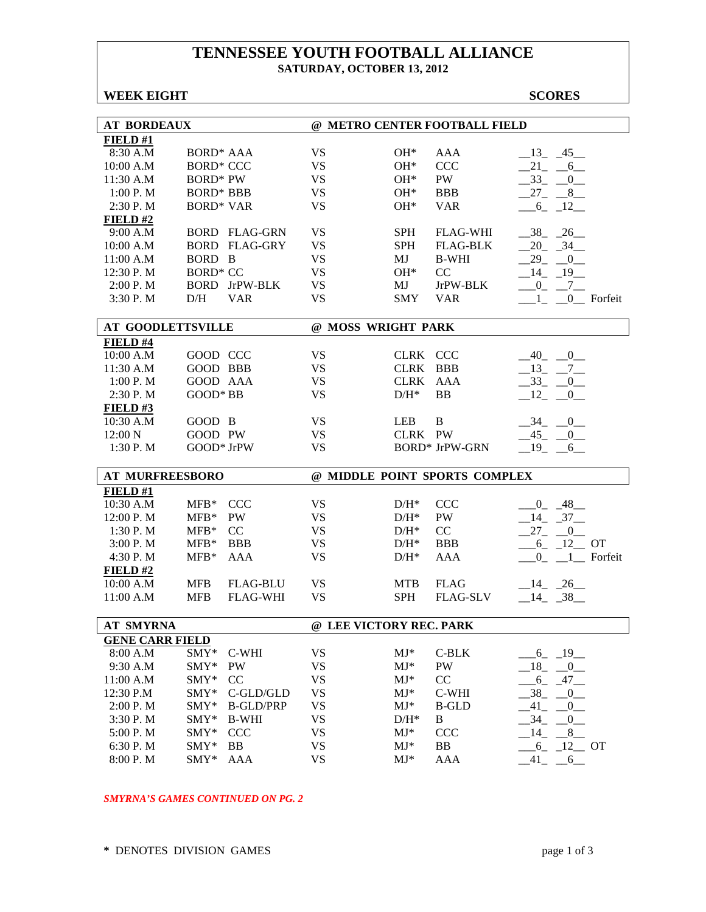### **TENNESSEE YOUTH FOOTBALL ALLIANCE SATURDAY, OCTOBER 13, 2012**

#### **WEEK EIGHT SCORES**

| <b>AT BORDEAUX</b>       |                                  | @ METRO CENTER FOOTBALL FIELD |                 |                               |                             |
|--------------------------|----------------------------------|-------------------------------|-----------------|-------------------------------|-----------------------------|
| FIELD#1                  |                                  |                               |                 |                               |                             |
| 8:30 A.M                 | <b>BORD* AAA</b>                 | <b>VS</b>                     | $OH*$           | AAA                           | $-13 - 45$                  |
| 10:00 A.M                | <b>BORD* CCC</b>                 | <b>VS</b>                     | $OH*$           | <b>CCC</b>                    | $21 - 6$                    |
| 11:30 A.M                | <b>BORD*</b> PW                  | <b>VS</b>                     | $OH*$           | PW                            | $-33 - 0$                   |
| 1:00P. M                 | <b>BORD* BBB</b>                 | <b>VS</b>                     | $OH^*$          | <b>BBB</b>                    | $27 - 8$                    |
| 2:30 P.M                 | <b>BORD* VAR</b>                 | <b>VS</b>                     | $OH*$           | <b>VAR</b>                    | $-6 - 12$                   |
| FIELD#2                  |                                  |                               |                 |                               |                             |
| 9:00 A.M                 | <b>BORD FLAG-GRN</b>             | <b>VS</b>                     | <b>SPH</b>      | <b>FLAG-WHI</b>               | $-38$ $-26$                 |
| 10:00 A.M                | <b>BORD FLAG-GRY</b>             | <b>VS</b>                     | <b>SPH</b>      | <b>FLAG-BLK</b>               | $-34$<br>20                 |
| 11:00 A.M                | BORD B                           | <b>VS</b>                     | MJ              | <b>B-WHI</b>                  | 29<br>$\overline{0}$        |
| 12:30 P.M                | <b>BORD* CC</b>                  | <b>VS</b>                     | $OH*$           | CC                            | 14<br>$-19$                 |
| 2:00 P.M                 | <b>BORD</b> JrPW-BLK             | <b>VS</b>                     | MJ              | JrPW-BLK                      | $-7$<br>$_{0}$              |
| 3:30 P.M                 | D/H<br><b>VAR</b>                | <b>VS</b>                     | SMY             | <b>VAR</b>                    | 0 Forfeit                   |
|                          |                                  |                               |                 |                               |                             |
| <b>AT GOODLETTSVILLE</b> |                                  | @ MOSS WRIGHT PARK            |                 |                               |                             |
| FIELD #4                 |                                  |                               |                 |                               |                             |
| 10:00 A.M                | GOOD CCC                         | <b>VS</b>                     | CLRK CCC        |                               | $-40$ $-0$                  |
| 11:30 A.M                | GOOD BBB                         | <b>VS</b>                     | CLRK BBB        |                               | $-13$ $-7$ $-$              |
| 1:00 P.M                 | GOOD AAA                         | <b>VS</b>                     | CLRK AAA        |                               | $-33$<br>$_{-0}$            |
| 2:30 P.M                 | GOOD* BB                         | <b>VS</b>                     | $D/H^*$         | <b>BB</b>                     | 12<br>0                     |
| FIELD#3                  |                                  |                               |                 |                               |                             |
| 10:30 A.M                | GOOD B                           | <b>VS</b>                     | <b>LEB</b>      | B                             | $-34$ $-0$                  |
| 12:00 N                  | GOOD PW                          | <b>VS</b>                     | CLRK PW         |                               | $-45$ $-0$                  |
| 1:30 P.M                 | GOOD* JrPW                       | <b>VS</b>                     |                 | <b>BORD* JrPW-GRN</b>         | $-19$ $-6$                  |
|                          |                                  |                               |                 |                               |                             |
| <b>AT MURFREESBORO</b>   |                                  |                               |                 | @ MIDDLE POINT SPORTS COMPLEX |                             |
|                          |                                  |                               |                 |                               |                             |
| FIELD#1                  |                                  |                               |                 |                               |                             |
| 10:30 A.M                | $MFB*$<br><b>CCC</b>             | <b>VS</b>                     | $D/H^*$         | <b>CCC</b>                    | $0 - 48$                    |
| 12:00 P.M                | $MFB*$<br>PW                     | <b>VS</b>                     | $D/H^*$         | PW                            | $-14$ $-37$                 |
| 1:30 P.M                 | $MFB*$<br>CC                     | <b>VS</b>                     | $D/H^*$         | CC                            | $27 - 0$                    |
| 3:00 P. M                | $MFB*$<br><b>BBB</b>             | <b>VS</b>                     | $D/H^*$         | <b>BBB</b>                    | $-6$ $-12$ OT               |
| 4:30 P.M                 | <b>AAA</b><br>$MFB*$             | <b>VS</b>                     | $D/H^*$         | <b>AAA</b>                    | $0 - 1$ Forfeit             |
| FIELD#2                  |                                  |                               |                 |                               |                             |
| 10:00 A.M                | <b>MFB</b><br><b>FLAG-BLU</b>    | <b>VS</b>                     | <b>MTB</b>      | <b>FLAG</b>                   | $-14$ $-26$                 |
| 11:00 A.M                | <b>MFB</b><br><b>FLAG-WHI</b>    | <b>VS</b>                     | <b>SPH</b>      | <b>FLAG-SLV</b>               | $-14$ $-38$                 |
|                          |                                  |                               |                 |                               |                             |
| <b>AT SMYRNA</b>         |                                  | @ LEE VICTORY REC. PARK       |                 |                               |                             |
| <b>GENE CARR FIELD</b>   |                                  |                               |                 |                               |                             |
| 8:00 A.M                 | SMY*<br>C-WHI                    | <b>VS</b>                     | $MJ*$           | $C-BLK$                       | $6 - 19$                    |
| 9:30 A.M                 | SMY*<br>PW                       | <b>VS</b>                     | $MJ*$           | PW                            | 18<br>$\overline{0}$        |
| 11:00 A.M                | SMY*<br>CC                       | <b>VS</b>                     | $MJ*$           | CC                            | 6<br>47                     |
| 12:30 P.M                | SMY*<br>C-GLD/GLD                | <b>VS</b>                     | $MJ*$           | C-WHI                         | 38<br>$\overline{0}$        |
| 2:00 P.M                 | SMY*<br><b>B-GLD/PRP</b>         | <b>VS</b>                     | $MJ*$           | <b>B-GLD</b>                  | 41<br>$\overline{0}$        |
| 3:30 P.M                 | SMY*<br><b>B-WHI</b>             | <b>VS</b>                     | $D/H^*$         | $\bf{B}$                      | 34<br>0                     |
| 5:00 P.M                 | SMY*<br>CCC                      | <b>VS</b>                     | $MJ^*$          | <b>CCC</b>                    | 8<br>14                     |
| 6:30 P.M<br>8:00 P.M     | SMY*<br><b>BB</b><br>SMY*<br>AAA | <b>VS</b><br><b>VS</b>        | $MJ*$<br>$MJ^*$ | BB<br><b>AAA</b>              | 6<br>$12$ OT<br>.41<br>$-6$ |

#### *SMYRNA'S GAMES CONTINUED ON PG. 2*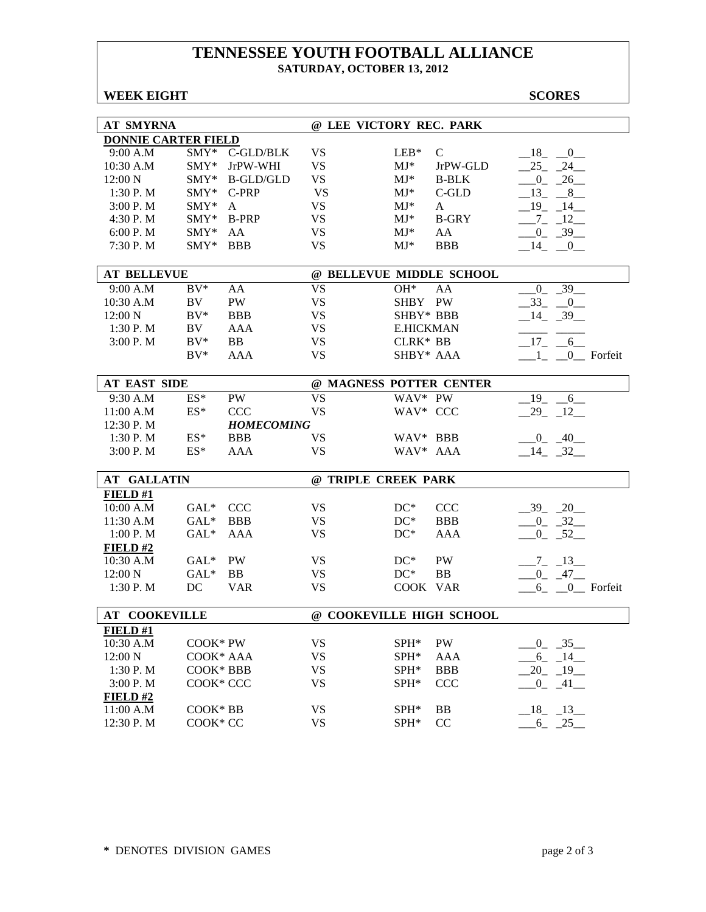### **TENNESSEE YOUTH FOOTBALL ALLIANCE SATURDAY, OCTOBER 13, 2012**

| <b>WEEK EIGHT</b> |  |
|-------------------|--|
|-------------------|--|

**WE EXCORES** 

| <b>AT SMYRNA</b>           |           |                   |           | @ LEE VICTORY REC. PARK  |              |                         |
|----------------------------|-----------|-------------------|-----------|--------------------------|--------------|-------------------------|
| <b>DONNIE CARTER FIELD</b> |           |                   |           |                          |              |                         |
| 9:00 A.M                   |           | SMY* C-GLD/BLK    | <b>VS</b> | $LEB*$                   | $\mathbf C$  | $-18$ $-0$              |
| 10:30 A.M                  | $SMY*$    | JrPW-WHI          | <b>VS</b> | $MJ^*$                   | JrPW-GLD     | 24<br>$-25$             |
| 12:00 N                    |           | SMY* B-GLD/GLD    | <b>VS</b> | $MJ^*$                   | <b>B-BLK</b> | $0 - 26$                |
| 1:30 P.M                   | SMY*      | C-PRP             | <b>VS</b> | $MJ^*$                   | $C$ -GLD     | $-13$ $-8$ $-$          |
| 3:00 P.M                   | $SMY*$    | A                 | <b>VS</b> | $MJ^*$                   | A            | $-19 - 14$              |
| 4:30 P.M                   | SMY*      | <b>B-PRP</b>      | <b>VS</b> | $MJ^*$                   | <b>B-GRY</b> | $-7 - 12$               |
| 6:00 P.M                   | $SMY*$    | AA                | <b>VS</b> | $MJ^*$                   | AA           | $-0$ $-39$ $-$          |
| 7:30 P.M                   | $SMY*$    | <b>BBB</b>        | <b>VS</b> | $MJ^*$                   | <b>BBB</b>   | $-14$ $-0$              |
|                            |           |                   |           |                          |              |                         |
| <b>AT BELLEVUE</b>         |           |                   |           | @ BELLEVUE MIDDLE SCHOOL |              |                         |
| 9:00 A.M                   | $BV^*$    | AA                | <b>VS</b> | OH*                      | AA           | $0 - 39$                |
| 10:30 A.M                  | BV        | PW                | <b>VS</b> | SHBY PW                  |              | $-33$ $-0$              |
| 12:00 N                    | $BV^*$    | <b>BBB</b>        | <b>VS</b> | SHBY* BBB                |              | $-14$ $-39$             |
| 1:30 P.M                   | BV        | <b>AAA</b>        | <b>VS</b> | <b>E.HICKMAN</b>         |              |                         |
| 3:00 P.M                   | $BV^*$    | BB                | <b>VS</b> | CLRK* BB                 |              | $17 - 6$                |
|                            | $BV^*$    | <b>AAA</b>        | <b>VS</b> | SHBY* AAA                |              | $1_{-}$ $0_{-}$ Forfeit |
|                            |           |                   |           |                          |              |                         |
| <b>AT EAST SIDE</b>        |           |                   |           | @ MAGNESS POTTER CENTER  |              |                         |
| 9:30 A.M                   | ES*       | <b>PW</b>         | <b>VS</b> | WAV* PW                  |              | $-19 - 6$               |
| 11:00 A.M                  | $ES^*$    | <b>CCC</b>        | <b>VS</b> | WAV* CCC                 |              | $-29 - 12$              |
| 12:30 P.M                  |           | <b>HOMECOMING</b> |           |                          |              |                         |
| 1:30 P.M                   | $ES^*$    | <b>BBB</b>        | <b>VS</b> | WAV* BBB                 |              | $-0 - 40$               |
| 3:00 P. M                  | $ES^*$    | AAA               | <b>VS</b> | WAV* AAA                 |              | $-14$ $-32$             |
|                            |           |                   |           |                          |              |                         |
| <b>AT GALLATIN</b>         |           |                   |           | @ TRIPLE CREEK PARK      |              |                         |
| FIELD#1                    |           |                   |           |                          |              |                         |
| 10:00 A.M                  | $GAL^*$   | <b>CCC</b>        | <b>VS</b> | $DC^*$                   | <b>CCC</b>   | $-39 - 20$              |
| 11:30 A.M                  | $GAL*$    | <b>BBB</b>        | <b>VS</b> | $DC^*$                   | <b>BBB</b>   | $-0$ $-32$              |
| 1:00 P.M                   | $GAL*$    | AAA               | <b>VS</b> | $DC^*$                   | AAA          | $-0$ $-52$              |
| FIELD#2                    |           |                   |           |                          |              |                         |
| 10:30 A.M                  | $GAL^*$   | <b>PW</b>         | <b>VS</b> | $DC^*$                   | <b>PW</b>    | $-7 - 13$               |
| 12:00 N                    | $GAL*$    | BB                | <b>VS</b> | $DC^*$                   | <b>BB</b>    | $-0 - 47$               |
| 1:30 P.M                   | DC        | <b>VAR</b>        | <b>VS</b> | COOK VAR                 |              | $6$ $\_\_0$ Forfeit     |
|                            |           |                   |           |                          |              |                         |
| <b>AT COOKEVILLE</b>       |           |                   |           | @ COOKEVILLE HIGH SCHOOL |              |                         |
| FIELD #1                   |           |                   |           |                          |              |                         |
| 10:30 A.M                  | COOK* PW  |                   | <b>VS</b> | SPH*                     | PW           | $0 - 35$                |
| 12:00 N                    | COOK* AAA |                   | <b>VS</b> | SPH*                     | AAA          | $-6 - 14$               |
| 1:30 P.M                   | COOK* BBB |                   | <b>VS</b> | SPH*                     | <b>BBB</b>   | $20 - 19$               |
| 3:00 P.M                   | COOK* CCC |                   | <b>VS</b> | SPH*                     | <b>CCC</b>   | $-0$ $-41$ $-$          |
| FIELD#2                    |           |                   |           |                          |              |                         |
| 11:00 A.M                  | COOK* BB  |                   | <b>VS</b> | SPH <sup>*</sup>         | <b>BB</b>    | $-18$ $-13$             |
| 12:30 P.M                  | COOK* CC  |                   | <b>VS</b> | SPH*                     | CC           | $6 - 25$                |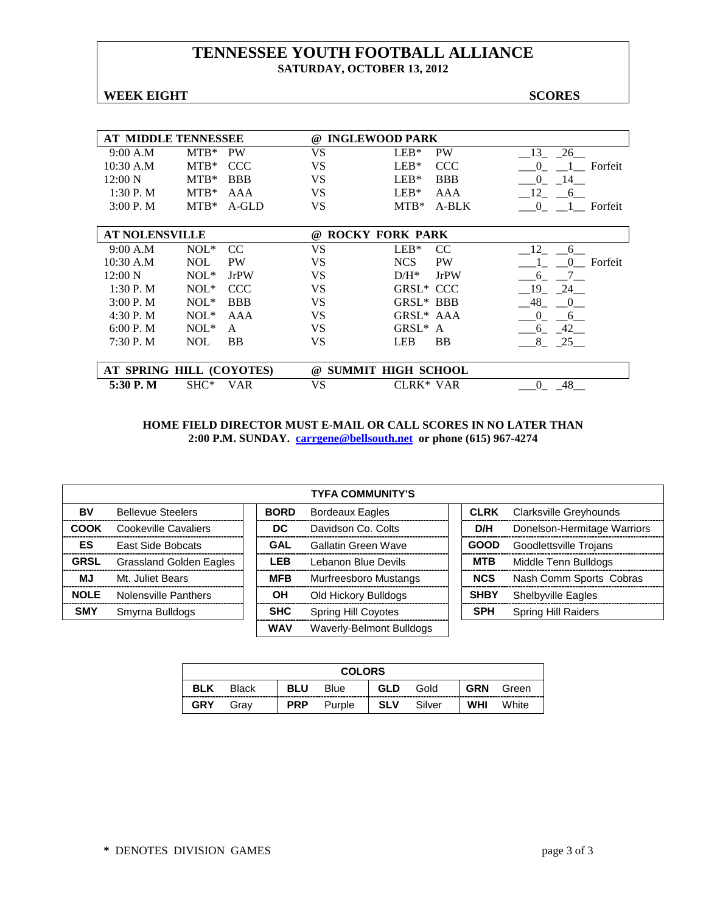### **TENNESSEE YOUTH FOOTBALL ALLIANCE SATURDAY, OCTOBER 13, 2012**

#### **WEEK EIGHT SCORES**

| AT MIDDLE TENNESSEE      |            |              | $\omega$  | <b>INGLEWOOD PARK</b>     |                     |
|--------------------------|------------|--------------|-----------|---------------------------|---------------------|
| 9:00 A.M                 | $MTB*$     | <b>PW</b>    | VS        | $LEB*$<br><b>PW</b>       | 13<br>26            |
| $10:30$ A.M              | $MTB*$     | CCC          | VS        | $LEB*$<br>CCC             | Forfeit<br>$\Omega$ |
| $12:00\ N$               | $MTB*$     | <b>BBB</b>   | VS        | $LEB*$<br><b>BBB</b>      | $\Omega$<br>-14     |
| $1:30P$ . M              | $MTB*$     | AAA          | VS        | $LEB*$<br>AAA             | 12<br>6             |
| 3:00P. M                 | $MTB*$     | $A-GLD$      | VS        | $MTB*$<br>A-BLK           | $\Omega$<br>Forfeit |
|                          |            |              |           |                           |                     |
| <b>AT NOLENSVILLE</b>    |            |              | $\omega$  | <b>ROCKY FORK PARK</b>    |                     |
| 9:00 A.M                 | $NOL*$     | CC           | VS        | $LEB*$<br>CC.             | 12<br>6             |
| $10:30$ A.M              | <b>NOL</b> | <b>PW</b>    | VS        | <b>NCS</b><br><b>PW</b>   | Forfeit<br>$\Omega$ |
| 12:00 N                  | $NOL*$     | <b>JrPW</b>  | VS        | $D/H^*$<br><b>JrPW</b>    | 6                   |
| 1:30P. M                 | $NOL*$     | <b>CCC</b>   | VS        | GRSL <sup>*</sup> CCC     | - 19<br>24          |
| $3:00P$ . M              | $NOL*$     | <b>BBB</b>   | VS        | GRSL* BBB                 | - 48<br>0           |
| 4:30 P.M                 | $NOL*$     | AAA          | VS        | GRSL <sup>*</sup> AAA     | $\Omega$<br>6       |
| 6:00 P. M                | $NOL^*$    | $\mathsf{A}$ | <b>VS</b> | GRSL*<br>A                | 42<br>6             |
| 7:30P. M                 | <b>NOL</b> | <b>BB</b>    | VS        | <b>LEB</b><br><b>BB</b>   | 8<br>25             |
|                          |            |              |           |                           |                     |
| AT SPRING HILL (COYOTES) |            |              | $\omega$  | <b>SUMMIT HIGH SCHOOL</b> |                     |
| 5:30 P.M                 | $SHC^*$    | VAR          | VS        | CLRK* VAR                 | -48<br>$\Omega$     |
|                          |            |              |           |                           |                     |

|             | <b>TYFA COMMUNITY'S</b>  |             |                          |  |             |                             |  |  |
|-------------|--------------------------|-------------|--------------------------|--|-------------|-----------------------------|--|--|
| BV          | <b>Bellevue Steelers</b> | <b>BORD</b> | <b>Bordeaux Eagles</b>   |  | <b>CLRK</b> | Clarksville Greyhounds      |  |  |
| <b>COOK</b> | Cookeville Cavaliers     | DC          | Davidson Co. Colts       |  | D/H         | Donelson-Hermitage Warriors |  |  |
| ES          | <b>East Side Bobcats</b> | <b>GAL</b>  | Gallatin Green Wave      |  | <b>GOOD</b> | Goodlettsville Trojans      |  |  |
| <b>GRSL</b> | Grassland Golden Eagles  | <b>LEB</b>  | Lebanon Blue Devils      |  | <b>MTB</b>  | Middle Tenn Bulldogs        |  |  |
| <b>MJ</b>   | Mt. Juliet Bears         | <b>MFB</b>  | Murfreesboro Mustangs    |  | <b>NCS</b>  | Nash Comm Sports Cobras     |  |  |
| <b>NOLE</b> | Nolensville Panthers     | OН          | Old Hickory Bulldogs     |  | <b>SHBY</b> | <b>Shelbyville Eagles</b>   |  |  |
| <b>SMY</b>  | Smyrna Bulldogs          | <b>SHC</b>  | Spring Hill Coyotes      |  | <b>SPH</b>  | <b>Spring Hill Raiders</b>  |  |  |
|             |                          | <b>WAV</b>  | Waverly-Belmont Bulldogs |  |             |                             |  |  |

| <b>COLORS</b> |              |            |             |            |        |            |       |
|---------------|--------------|------------|-------------|------------|--------|------------|-------|
| <b>BLK</b>    | <b>Black</b> | <b>BLU</b> | <b>Blue</b> | GLD        | Gold   | <b>GRN</b> | Green |
| <b>GRY</b>    | Grav         | <b>PRP</b> | Purple      | <b>SLV</b> | Silver | <b>WHI</b> | White |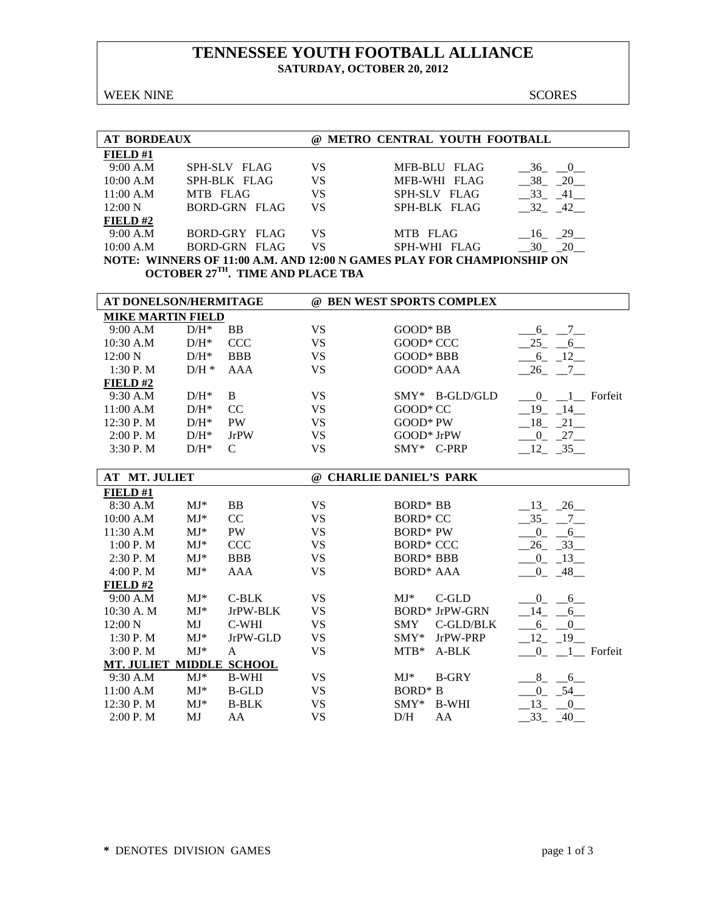### **TENNESSEE YOUTH FOOTBALL ALLIANCE SATURDAY, OCTOBER 20, 2012**

WEEK NINE SCORES

| <b>AT BORDEAUX</b> |                      | (a)       | METRO CENTRAL YOUTH FOOTBALL                                           |       |
|--------------------|----------------------|-----------|------------------------------------------------------------------------|-------|
| FIELD#1            |                      |           |                                                                        |       |
| 9:00 A.M           | SPH-SLV FLAG         | <b>VS</b> | MFB-BLU FLAG                                                           | 36 0  |
| 10:00 A.M          | SPH-BLK FLAG         | VS        | MFB-WHI FLAG                                                           | 38 20 |
| 11:00 A.M          | MTB FLAG             | VS        | SPH-SLV FLAG                                                           | 33 41 |
| 12:00 N            | BORD-GRN FLAG        | VS.       | SPH-BLK FLAG                                                           | 32 42 |
| FIELD#2            |                      |           |                                                                        |       |
| 9:00 A.M           | BORD-GRY FLAG        | <b>VS</b> | MTB FLAG                                                               | 16 29 |
| 10:00 A.M          | <b>BORD-GRN FLAG</b> | VS        | SPH-WHI FLAG                                                           | 30 20 |
|                    |                      |           | NOTE: WINNERS OF 11:00 A.M. AND 12:00 N GAMES PLAY FOR CHAMPIONSHIP ON |       |

**OCTOBER 27TH. TIME AND PLACE TBA**

| AT DONELSON/HERMITAGE    |         |               |           | @ BEN WEST SPORTS COMPLEX    |                                                     |
|--------------------------|---------|---------------|-----------|------------------------------|-----------------------------------------------------|
| <b>MIKE MARTIN FIELD</b> |         |               |           |                              |                                                     |
| 9:00 A.M                 | $D/H^*$ | <b>BB</b>     | <b>VS</b> | $GOOD*BB$                    | $7$ <sub>—</sub><br>6                               |
| $10:30$ A.M              | $D/H^*$ | <b>CCC</b>    | <b>VS</b> | GOOD* CCC                    | $25 - 6$                                            |
| $12:00\ N$               | $D/H^*$ | <b>BBB</b>    | <b>VS</b> | GOOD* BBB                    | $-12$<br>6                                          |
| 1:30P. M                 | $D/H *$ | AAA           | <b>VS</b> | GOOD* AAA                    | $-26$ $-7$                                          |
| FIELD#2                  |         |               |           |                              |                                                     |
| 9:30 A.M                 | $D/H^*$ | <sup>B</sup>  | <b>VS</b> | $SMY*$ B-GLD/GLD             | 1 Forfeit<br>$\begin{array}{ccc} & & 0 \end{array}$ |
| 11:00 A.M                | $D/H^*$ | CC.           | <b>VS</b> | GOOD* CC                     | 19<br>14                                            |
| 12:30 P. M               | $D/H^*$ | <b>PW</b>     | <b>VS</b> | GOOD* PW                     | 18<br>21                                            |
| 2:00 P. M                | $D/H^*$ | <b>JrPW</b>   | <b>VS</b> | GOOD* JrPW                   | 27<br>$\overline{0}$                                |
| 3:30P. M                 | $D/H^*$ | C             | VS        | $SMY*$ C-PRP                 | $-12$ , $-35$                                       |
|                          |         |               |           |                              |                                                     |
| <b>AT MT. JULIET</b>     |         |               | $\omega$  | <b>CHARLIE DANIEL'S PARK</b> |                                                     |
| FIELD#1                  |         |               |           |                              |                                                     |
| 8:30 A.M                 | $MJ^*$  | BB            | <b>VS</b> | <b>BORD*</b> BB              | 26<br>-13                                           |
| 10:00 A.M                | $MJ^*$  | <sub>CC</sub> | <b>VS</b> | BORD <sup>*</sup> CC         | $-35$<br>$\overline{7}$                             |
| $11.30 \Delta M$         | $M I*$  | <b>PW</b>     | VS        | $RORD*PW$                    | $\Omega$<br>-6                                      |

| 11:30 A.M        | $MJ*$         | <b>PW</b>     | VS | <b>BORD*</b> PW            | $\left($<br>6               |
|------------------|---------------|---------------|----|----------------------------|-----------------------------|
| 1:00 P. M        | $MJ^*$        | <b>CCC</b>    | VS | <b>BORD* CCC</b>           | 26 33                       |
| 2:30P. M         | $MJ*$         | <b>BBB</b>    | VS | <b>BORD* BBB</b>           | 13<br>$\left($              |
| 4:00 P. M        | $MJ^*$        | AAA           | VS | <b>BORD* AAA</b>           | 48<br>$\theta$              |
| FIELD#2          |               |               |    |                            |                             |
| 9:00 A.M         | $MJ^*$        | $C-BLK$       | VS | $MJ*$<br>$C$ -GLD          | $\Omega$<br>$6\overline{6}$ |
| 10:30 A. M       | $MJ*$         | JrPW-BLK      | VS | <b>BORD* JrPW-GRN</b>      | - 14<br>6 <sup>6</sup>      |
| $12:00\text{ N}$ | MJ            | C-WHI         | VS | $C$ -GLD/BLK<br><b>SMY</b> | 6<br>0                      |
| 1:30P. M         | $MJ*$         | JrPW-GLD      | VS | JrPW-PRP<br>$SMY*$         | $-19$<br>- 12               |
| 3:00P. M         | $MJ^*$        | A             | VS | $MTB*$<br>$A-BLK$          | 1 Forfeit<br>$\Omega$       |
| MT. JULIET       | <b>MIDDLE</b> | <b>SCHOOL</b> |    |                            |                             |
| 9:30 A.M         | $MJ^*$        | <b>B-WHI</b>  | VS | <b>B-GRY</b><br>$MJ*$      | 8<br>6                      |
| 11:00 A.M        | $MJ*$         | <b>B-GLD</b>  | VS | $BORD* B$                  | 54<br>$\Omega$              |
| 12:30 P. M       | $MJ^*$        | <b>B-BLK</b>  | VS | <b>B-WHI</b><br>$SMY^*$    | 13                          |
| $2:00P$ . M      | MJ            | AA            | VS | D/H<br>AA                  | 33<br>40                    |
|                  |               |               |    |                            |                             |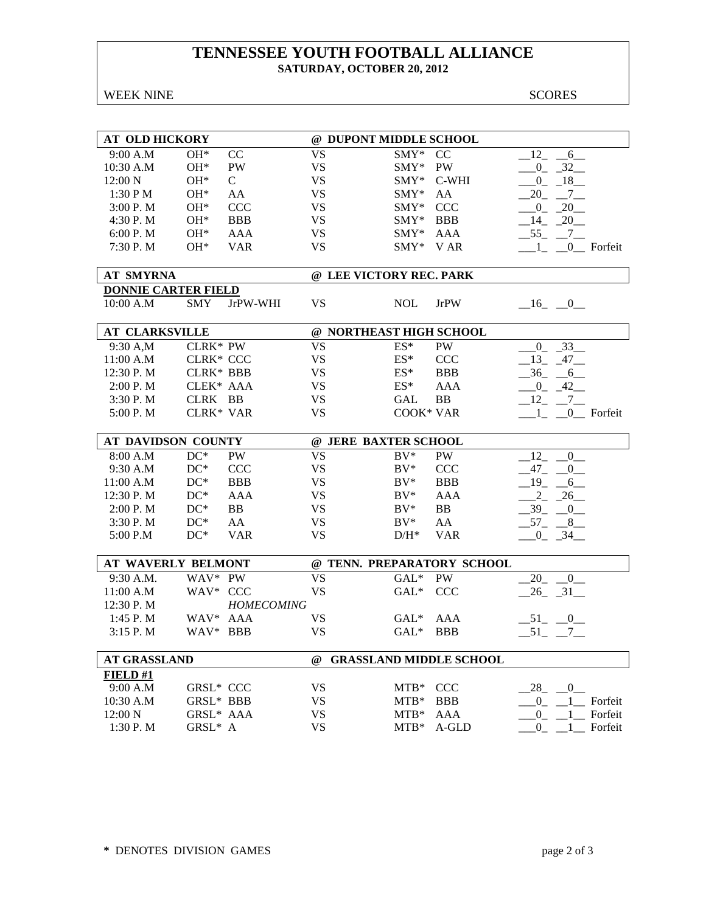### **TENNESSEE YOUTH FOOTBALL ALLIANCE SATURDAY, OCTOBER 20, 2012**

WEEK NINE SCORES

| <b>AT OLD HICKORY</b>      |                  |                        |           | @ DUPONT MIDDLE SCHOOL             |                            |                                        |
|----------------------------|------------------|------------------------|-----------|------------------------------------|----------------------------|----------------------------------------|
| 9:00 A.M                   | OH*              | CC                     | <b>VS</b> | SMY*                               | CC                         | 12<br>6                                |
| 10:30 A.M                  | $OH*$            | $\mathbf{P}\mathbf{W}$ | <b>VS</b> | SMY*                               | PW                         | $-32$<br>$\overline{0}$                |
| 12:00 N                    | $OH*$            | $\mathcal{C}$          | <b>VS</b> | SMY* C-WHI                         |                            | $18$ <sub>—</sub><br>$_{0}$            |
| 1:30 PM                    | $OH*$            | AA                     | <b>VS</b> | $\text{SMY*}$                      | AA                         | 20<br>$7\phantom{0}$                   |
| 3:00 P. M                  | $OH*$            | <b>CCC</b>             | <b>VS</b> | $\text{SMY*}$                      | <b>CCC</b>                 | 20<br>$\overline{0}$                   |
| 4:30 P.M                   | $OH*$            | <b>BBB</b>             | <b>VS</b> | $SMY*$                             | <b>BBB</b>                 | $-20$<br>14                            |
| 6:00 P.M                   | $OH*$            | AAA                    | <b>VS</b> | $SMY*$                             | AAA                        | $-55$ $-7$ $-$                         |
|                            | OH*              | <b>VAR</b>             | <b>VS</b> | $SMY*$                             | V AR                       |                                        |
| 7:30 P.M                   |                  |                        |           |                                    |                            | 0_ Forfeit<br>$\pm$                    |
| <b>AT SMYRNA</b>           |                  |                        |           | @ LEE VICTORY REC. PARK            |                            |                                        |
| <b>DONNIE CARTER FIELD</b> |                  |                        |           |                                    |                            |                                        |
| 10:00 A.M                  | <b>SMY</b>       | JrPW-WHI               | <b>VS</b> | <b>NOL</b>                         | <b>JrPW</b>                | $-16$ $-0$                             |
|                            |                  |                        |           |                                    |                            |                                        |
| <b>AT CLARKSVILLE</b>      |                  |                        |           | @ NORTHEAST HIGH SCHOOL            |                            |                                        |
| 9:30 A,M                   | CLRK* PW         |                        | <b>VS</b> | $ES^*$                             | <b>PW</b>                  | $\overline{33}$<br>$\overline{0}$      |
| 11:00 A.M                  | <b>CLRK* CCC</b> |                        | <b>VS</b> | $ES^*$                             | <b>CCC</b>                 | 13<br>$47$ <sub>___</sub>              |
| 12:30 P.M                  | <b>CLRK* BBB</b> |                        | <b>VS</b> | $ES^*$                             | <b>BBB</b>                 | 36<br>6                                |
| 2:00 P. M                  | CLEK* AAA        |                        | <b>VS</b> | $ES^*$                             | AAA                        | $-42$<br>$^{0}$                        |
| 3:30 P.M                   | CLRK BB          |                        | <b>VS</b> | <b>GAL</b>                         | <b>BB</b>                  | $_{12}$<br>$7\overline{ }$             |
| 5:00 P.M                   | <b>CLRK* VAR</b> |                        | <b>VS</b> | <b>COOK* VAR</b>                   |                            | 0_ Forfeit                             |
|                            |                  |                        |           |                                    |                            |                                        |
| AT DAVIDSON COUNTY         |                  |                        |           | @ JERE BAXTER SCHOOL               |                            |                                        |
|                            |                  |                        |           |                                    |                            |                                        |
| 8:00 A.M                   | $DC^*$           | <b>PW</b>              | <b>VS</b> | $BV^*$                             | PW                         | 12<br>0                                |
| 9:30 A.M                   | $DC^*$           | <b>CCC</b>             | <b>VS</b> | $BV^*$                             | <b>CCC</b>                 | $-47-$<br>$\overline{0}$               |
| 11:00 A.M                  | $DC^*$           | <b>BBB</b>             | <b>VS</b> | $BV^*$                             | <b>BBB</b>                 | 19<br>$-6$                             |
| 12:30 P.M                  | $DC^*$           | <b>AAA</b>             | <b>VS</b> | $BV^*$                             | <b>AAA</b>                 | $2 - 26$                               |
| 2:00 P. M                  | $DC^*$           | <b>BB</b>              | <b>VS</b> | $BV^*$                             | B <sub>B</sub>             |                                        |
| 3:30 P.M                   | $DC^*$           | AA                     | <b>VS</b> | $BV^*$                             | AA                         | $39 - 0$                               |
| 5:00 P.M                   | $DC*$            | <b>VAR</b>             | <b>VS</b> | $D/H^*$                            | <b>VAR</b>                 | $-57 - 8$                              |
|                            |                  |                        |           |                                    |                            | $-0$ $-34$ $-$                         |
| <b>AT WAVERLY BELMONT</b>  |                  |                        |           |                                    | @ TENN. PREPARATORY SCHOOL |                                        |
| 9:30 A.M.                  | WAV* PW          |                        | <b>VS</b> | $GAL*$                             | <b>PW</b>                  | 20<br>$\mathbf{0}$                     |
| 11:00 A.M                  | WAV* CCC         |                        | <b>VS</b> | $GAL*$                             | <b>CCC</b>                 | $26 - 31$                              |
| 12:30 P.M                  |                  | <b>HOMECOMING</b>      |           |                                    |                            |                                        |
| 1:45 P.M                   | $WAV*$           | <b>AAA</b>             | VS        | $GAL*$                             | AAA                        | $-51$ $-0$                             |
| 3:15 P.M                   | WAV* BBB         |                        | <b>VS</b> | $\ensuremath{\text{GAL}^*\xspace}$ | <b>BBB</b>                 | $-51$ $-7$ $-$                         |
|                            |                  |                        |           |                                    |                            |                                        |
| <b>AT GRASSLAND</b>        |                  |                        | @         | <b>GRASSLAND MIDDLE SCHOOL</b>     |                            |                                        |
| <b>FIELD #1</b>            |                  |                        |           |                                    |                            |                                        |
| 9:00 A.M                   | <b>GRSL* CCC</b> |                        | <b>VS</b> | MTB*                               | <b>CCC</b>                 | 28<br>$\overline{0}$                   |
| 10:30 A.M                  | GRSL* BBB        |                        | <b>VS</b> | MTB*                               | <b>BBB</b>                 | Forfeit<br>$\overline{0}$<br>$1 \quad$ |
| 12:00 N                    | GRSL* AAA        |                        | <b>VS</b> | $MTB*$                             | AAA                        | Forfeit<br>$\overline{0}$              |